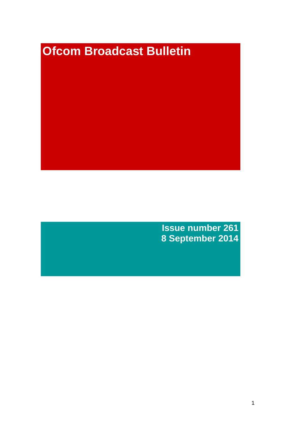# **Ofcom Broadcast Bulletin**

**Issue number 261 8 September 2014**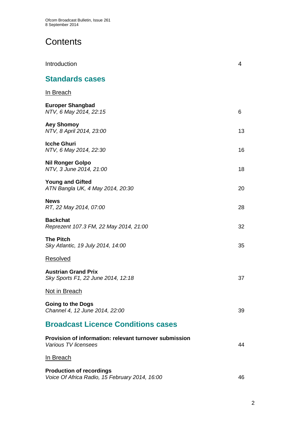# **Contents**

| Introduction                                                                      | $\overline{4}$ |
|-----------------------------------------------------------------------------------|----------------|
| <b>Standards cases</b>                                                            |                |
| In Breach                                                                         |                |
| <b>Europer Shangbad</b><br>NTV, 6 May 2014, 22:15                                 | 6              |
| <b>Aey Shomoy</b><br>NTV, 8 April 2014, 23:00                                     | 13             |
| <b>Icche Ghuri</b><br>NTV, 6 May 2014, 22:30                                      | 16             |
| <b>Nil Ronger Golpo</b><br>NTV, 3 June 2014, 21:00                                | 18             |
| <b>Young and Gifted</b><br>ATN Bangla UK, 4 May 2014, 20:30                       | 20             |
| <b>News</b><br>RT, 22 May 2014, 07:00                                             | 28             |
| <b>Backchat</b><br>Reprezent 107.3 FM, 22 May 2014, 21:00                         | 32             |
| <b>The Pitch</b><br>Sky Atlantic, 19 July 2014, 14:00                             | 35             |
| Resolved                                                                          |                |
| <b>Austrian Grand Prix</b><br>Sky Sports F1, 22 June 2014, 12:18                  | 37             |
| Not in Breach                                                                     |                |
| <b>Going to the Dogs</b><br>Channel 4, 12 June 2014, 22:00                        | 39             |
| <b>Broadcast Licence Conditions cases</b>                                         |                |
| Provision of information: relevant turnover submission<br>Various TV licensees    | 44             |
| <u>In Breach</u>                                                                  |                |
| <b>Production of recordings</b><br>Voice Of Africa Radio, 15 February 2014, 16:00 | 46             |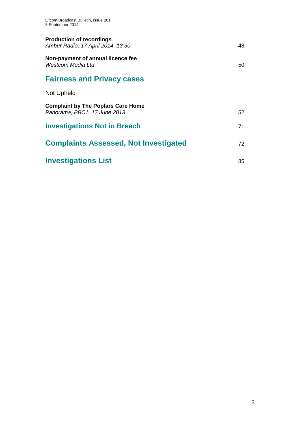| <b>Production of recordings</b><br>Ambur Radio, 17 April 2014, 13:30      | 48 |
|---------------------------------------------------------------------------|----|
| Non-payment of annual licence fee<br>Westcom Media Ltd                    | 50 |
| <b>Fairness and Privacy cases</b>                                         |    |
| <b>Not Upheld</b>                                                         |    |
| <b>Complaint by The Poplars Care Home</b><br>Panorama, BBC1, 17 June 2013 | 52 |
| <b>Investigations Not in Breach</b>                                       | 71 |
| <b>Complaints Assessed, Not Investigated</b>                              | 72 |
| <b>Investigations List</b>                                                | 85 |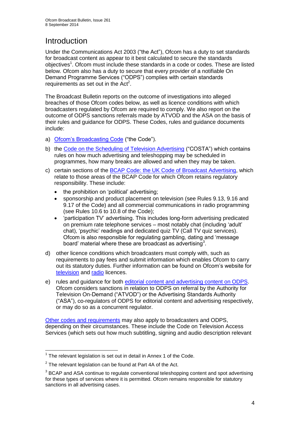# **Introduction**

Under the Communications Act 2003 ("the Act"), Ofcom has a duty to set standards for broadcast content as appear to it best calculated to secure the standards objectives<sup>1</sup>. Ofcom must include these standards in a code or codes. These are listed below. Ofcom also has a duty to secure that every provider of a notifiable On Demand Programme Services ("ODPS") complies with certain standards requirements as set out in the  $Act<sup>2</sup>$ .

The Broadcast Bulletin reports on the outcome of investigations into alleged breaches of those Ofcom codes below, as well as licence conditions with which broadcasters regulated by Ofcom are required to comply. We also report on the outcome of ODPS sanctions referrals made by ATVOD and the ASA on the basis of their rules and guidance for ODPS. These Codes, rules and guidance documents include:

- a) [Ofcom's Broadcasting Code](http://stakeholders.ofcom.org.uk/broadcasting/broadcast-codes/broadcast-code/) ("the Code").
- b) the [Code on the Scheduling of Television Advertising](http://stakeholders.ofcom.org.uk/broadcasting/broadcast-codes/advert-code/) ("COSTA") which contains rules on how much advertising and teleshopping may be scheduled in programmes, how many breaks are allowed and when they may be taken.
- c) certain sections of the [BCAP Code: the UK Code of Broadcast Advertising,](http://www.bcap.org.uk/Advertising-Codes/Broadcast-HTML.aspx) which relate to those areas of the BCAP Code for which Ofcom retains regulatory responsibility. These include:
	- the prohibition on 'political' advertising:
	- sponsorship and product placement on television (see Rules 9.13, 9.16 and 9.17 of the Code) and all commercial communications in radio programming (see Rules 10.6 to 10.8 of the Code);
	- 'participation TV' advertising. This includes long-form advertising predicated on premium rate telephone services – most notably chat (including 'adult' chat), 'psychic' readings and dedicated quiz TV (Call TV quiz services). Ofcom is also responsible for regulating gambling, dating and 'message board' material where these are broadcast as advertising<sup>3</sup>.
- d) other licence conditions which broadcasters must comply with, such as requirements to pay fees and submit information which enables Ofcom to carry out its statutory duties. Further information can be found on Ofcom's website for [television](http://licensing.ofcom.org.uk/tv-broadcast-licences/) and [radio](http://licensing.ofcom.org.uk/radio-broadcast-licensing/) licences.
- e) rules and guidance for both [editorial content and advertising content on ODPS.](http://www.atvod.co.uk/uploads/files/ATVOD_Rules_and_Guidance_Ed_2.0_May_2012.pdf) Ofcom considers sanctions in relation to ODPS on referral by the Authority for Television On-Demand ("ATVOD") or the Advertising Standards Authority ("ASA"), co-regulators of ODPS for editorial content and advertising respectively, or may do so as a concurrent regulator.

[Other codes and requirements](http://stakeholders.ofcom.org.uk/broadcasting/broadcast-codes/) may also apply to broadcasters and ODPS, depending on their circumstances. These include the Code on Television Access Services (which sets out how much subtitling, signing and audio description relevant

<sup>1</sup>  $1$  The relevant legislation is set out in detail in Annex 1 of the Code.

 $2$  The relevant legislation can be found at Part 4A of the Act.

 $3$  BCAP and ASA continue to regulate conventional teleshopping content and spot advertising for these types of services where it is permitted. Ofcom remains responsible for statutory sanctions in all advertising cases.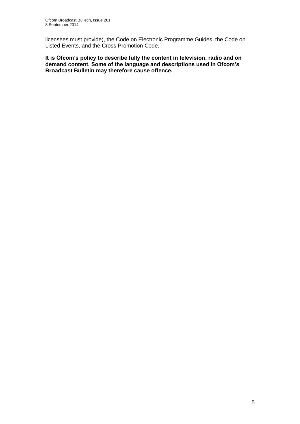licensees must provide), the Code on Electronic Programme Guides, the Code on Listed Events, and the Cross Promotion Code.

**It is Ofcom's policy to describe fully the content in television, radio and on demand content. Some of the language and descriptions used in Ofcom's Broadcast Bulletin may therefore cause offence.**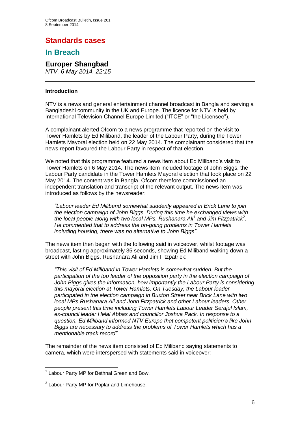# **Standards cases**

## **In Breach**

## **Europer Shangbad**

*NTV, 6 May 2014, 22:15*

### **Introduction**

NTV is a news and general entertainment channel broadcast in Bangla and serving a Bangladeshi community in the UK and Europe. The licence for NTV is held by International Television Channel Europe Limited ("ITCE" or "the Licensee").

A complainant alerted Ofcom to a news programme that reported on the visit to Tower Hamlets by Ed Miliband, the leader of the Labour Party, during the Tower Hamlets Mayoral election held on 22 May 2014. The complainant considered that the news report favoured the Labour Party in respect of that election.

We noted that this programme featured a news item about Ed Miliband's visit to Tower Hamlets on 6 May 2014. The news item included footage of John Biggs, the Labour Party candidate in the Tower Hamlets Mayoral election that took place on 22 May 2014. The content was in Bangla. Ofcom therefore commissioned an independent translation and transcript of the relevant output. The news item was introduced as follows by the newsreader:

*"Labour leader Ed Miliband somewhat suddenly appeared in Brick Lane to join the election campaign of John Biggs. During this time he exchanged views with*  the local people along with two local MPs, Rushanara Ali<sup>1</sup> and Jim Fitzpatrick<sup>2</sup>. *He commented that to address the on-going problems in Tower Hamlets including housing, there was no alternative to John Biggs".*

The news item then began with the following said in voiceover, whilst footage was broadcast, lasting approximately 35 seconds, showing Ed Miliband walking down a street with John Biggs, Rushanara Ali and Jim Fitzpatrick:

*"This visit of Ed Miliband in Tower Hamlets is somewhat sudden. But the participation of the top leader of the opposition party in the election campaign of John Biggs gives the information, how importantly the Labour Party is considering this mayoral election at Tower Hamlets. On Tuesday, the Labour leader participated in the election campaign in Buxton Street near Brick Lane with two local MPs Rushanara Ali and John Fitzpatrick and other Labour leaders. Other people present this time including Tower Hamlets Labour Leader Serajul Islam, ex-council leader Helal Abbas and councillor Joshua Pack. In response to a question, Ed Miliband informed NTV Europe that competent politician's like John Biggs are necessary to address the problems of Tower Hamlets which has a mentionable track record".*

The remainder of the news item consisted of Ed Miliband saying statements to camera, which were interspersed with statements said in voiceover:

1

<sup>&</sup>lt;sup>1</sup> Labour Party MP for Bethnal Green and Bow.

 $2$  Labour Party MP for Poplar and Limehouse.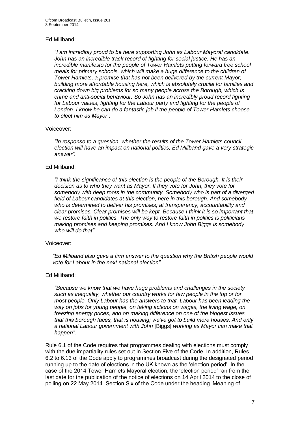## Ed Miliband:

*"I am incredibly proud to be here supporting John as Labour Mayoral candidate. John has an incredible track record of fighting for social justice. He has an incredible manifesto for the people of Tower Hamlets putting forward free school meals for primary schools, which will make a huge difference to the children of Tower Hamlets, a promise that has not been delivered by the current Mayor; building more affordable housing here, which is absolutely crucial for families and cracking down big problems for so many people across the Borough, which is crime and anti-social behaviour. So John has an incredibly proud record fighting for Labour values, fighting for the Labour party and fighting for the people of London. I know he can do a fantastic job if the people of Tower Hamlets choose to elect him as Mayor".*

## Voiceover:

*"In response to a question, whether the results of the Tower Hamlets council election will have an impact on national politics, Ed Miliband gave a very strategic answer".* 

## Ed Miliband:

*"I think the significance of this election is the people of the Borough. It is their decision as to who they want as Mayor. If they vote for John, they vote for somebody with deep roots in the community. Somebody who is part of a diverged field of Labour candidates at this election, here in this borough. And somebody who is determined to deliver his promises; at transparency, accountability and clear promises. Clear promises will be kept. Because I think it is so important that we restore faith in politics. The only way to restore faith in politics is politicians making promises and keeping promises. And I know John Biggs is somebody who will do that".*

## Voiceover:

*"Ed Miliband also gave a firm answer to the question why the British people would vote for Labour in the next national election".* 

## Ed Miliband:

*"Because we know that we have huge problems and challenges in the society such as inequality, whether our country works for few people in the top or for most people. Only Labour has the answers to that. Labour has been leading the way on jobs for young people, on taking actions on wages, the living wage, on freezing energy prices, and on making difference on one of the biggest issues that this borough faces, that is housing; we've got to build more houses. And only a national Labour government with John* [Biggs] *working as Mayor can make that happen".*

Rule 6.1 of the Code requires that programmes dealing with elections must comply with the due impartiality rules set out in Section Five of the Code. In addition, Rules 6.2 to 6.13 of the Code apply to programmes broadcast during the designated period running up to the date of elections in the UK known as the 'election period'. In the case of the 2014 Tower Hamlets Mayoral election, the 'election period' ran from the last date for the publication of the notice of elections on 14 April 2014 to the close of polling on 22 May 2014. Section Six of the Code under the heading 'Meaning of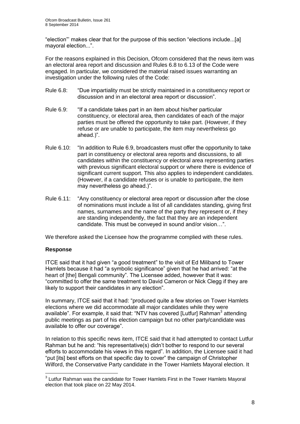"election"' makes clear that for the purpose of this section "elections include...[a] mayoral election...".

For the reasons explained in this Decision, Ofcom considered that the news item was an electoral area report and discussion and Rules 6.8 to 6.13 of the Code were engaged. In particular, we considered the material raised issues warranting an investigation under the following rules of the Code:

- Rule 6.8: "Due impartiality must be strictly maintained in a constituency report or discussion and in an electoral area report or discussion".
- Rule 6.9: "If a candidate takes part in an item about his/her particular constituency, or electoral area, then candidates of each of the major parties must be offered the opportunity to take part. (However, if they refuse or are unable to participate, the item may nevertheless go ahead.)".
- Rule 6.10: "In addition to Rule 6.9, broadcasters must offer the opportunity to take part in constituency or electoral area reports and discussions, to all candidates within the constituency or electoral area representing parties with previous significant electoral support or where there is evidence of significant current support. This also applies to independent candidates. (However, if a candidate refuses or is unable to participate, the item may nevertheless go ahead.)".
- Rule 6.11: "Any constituency or electoral area report or discussion after the close of nominations must include a list of all candidates standing, giving first names, surnames and the name of the party they represent or, if they are standing independently, the fact that they are an independent candidate. This must be conveyed in sound and/or vision…".

We therefore asked the Licensee how the programme complied with these rules.

## **Response**

ITCE said that it had given "a good treatment" to the visit of Ed Miliband to Tower Hamlets because it had "a symbolic significance" given that he had arrived: "at the heart of [the] Bengali community". The Licensee added, however that it was: "committed to offer the same treatment to David Cameron or Nick Clegg if they are likely to support their candidates in any election".

In summary, ITCE said that it had: "produced quite a few stories on Tower Hamlets elections where we did accommodate all major candidates while they were available". For example, it said that: "NTV has covered [Lutfur] Rahman<sup>3</sup> attending public meetings as part of his election campaign but no other party/candidate was available to offer our coverage".

In relation to this specific news item, ITCE said that it had attempted to contact Lutfur Rahman but he and: "his representative(s) didn't bother to respond to our several efforts to accommodate his views in this regard". In addition, the Licensee said it had "put [its] best efforts on that specific day to cover" the campaign of Christopher Wilford, the Conservative Party candidate in the Tower Hamlets Mayoral election. It

 3 Lutfur Rahman was the candidate for Tower Hamlets First in the Tower Hamlets Mayoral election that took place on 22 May 2014.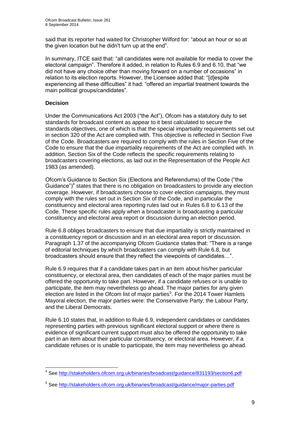said that its reporter had waited for Christopher Wilford for: "about an hour or so at the given location but he didn't turn up at the end".

In summary, ITCE said that: "all candidates were not available for media to cover the electoral campaign". Therefore it added, in relation to Rules 6.9 and 6.10, that "we did not have any choice other than moving forward on a number of occasions" in relation to its election reports. However, the Licensee added that: "[d]espite experiencing all these difficulties" it had: "offered an impartial treatment towards the main political groups/candidates".

## **Decision**

1

Under the Communications Act 2003 ("the Act"), Ofcom has a statutory duty to set standards for broadcast content as appear to it best calculated to secure the standards objectives, one of which is that the special impartiality requirements set out in section 320 of the Act are complied with. This objective is reflected in Section Five of the Code. Broadcasters are required to comply with the rules in Section Five of the Code to ensure that the due impartiality requirements of the Act are complied with. In addition, Section Six of the Code reflects the specific requirements relating to broadcasters covering elections, as laid out in the Representation of the People Act 1983 (as amended).

Ofcom's Guidance to Section Six (Elections and Referendums) of the Code ("the Guidance") $4$  states that there is no obligation on broadcasters to provide any election coverage. However, if broadcasters choose to cover election campaigns, they must comply with the rules set out in Section Six of the Code, and in particular the constituency and electoral area reporting rules laid out in Rules 6.8 to 6.13 of the Code. These specific rules apply when a broadcaster is broadcasting a particular constituency and electoral area report or discussion during an election period.

Rule 6.8 obliges broadcasters to ensure that due impartiality is strictly maintained in a constituency report or discussion and in an electoral area report or discussion. Paragraph 1.37 of the accompanying Ofcom Guidance states that: "There is a range of editorial techniques by which broadcasters can comply with Rule 6.8, but broadcasters should ensure that they reflect the viewpoints of candidates…".

Rule 6.9 requires that if a candidate takes part in an item about his/her particular constituency, or electoral area, then candidates of each of the major parties must be offered the opportunity to take part. However, if a candidate refuses or is unable to participate, the item may nevertheless go ahead. The major parties for any given election are listed in the Ofcom list of major parties<sup>5</sup>. For the 2014 Tower Hamlets Mayoral election, the major parties were: the Conservative Party; the Labour Party; and the Liberal Democrats.

Rule 6.10 states that, in addition to Rule 6.9, independent candidates or candidates representing parties with previous significant electoral support or where there is evidence of significant current support must also be offered the opportunity to take part in an item about their particular constituency, or electoral area. However, if a candidate refuses or is unable to participate, the item may nevertheless go ahead.

<sup>&</sup>lt;sup>4</sup> See<http://stakeholders.ofcom.org.uk/binaries/broadcast/guidance/831193/section6.pdf>

<sup>&</sup>lt;sup>5</sup> See<http://stakeholders.ofcom.org.uk/binaries/broadcast/guidance/major-parties.pdf>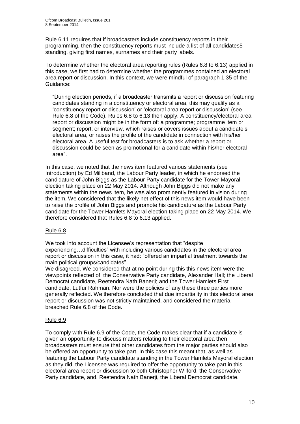Rule 6.11 requires that if broadcasters include constituency reports in their programming, then the constituency reports must include a list of all candidates5 standing, giving first names, surnames and their party labels.

To determine whether the electoral area reporting rules (Rules 6.8 to 6.13) applied in this case, we first had to determine whether the programmes contained an electoral area report or discussion. In this context, we were mindful of paragraph 1.35 of the Guidance:

"During election periods, if a broadcaster transmits a report or discussion featuring candidates standing in a constituency or electoral area, this may qualify as a 'constituency report or discussion' or 'electoral area report or discussion' (see Rule 6.8 of the Code). Rules 6.8 to 6.13 then apply. A constituency/electoral area report or discussion might be in the form of: a programme; programme item or segment; report; or interview, which raises or covers issues about a candidate's electoral area, or raises the profile of the candidate in connection with his/her electoral area. A useful test for broadcasters is to ask whether a report or discussion could be seen as promotional for a candidate within his/her electoral area".

In this case, we noted that the news item featured various statements (see Introduction) by Ed Miliband, the Labour Party leader, in which he endorsed the candidature of John Biggs as the Labour Party candidate for the Tower Mayoral election taking place on 22 May 2014. Although John Biggs did not make any statements within the news item, he was also prominently featured in vision during the item. We considered that the likely net effect of this news item would have been to raise the profile of John Biggs and promote his candidature as the Labour Party candidate for the Tower Hamlets Mayoral election taking place on 22 May 2014. We therefore considered that Rules 6.8 to 6.13 applied.

## Rule 6.8

We took into account the Licensee's representation that "despite experiencing…difficulties" with including various candidates in the electoral area report or discussion in this case, it had: "offered an impartial treatment towards the main political groups/candidates".

We disagreed. We considered that at no point during this this news item were the viewpoints reflected of: the Conservative Party candidate, Alexander Hall; the Liberal Democrat candidate, Reetendra Nath Banerji; and the Tower Hamlets First candidate, Lutfur Rahman. Nor were the policies of any these three parties more generally reflected. We therefore concluded that due impartiality in this electoral area report or discussion was not strictly maintained, and considered the material breached Rule 6.8 of the Code.

## Rule 6.9

To comply with Rule 6.9 of the Code, the Code makes clear that if a candidate is given an opportunity to discuss matters relating to their electoral area then broadcasters must ensure that other candidates from the major parties should also be offered an opportunity to take part. In this case this meant that, as well as featuring the Labour Party candidate standing in the Tower Hamlets Mayoral election as they did, the Licensee was required to offer the opportunity to take part in this electoral area report or discussion to both Christopher Wilford, the Conservative Party candidate, and, Reetendra Nath Banerji, the Liberal Democrat candidate.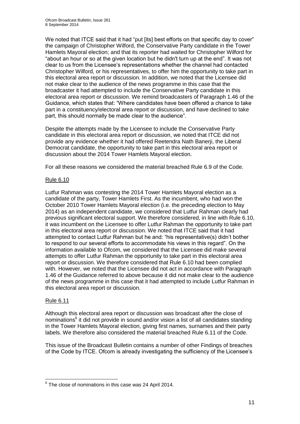We noted that ITCE said that it had "put [its] best efforts on that specific day to cover" the campaign of Christopher Wilford, the Conservative Party candidate in the Tower Hamlets Mayoral election; and that its reporter had waited for Christopher Wilford for "about an hour or so at the given location but he didn't turn up at the end". It was not clear to us from the Licensee's representations whether the channel had contacted Christopher Wilford, or his representatives, to offer him the opportunity to take part in this electoral area report or discussion. In addition, we noted that the Licensee did not make clear to the audience of the news programme in this case that the broadcaster it had attempted to include the Conservative Party candidate in this electoral area report or discussion. We remind broadcasters of Paragraph 1.46 of the Guidance, which states that: "Where candidates have been offered a chance to take part in a constituency/electoral area report or discussion, and have declined to take part, this should normally be made clear to the audience".

Despite the attempts made by the Licensee to include the Conservative Party candidate in this electoral area report or discussion, we noted that ITCE did not provide any evidence whether it had offered Reetendra Nath Banerji, the Liberal Democrat candidate, the opportunity to take part in this electoral area report or discussion about the 2014 Tower Hamlets Mayoral election.

For all these reasons we considered the material breached Rule 6.9 of the Code.

## Rule 6.10

Lutfur Rahman was contesting the 2014 Tower Hamlets Mayoral election as a candidate of the party, Tower Hamlets First. As the incumbent, who had won the October 2010 Tower Hamlets Mayoral election (i.e. the preceding election to May 2014) as an independent candidate, we considered that Lutfur Rahman clearly had previous significant electoral support. We therefore considered, in line with Rule 6.10, it was incumbent on the Licensee to offer Lutfur Rahman the opportunity to take part in this electoral area report or discussion. We noted that ITCE said that it had attempted to contact Lutfur Rahman but he and: "his representative(s) didn't bother to respond to our several efforts to accommodate his views in this regard". On the information available to Ofcom, we considered that the Licensee did make several attempts to offer Lutfur Rahman the opportunity to take part in this electoral area report or discussion. We therefore considered that Rule 6.10 had been complied with. However, we noted that the Licensee did not act in accordance with Paragraph 1.46 of the Guidance referred to above because it did not make clear to the audience of the news programme in this case that it had attempted to include Lutfur Rahman in this electoral area report or discussion.

## Rule 6.11

Although this electoral area report or discussion was broadcast after the close of nominations<sup>6</sup> it did not provide in sound and/or vision a list of all candidates standing in the Tower Hamlets Mayoral election, giving first names, surnames and their party labels. We therefore also considered the material breached Rule 6.11 of the Code.

This issue of the Broadcast Bulletin contains a number of other Findings of breaches of the Code by ITCE. Ofcom is already investigating the sufficiency of the Licensee's

 6 The close of nominations in this case was 24 April 2014.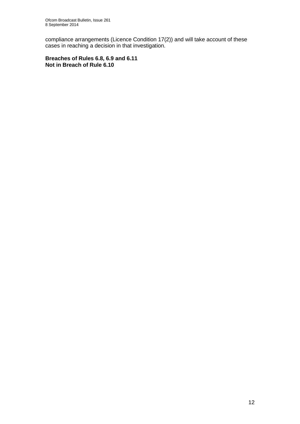compliance arrangements (Licence Condition 17(2)) and will take account of these cases in reaching a decision in that investigation.

**Breaches of Rules 6.8, 6.9 and 6.11 Not in Breach of Rule 6.10**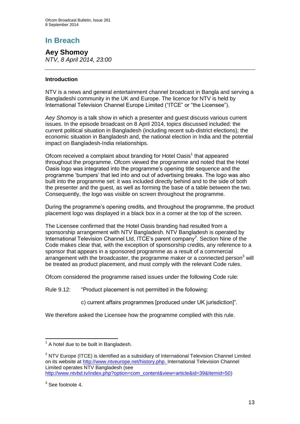**Aey Shomoy** *NTV, 8 April 2014, 23:00*

## **Introduction**

NTV is a news and general entertainment channel broadcast in Bangla and serving a Bangladeshi community in the UK and Europe. The licence for NTV is held by International Television Channel Europe Limited ("ITCE" or "the Licensee").

*Aey Shomoy* is a talk show in which a presenter and guest discuss various current issues. In the episode broadcast on 8 April 2014, topics discussed included: the current political situation in Bangladesh (including recent sub-district elections); the economic situation in Bangladesh and, the national election in India and the potential impact on Bangladesh-India relationships.

Ofcom received a complaint about branding for Hotel Oasis<sup>1</sup> that appeared throughout the programme. Ofcom viewed the programme and noted that the Hotel Oasis logo was integrated into the programme's opening title sequence and the programme 'bumpers' that led into and out of advertising breaks. The logo was also built into the programme set: it was included directly behind and to the side of both the presenter and the guest, as well as forming the base of a table between the two. Consequently, the logo was visible on screen throughout the programme.

During the programme's opening credits, and throughout the programme, the product placement logo was displayed in a black box in a corner at the top of the screen.

The Licensee confirmed that the Hotel Oasis branding had resulted from a sponsorship arrangement with NTV Bangladesh. NTV Bangladesh is operated by International Television Channel Ltd, ITCE's parent company<sup>2</sup>. Section Nine of the Code makes clear that, with the exception of sponsorship credits, any reference to a sponsor that appears in a sponsored programme as a result of a commercial arrangement with the broadcaster, the programme maker or a connected person<sup>3</sup> will be treated as product placement, and must comply with the relevant Code rules.

Ofcom considered the programme raised issues under the following Code rule:

Rule 9.12: "Product placement is not permitted in the following:

c) current affairs programmes [produced under UK jurisdiction]".

We therefore asked the Licensee how the programme complied with this rule.

<sup>1</sup>  $<sup>1</sup>$  A hotel due to be built in Bangladesh.</sup>

 $2$  NTV Europe (ITCE) is identified as a subsidiary of International Television Channel Limited on its website at [http://www.ntveurope.net/history.php.](http://www.ntveurope.net/history.php) International Television Channel Limited operates NTV Bangladesh (see [http://www.ntvbd.tv/index.php?option=com\\_content&view=article&id=39&Itemid=50\)](http://www.ntvbd.tv/index.php?option=com_content&view=article&id=39&Itemid=50)

 $3$  See footnote 4.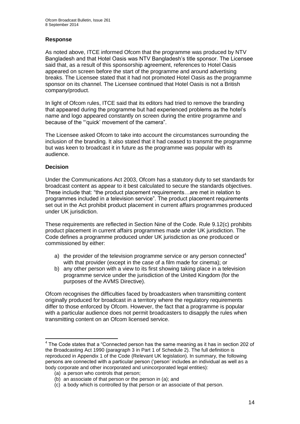## **Response**

As noted above, ITCE informed Ofcom that the programme was produced by NTV Bangladesh and that Hotel Oasis was NTV Bangladesh's title sponsor. The Licensee said that, as a result of this sponsorship agreement, references to Hotel Oasis appeared on screen before the start of the programme and around advertising breaks. The Licensee stated that it had not promoted Hotel Oasis as the programme sponsor on its channel. The Licensee continued that Hotel Oasis is not a British company/product.

In light of Ofcom rules, ITCE said that its editors had tried to remove the branding that appeared during the programme but had experienced problems as the hotel's name and logo appeared constantly on screen during the entire programme and because of the "'quick' movement of the camera".

The Licensee asked Ofcom to take into account the circumstances surrounding the inclusion of the branding. It also stated that it had ceased to transmit the programme but was keen to broadcast it in future as the programme was popular with its audience.

## **Decision**

1

Under the Communications Act 2003, Ofcom has a statutory duty to set standards for broadcast content as appear to it best calculated to secure the standards objectives. These include that: "the product placement requirements…are met in relation to programmes included in a television service". The product placement requirements set out in the Act prohibit product placement in current affairs programmes produced under UK jurisdiction.

These requirements are reflected in Section Nine of the Code. Rule 9.12(c) prohibits product placement in current affairs programmes made under UK jurisdiction. The Code defines a programme produced under UK jurisdiction as one produced or commissioned by either:

- a) the provider of the television programme service or any person connected<sup>4</sup> with that provider (except in the case of a film made for cinema); or
- b) any other person with a view to its first showing taking place in a television programme service under the jurisdiction of the United Kingdom (for the purposes of the AVMS Directive).

Ofcom recognises the difficulties faced by broadcasters when transmitting content originally produced for broadcast in a territory where the regulatory requirements differ to those enforced by Ofcom. However, the fact that a programme is popular with a particular audience does not permit broadcasters to disapply the rules when transmitting content on an Ofcom licensed service.

 $4$  The Code states that a "Connected person has the same meaning as it has in section 202 of the Broadcasting Act 1990 (paragraph 3 in Part 1 of Schedule 2). The full definition is reproduced in Appendix 1 of the Code (Relevant UK legislation). In summary, the following persons are connected with a particular person ('person' includes an individual as well as a body corporate and other incorporated and unincorporated legal entities):

<sup>(</sup>a) a person who controls that person;

<sup>(</sup>b) an associate of that person or the person in (a); and

<sup>(</sup>c) a body which is controlled by that person or an associate of that person.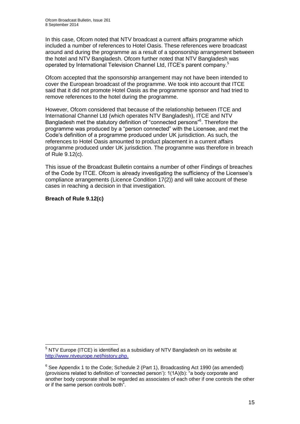In this case, Ofcom noted that NTV broadcast a current affairs programme which included a number of references to Hotel Oasis. These references were broadcast around and during the programme as a result of a sponsorship arrangement between the hotel and NTV Bangladesh. Ofcom further noted that NTV Bangladesh was operated by International Television Channel Ltd, ITCE's parent company.<sup>5</sup>

Ofcom accepted that the sponsorship arrangement may not have been intended to cover the European broadcast of the programme. We took into account that ITCE said that it did not promote Hotel Oasis as the programme sponsor and had tried to remove references to the hotel during the programme.

However, Ofcom considered that because of the relationship between ITCE and International Channel Ltd (which operates NTV Bangladesh), ITCE and NTV Bangladesh met the statutory definition of "connected persons"<sup>6</sup> . Therefore the programme was produced by a "person connected" with the Licensee, and met the Code's definition of a programme produced under UK jurisdiction. As such, the references to Hotel Oasis amounted to product placement in a current affairs programme produced under UK jurisdiction. The programme was therefore in breach of Rule 9.12(c).

This issue of the Broadcast Bulletin contains a number of other Findings of breaches of the Code by ITCE. Ofcom is already investigating the sufficiency of the Licensee's compliance arrangements (Licence Condition 17(2)) and will take account of these cases in reaching a decision in that investigation.

## **Breach of Rule 9.12(c)**

1

 $5$  NTV Europe (ITCE) is identified as a subsidiary of NTV Bangladesh on its website at [http://www.ntveurope.net/history.php.](http://www.ntveurope.net/history.php)

 $6$  See Appendix 1 to the Code; Schedule 2 (Part 1), Broadcasting Act 1990 (as amended) (provisions related to definition of 'connected person'): 1(1A)(b): "a body corporate and another body corporate shall be regarded as associates of each other if one controls the other or if the same person controls both".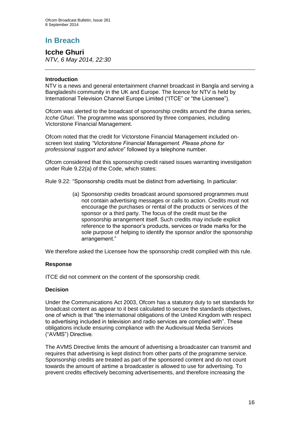## **Icche Ghuri** *NTV, 6 May 2014, 22:30*

## **Introduction**

NTV is a news and general entertainment channel broadcast in Bangla and serving a Bangladeshi community in the UK and Europe. The licence for NTV is held by International Television Channel Europe Limited ("ITCE" or "the Licensee").

Ofcom was alerted to the broadcast of sponsorship credits around the drama series, *Icche Ghuri*. The programme was sponsored by three companies, including Victorstone Financial Management.

Ofcom noted that the credit for Victorstone Financial Management included onscreen text stating *"Victorstone Financial Management. Please phone for professional support and advice*" followed by a telephone number.

Ofcom considered that this sponsorship credit raised issues warranting investigation under Rule 9.22(a) of the Code, which states:

Rule 9.22: "Sponsorship credits must be distinct from advertising. In particular:

(a) Sponsorship credits broadcast around sponsored programmes must not contain advertising messages or calls to action. Credits must not encourage the purchases or rental of the products or services of the sponsor or a third party. The focus of the credit must be the sponsorship arrangement itself. Such credits may include explicit reference to the sponsor's products, services or trade marks for the sole purpose of helping to identify the sponsor and/or the sponsorship arrangement."

We therefore asked the Licensee how the sponsorship credit complied with this rule.

## **Response**

ITCE did not comment on the content of the sponsorship credit.

## **Decision**

Under the Communications Act 2003, Ofcom has a statutory duty to set standards for broadcast content as appear to it best calculated to secure the standards objectives, one of which is that "the international obligations of the United Kingdom with respect to advertising included in television and radio services are complied with". These obligations include ensuring compliance with the Audiovisual Media Services ("AVMS") Directive.

The AVMS Directive limits the amount of advertising a broadcaster can transmit and requires that advertising is kept distinct from other parts of the programme service. Sponsorship credits are treated as part of the sponsored content and do not count towards the amount of airtime a broadcaster is allowed to use for advertising. To prevent credits effectively becoming advertisements, and therefore increasing the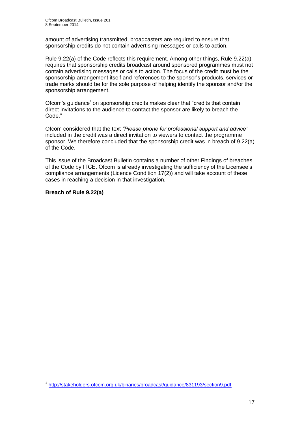amount of advertising transmitted, broadcasters are required to ensure that sponsorship credits do not contain advertising messages or calls to action.

Rule 9.22(a) of the Code reflects this requirement. Among other things, Rule 9.22(a) requires that sponsorship credits broadcast around sponsored programmes must not contain advertising messages or calls to action. The focus of the credit must be the sponsorship arrangement itself and references to the sponsor's products, services or trade marks should be for the sole purpose of helping identify the sponsor and/or the sponsorship arrangement.

Ofcom's guidance<sup>1</sup> on sponsorship credits makes clear that "credits that contain direct invitations to the audience to contact the sponsor are likely to breach the Code."

Ofcom considered that the text *"Please phone for professional support and advice"* included in the credit was a direct invitation to viewers to contact the programme sponsor. We therefore concluded that the sponsorship credit was in breach of 9.22(a) of the Code.

This issue of the Broadcast Bulletin contains a number of other Findings of breaches of the Code by ITCE. Ofcom is already investigating the sufficiency of the Licensee's compliance arrangements (Licence Condition 17(2)) and will take account of these cases in reaching a decision in that investigation.

## **Breach of Rule 9.22(a)**

<sup>1</sup> 1 <http://stakeholders.ofcom.org.uk/binaries/broadcast/guidance/831193/section9.pdf>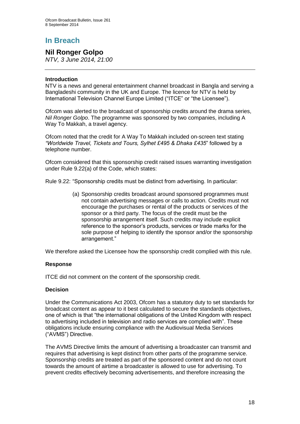## **Nil Ronger Golpo**

*NTV, 3 June 2014, 21:00*

### **Introduction**

NTV is a news and general entertainment channel broadcast in Bangla and serving a Bangladeshi community in the UK and Europe. The licence for NTV is held by International Television Channel Europe Limited ("ITCE" or "the Licensee").

Ofcom was alerted to the broadcast of sponsorship credits around the drama series, *Nil Ronger Golpo*. The programme was sponsored by two companies, including A Way To Makkah, a travel agency.

Ofcom noted that the credit for A Way To Makkah included on-screen text stating *"Worldwide Travel, Tickets and Tours, Sylhet £495 & Dhaka £435*" followed by a telephone number.

Ofcom considered that this sponsorship credit raised issues warranting investigation under Rule 9.22(a) of the Code, which states:

Rule 9.22: "Sponsorship credits must be distinct from advertising. In particular:

(a) Sponsorship credits broadcast around sponsored programmes must not contain advertising messages or calls to action. Credits must not encourage the purchases or rental of the products or services of the sponsor or a third party. The focus of the credit must be the sponsorship arrangement itself. Such credits may include explicit reference to the sponsor's products, services or trade marks for the sole purpose of helping to identify the sponsor and/or the sponsorship arrangement."

We therefore asked the Licensee how the sponsorship credit complied with this rule.

## **Response**

ITCE did not comment on the content of the sponsorship credit.

## **Decision**

Under the Communications Act 2003, Ofcom has a statutory duty to set standards for broadcast content as appear to it best calculated to secure the standards objectives, one of which is that "the international obligations of the United Kingdom with respect to advertising included in television and radio services are complied with". These obligations include ensuring compliance with the Audiovisual Media Services ("AVMS") Directive.

The AVMS Directive limits the amount of advertising a broadcaster can transmit and requires that advertising is kept distinct from other parts of the programme service. Sponsorship credits are treated as part of the sponsored content and do not count towards the amount of airtime a broadcaster is allowed to use for advertising. To prevent credits effectively becoming advertisements, and therefore increasing the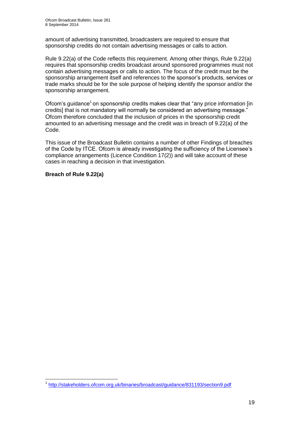amount of advertising transmitted, broadcasters are required to ensure that sponsorship credits do not contain advertising messages or calls to action.

Rule 9.22(a) of the Code reflects this requirement. Among other things, Rule 9.22(a) requires that sponsorship credits broadcast around sponsored programmes must not contain advertising messages or calls to action. The focus of the credit must be the sponsorship arrangement itself and references to the sponsor's products, services or trade marks should be for the sole purpose of helping identify the sponsor and/or the sponsorship arrangement.

Ofcom's guidance<sup>1</sup> on sponsorship credits makes clear that "any price information [in credits] that is not mandatory will normally be considered an advertising message." Ofcom therefore concluded that the inclusion of prices in the sponsorship credit amounted to an advertising message and the credit was in breach of 9.22(a) of the Code.

This issue of the Broadcast Bulletin contains a number of other Findings of breaches of the Code by ITCE. Ofcom is already investigating the sufficiency of the Licensee's compliance arrangements (Licence Condition 17(2)) and will take account of these cases in reaching a decision in that investigation.

**Breach of Rule 9.22(a)**

<sup>1</sup> 1 <http://stakeholders.ofcom.org.uk/binaries/broadcast/guidance/831193/section9.pdf>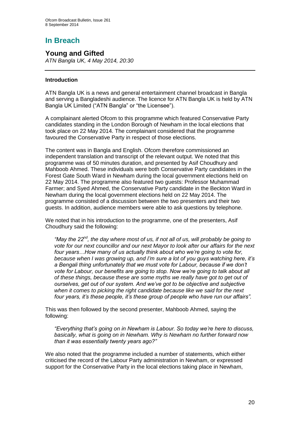## **Young and Gifted**

*ATN Bangla UK, 4 May 2014, 20:30*

## **Introduction**

ATN Bangla UK is a news and general entertainment channel broadcast in Bangla and serving a Bangladeshi audience. The licence for ATN Bangla UK is held by ATN Bangla UK Limited ("ATN Bangla" or "the Licensee").

A complainant alerted Ofcom to this programme which featured Conservative Party candidates standing in the London Borough of Newham in the local elections that took place on 22 May 2014. The complainant considered that the programme favoured the Conservative Party in respect of those elections.

The content was in Bangla and English. Ofcom therefore commissioned an independent translation and transcript of the relevant output. We noted that this programme was of 50 minutes duration, and presented by Asif Choudhury and Mahboob Ahmed. These individuals were both Conservative Party candidates in the Forest Gate South Ward in Newham during the local government elections held on 22 May 2014. The programme also featured two guests: Professor Muhammad Farmer; and Syed Ahmed, the Conservative Party candidate in the Beckton Ward in Newham during the local government elections held on 22 May 2014. The programme consisted of a discussion between the two presenters and their two guests. In addition, audience members were able to ask questions by telephone.

We noted that in his introduction to the programme, one of the presenters, Asif Choudhury said the following:

*"May the 22nd, the day where most of us, if not all of us, will probably be going to vote for our next councillor and our next Mayor to look after our affairs for the next four years…How many of us actually think about who we're going to vote for, because when I was growing up, and I'm sure a lot of you guys watching here, it's a Bengali thing unfortunately that we must vote for Labour, because if we don't vote for Labour, our benefits are going to stop. Now we're going to talk about all of these things, because these are some myths we really have got to get out of ourselves, get out of our system. And we've got to be objective and subjective when it comes to picking the right candidate because like we said for the next four years, it's these people, it's these group of people who have run our affairs".*

This was then followed by the second presenter, Mahboob Ahmed, saying the following:

*"Everything that's going on in Newham is Labour. So today we're here to discuss, basically, what is going on in Newham. Why is Newham no further forward now than it was essentially twenty years ago?"* 

We also noted that the programme included a number of statements, which either criticised the record of the Labour Party administration in Newham, or expressed support for the Conservative Party in the local elections taking place in Newham,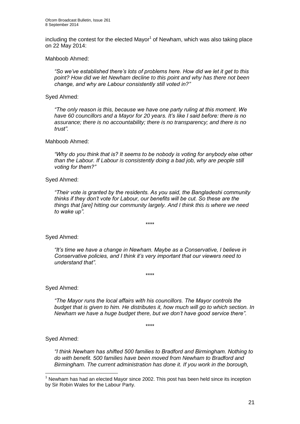including the contest for the elected Mayor<sup>1</sup> of Newham, which was also taking place on 22 May 2014:

Mahboob Ahmed:

*"So we've established there's lots of problems here. How did we let it get to this point? How did we let Newham decline to this point and why has there not been change, and why are Labour consistently still voted in?"*

Syed Ahmed:

*"The only reason is this, because we have one party ruling at this moment. We have 60 councillors and a Mayor for 20 years. It's like I said before: there is no assurance; there is no accountability; there is no transparency; and there is no trust".*

Mahboob Ahmed:

*"Why do you think that is? It seems to be nobody is voting for anybody else other than the Labour. If Labour is consistently doing a bad job, why are people still voting for them?"*

#### Syed Ahmed:

*"Their vote is granted by the residents. As you said, the Bangladeshi community thinks if they don't vote for Labour, our benefits will be cut. So these are the things that [are] hitting our community largely. And I think this is where we need to wake up".*

\*\*\*\*

Syed Ahmed:

*"It's time we have a change in Newham. Maybe as a Conservative, I believe in Conservative policies, and I think it's very important that our viewers need to understand that".*

\*\*\*\*

Syed Ahmed:

*"The Mayor runs the local affairs with his councillors. The Mayor controls the budget that is given to him. He distributes it, how much will go to which section. In Newham we have a huge budget there, but we don't have good service there".*

\*\*\*\*

Syed Ahmed:

1

*"I think Newham has shifted 500 families to Bradford and Birmingham. Nothing to do with benefit. 500 families have been moved from Newham to Bradford and Birmingham. The current administration has done it. If you work in the borough,* 

 $<sup>1</sup>$  Newham has had an elected Mayor since 2002. This post has been held since its inception</sup> by Sir Robin Wales for the Labour Party.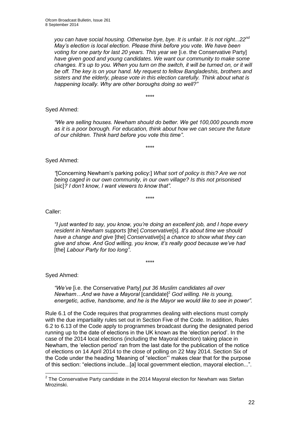*you can have social housing. Otherwise bye, bye. It is unfair. It is not right...22nd May's election is local election. Please think before you vote. We have been voting for one party for last 20 years. This year we* [i.e. the Conservative Party] *have given good and young candidates. We want our community to make some changes. It's up to you. When you turn on the switch, it will be turned on, or it will be off. The key is on your hand. My request to fellow Bangladeshis, brothers and sisters and the elderly, please vote in this election carefully. Think about what is happening locally. Why are other boroughs doing so well?"*

\*\*\*\*

## Syed Ahmed:

*"We are selling houses. Newham should do better. We get 100,000 pounds more as it is a poor borough. For education, think about how we can secure the future of our children. Think hard before you vote this time"*.

\*\*\*\*

## Syed Ahmed:

*"*[Concerning Newham's parking policy:] *What sort of policy is this? Are we not being caged in our own community, in our own village? Is this not prisonised*  [sic]*? I don't know, I want viewers to know that".*

\*\*\*\*

#### Caller:

*"I just wanted to say, you know, you're doing an excellent job, and I hope every resident in Newham supports* [the] *Conservative*[s]*. It's about time we should have a change and give* [the] *Conservative*[s] *a chance to show what they can give and show. And God willing, you know, it's really good because we've had*  [the] *Labour Party for too long"*.

\*\*\*\*

Syed Ahmed:

*"We've* [i.e. the Conservative Party] *put 36 Muslim candidates all over Newham…And we have a Mayoral* [candidate]<sup>2</sup> *God willing. He is young, energetic, active, handsome, and he is the Mayor we would like to see in power".* 

Rule 6.1 of the Code requires that programmes dealing with elections must comply with the due impartiality rules set out in Section Five of the Code. In addition, Rules 6.2 to 6.13 of the Code apply to programmes broadcast during the designated period running up to the date of elections in the UK known as the 'election period'. In the case of the 2014 local elections (including the Mayoral election) taking place in Newham, the 'election period' ran from the last date for the publication of the notice of elections on 14 April 2014 to the close of polling on 22 May 2014. Section Six of the Code under the heading 'Meaning of "election"' makes clear that for the purpose of this section: "elections include...[a] local government election, mayoral election...".

 2 The Conservative Party candidate in the 2014 Mayoral election for Newham was Stefan Mrozinski.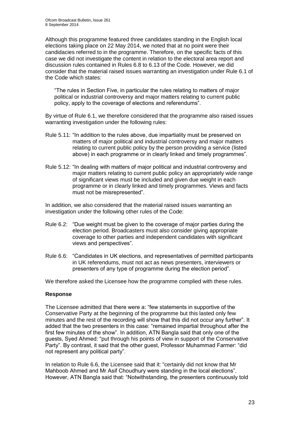Although this programme featured three candidates standing in the English local elections taking place on 22 May 2014, we noted that at no point were their candidacies referred to in the programme. Therefore, on the specific facts of this case we did not investigate the content in relation to the electoral area report and discussion rules contained in Rules 6.8 to 6.13 of the Code. However, we did consider that the material raised issues warranting an investigation under Rule 6.1 of the Code which states:

"The rules in Section Five, in particular the rules relating to matters of major political or industrial controversy and major matters relating to current public policy, apply to the coverage of elections and referendums".

By virtue of Rule 6.1, we therefore considered that the programme also raised issues warranting investigation under the following rules:

- Rule 5.11: "In addition to the rules above, due impartiality must be preserved on matters of major political and industrial controversy and major matters relating to current public policy by the person providing a service (listed above) in each programme or in clearly linked and timely programmes".
- Rule 5.12: "In dealing with matters of major political and industrial controversy and major matters relating to current public policy an appropriately wide range of significant views must be included and given due weight in each programme or in clearly linked and timely programmes. Views and facts must not be misrepresented".

In addition, we also considered that the material raised issues warranting an investigation under the following other rules of the Code:

- Rule 6.2: "Due weight must be given to the coverage of major parties during the election period. Broadcasters must also consider giving appropriate coverage to other parties and independent candidates with significant views and perspectives".
- Rule 6.6: "Candidates in UK elections, and representatives of permitted participants in UK referendums, must not act as news presenters, interviewers or presenters of any type of programme during the election period".

We therefore asked the Licensee how the programme complied with these rules.

## **Response**

The Licensee admitted that there were a: "few statements in supportive of the Conservative Party at the beginning of the programme but this lasted only few minutes and the rest of the recording will show that this did not occur any further". It added that the two presenters in this case: "remained impartial throughout after the first few minutes of the show". In addition, ATN Bangla said that only one of the guests, Syed Ahmed: "put through his points of view in support of the Conservative Party". By contrast, it said that the other guest, Professor Muhammad Farmer: "did not represent any political party".

In relation to Rule 6.6, the Licensee said that it: "certainly did not know that Mr Mahboob Ahmed and Mr Asif Choudhury were standing in the local elections". However, ATN Bangla said that: "Notwithstanding, the presenters continuously told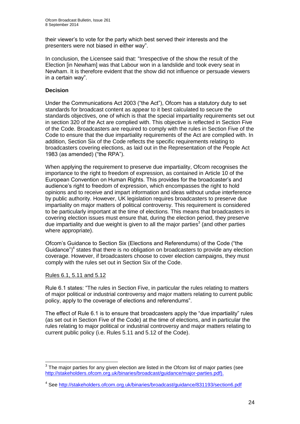their viewer's to vote for the party which best served their interests and the presenters were not biased in either way".

In conclusion, the Licensee said that: "Irrespective of the show the result of the Election [in Newham] was that Labour won in a landslide and took every seat in Newham. It is therefore evident that the show did not influence or persuade viewers in a certain way".

## **Decision**

Under the Communications Act 2003 ("the Act"), Ofcom has a statutory duty to set standards for broadcast content as appear to it best calculated to secure the standards objectives, one of which is that the special impartiality requirements set out in section 320 of the Act are complied with. This objective is reflected in Section Five of the Code. Broadcasters are required to comply with the rules in Section Five of the Code to ensure that the due impartiality requirements of the Act are complied with. In addition, Section Six of the Code reflects the specific requirements relating to broadcasters covering elections, as laid out in the Representation of the People Act 1983 (as amended) ("the RPA").

When applying the requirement to preserve due impartiality, Ofcom recognises the importance to the right to freedom of expression, as contained in Article 10 of the European Convention on Human Rights. This provides for the broadcaster's and audience's right to freedom of expression, which encompasses the right to hold opinions and to receive and impart information and ideas without undue interference by public authority. However, UK legislation requires broadcasters to preserve due impartiality on major matters of political controversy. This requirement is considered to be particularly important at the time of elections. This means that broadcasters in covering election issues must ensure that, during the election period, they preserve due impartiality and due weight is given to all the major parties<sup>3</sup> (and other parties where appropriate).

Ofcom's Guidance to Section Six (Elections and Referendums) of the Code ("the Guidance") $4$  states that there is no obligation on broadcasters to provide any election coverage. However, if broadcasters choose to cover election campaigns, they must comply with the rules set out in Section Six of the Code.

## Rules 6.1, 5.11 and 5.12

Rule 6.1 states: "The rules in Section Five, in particular the rules relating to matters of major political or industrial controversy and major matters relating to current public policy, apply to the coverage of elections and referendums".

The effect of Rule 6.1 is to ensure that broadcasters apply the "due impartiality" rules (as set out in Section Five of the Code) at the time of elections, and in particular the rules relating to major political or industrial controversy and major matters relating to current public policy (i.e. Rules 5.11 and 5.12 of the Code).

<sup>1</sup>  $3$  The major parties for any given election are listed in the Ofcom list of major parties (see [http://stakeholders.ofcom.org.uk/binaries/broadcast/guidance/major-parties.pdf\)](http://stakeholders.ofcom.org.uk/binaries/broadcast/guidance/major-parties.pdf).

<sup>&</sup>lt;sup>4</sup> See<http://stakeholders.ofcom.org.uk/binaries/broadcast/guidance/831193/section6.pdf>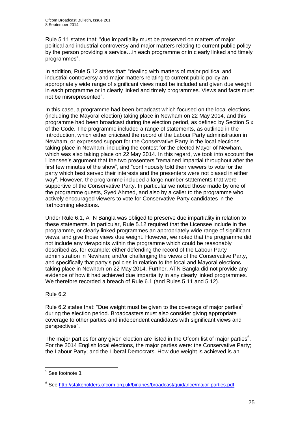Rule 5.11 states that: "due impartiality must be preserved on matters of major political and industrial controversy and major matters relating to current public policy by the person providing a service…in each programme or in clearly linked and timely programmes".

In addition, Rule 5.12 states that: "dealing with matters of major political and industrial controversy and major matters relating to current public policy an appropriately wide range of significant views must be included and given due weight in each programme or in clearly linked and timely programmes. Views and facts must not be misrepresented".

In this case, a programme had been broadcast which focused on the local elections (including the Mayoral election) taking place in Newham on 22 May 2014, and this programme had been broadcast during the election period, as defined by Section Six of the Code. The programme included a range of statements, as outlined in the Introduction, which either criticised the record of the Labour Party administration in Newham, or expressed support for the Conservative Party in the local elections taking place in Newham, including the contest for the elected Mayor of Newham, which was also taking place on 22 May 2014. In this regard, we took into account the Licensee's argument that the two presenters "remained impartial throughout after the first few minutes of the show", and "continuously told their viewers to vote for the party which best served their interests and the presenters were not biased in either way". However, the programme included a large number statements that were supportive of the Conservative Party. In particular we noted those made by one of the programme guests, Syed Ahmed, and also by a caller to the programme who actively encouraged viewers to vote for Conservative Party candidates in the forthcoming elections.

Under Rule 6.1, ATN Bangla was obliged to preserve due impartiality in relation to these statements. In particular, Rule 5.12 required that the Licensee include in the programme, or clearly linked programmes an appropriately wide range of significant views, and give those views due weight. However, we noted that the programme did not include any viewpoints within the programme which could be reasonably described as, for example: either defending the record of the Labour Party administration in Newham; and/or challenging the views of the Conservative Party, and specifically that party's policies in relation to the local and Mayoral elections taking place in Newham on 22 May 2014. Further, ATN Bangla did not provide any evidence of how it had achieved due impartiality in any clearly linked programmes. We therefore recorded a breach of Rule 6.1 (and Rules 5.11 and 5.12).

## Rule 6.2

Rule 6.2 states that: "Due weight must be given to the coverage of major parties<sup>5</sup> during the election period. Broadcasters must also consider giving appropriate coverage to other parties and independent candidates with significant views and perspectives".

The major parties for any given election are listed in the Ofcom list of major parties $6$ . For the 2014 English local elections, the major parties were: the Conservative Party; the Labour Party; and the Liberal Democrats. How due weight is achieved is an

1

<sup>&</sup>lt;sup>5</sup> See footnote 3.

<sup>&</sup>lt;sup>6</sup> See<http://stakeholders.ofcom.org.uk/binaries/broadcast/guidance/major-parties.pdf>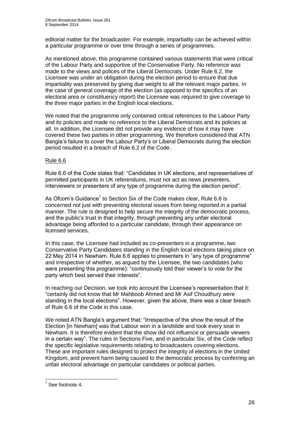editorial matter for the broadcaster. For example, impartiality can be achieved within a particular programme or over time through a series of programmes.

As mentioned above, this programme contained various statements that were critical of the Labour Party and supportive of the Conservative Party. No reference was made to the views and polices of the Liberal Democrats. Under Rule 6.2, the Licensee was under an obligation during the election period to ensure that due impartiality was preserved by giving due weight to all the relevant major parties. In the case of general coverage of the election (as opposed to the specifics of an electoral area or constituency report) the Licensee was required to give coverage to the three major parties in the English local elections.

We noted that the programme only contained critical references to the Labour Party and its policies and made no reference to the Liberal Democrats and its policies at all. In addition, the Licensee did not provide any evidence of how it may have covered these two parties in other programming. We therefore considered that ATN Bangla's failure to cover the Labour Party's or Liberal Democrats during the election period resulted in a breach of Rule 6.2 of the Code.

## Rule 6.6

Rule 6.6 of the Code states that: "Candidates in UK elections, and representatives of permitted participants in UK referendums, must not act as news presenters, interviewers or presenters of any type of programme during the election period".

As Ofcom's Guidance<sup>7</sup> to Section Six of the Code makes clear, Rule 6.6 is concerned not just with preventing electoral issues from being reported in a partial manner. The rule is designed to help secure the integrity of the democratic process, and the public's trust in that integrity, through preventing any unfair electoral advantage being afforded to a particular candidate, through their appearance on licensed services.

In this case, the Licensee had included as co-presenters in a programme, two Conservative Party Candidates standing in the English local elections taking place on 22 May 2014 in Newham. Rule 6.6 applies to presenters in "any type of programme" and irrespective of whether, as argued by the Licensee, the two candidates (who were presenting this programme): "continuously told their viewer's to vote for the party which best served their interests".

In reaching our Decision, we took into account the Licensee's representation that it: "certainly did not know that Mr Mahboob Ahmed and Mr Asif Choudhury were standing in the local elections". However, given the above, there was a clear breach of Rule 6.6 of the Code in this case.

We noted ATN Bangla's argument that: "Irrespective of the show the result of the Election [in Newham] was that Labour won in a landslide and took every seat in Newham. It is therefore evident that the show did not influence or persuade viewers in a certain way". The rules in Sections Five, and in particular Six, of the Code reflect the specific legislative requirements relating to broadcasters covering elections. These are important rules designed to protect the integrity of elections in the United Kingdom, and prevent harm being caused to the democratic process by conferring an unfair electoral advantage on particular candidates or political parties.

 7 See footnote 4.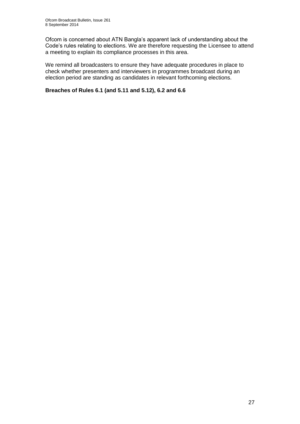Ofcom is concerned about ATN Bangla's apparent lack of understanding about the Code's rules relating to elections. We are therefore requesting the Licensee to attend a meeting to explain its compliance processes in this area.

We remind all broadcasters to ensure they have adequate procedures in place to check whether presenters and interviewers in programmes broadcast during an election period are standing as candidates in relevant forthcoming elections.

## **Breaches of Rules 6.1 (and 5.11 and 5.12), 6.2 and 6.6**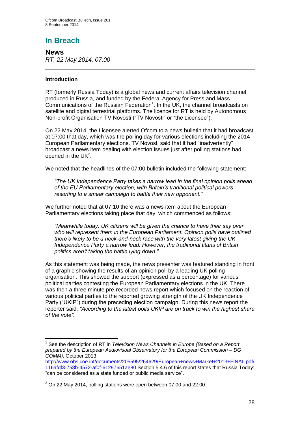## **News** *RT, 22 May 2014, 07:00*

## **Introduction**

1

RT (formerly Russia Today) is a global news and current affairs television channel produced in Russia, and funded by the Federal Agency for Press and Mass Communications of the Russian Federation<sup>1</sup>. In the UK, the channel broadcasts on satellite and digital terrestrial platforms. The licence for RT is held by Autonomous Non-profit Organisation TV Novosti ("TV Novosti" or "the Licensee").

On 22 May 2014, the Licensee alerted Ofcom to a news bulletin that it had broadcast at 07:00 that day, which was the polling day for various elections including the 2014 European Parliamentary elections. TV Novosti said that it had "inadvertently" broadcast a news item dealing with election issues just after polling stations had opened in the  $UK<sup>2</sup>$ .

We noted that the headlines of the 07:00 bulletin included the following statement:

*"The UK Independence Party takes a narrow lead in the final opinion polls ahead of the EU Parliamentary election, with Britain's traditional political powers resorting to a smear campaign to battle their new opponent."*

We further noted that at 07:10 there was a news item about the European Parliamentary elections taking place that day, which commenced as follows:

*"Meanwhile today, UK citizens will be given the chance to have their say over*  who will represent them in the European Parliament. Opinion polls have outlined *there's likely to be a neck-and-neck race with the very latest giving the UK Independence Party a narrow lead. However, the traditional titans of British politics aren't taking the battle lying down."*

As this statement was being made, the news presenter was featured standing in front of a graphic showing the results of an opinion poll by a leading UK polling organisation. This showed the support (expressed as a percentage) for various political parties contesting the European Parliamentary elections in the UK. There was then a three minute pre-recorded news report which focused on the reaction of various political parties to the reported growing strength of the UK Independence Party ("UKIP") during the preceding election campaign. During this news report the reporter said: *"According to the latest polls UKIP are on track to win the highest share of the vote"*.

<sup>1</sup> See the description of RT in *Television News Channels in Europe (Based on a Report prepared by the European Audiovisual Observatory for the European Commission – DG COMM)*, October 2013,

[http://www.obs.coe.int/documents/205595/264629/European+news+Market+2013+FINAL.pdf/](http://www.obs.coe.int/documents/205595/264629/European+news+Market+2013+FINAL.pdf/116afdf3-758b-4572-af0f-61297651ae80) [116afdf3-758b-4572-af0f-61297651ae80](http://www.obs.coe.int/documents/205595/264629/European+news+Market+2013+FINAL.pdf/116afdf3-758b-4572-af0f-61297651ae80) Section 5.4.6 of this report states that Russia Today: "can be considered as a state funded or public media service".

 $2$  On 22 May 2014, polling stations were open between 07:00 and 22:00.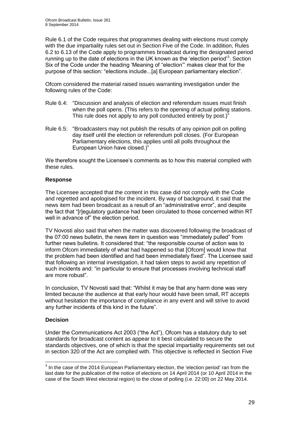Rule 6.1 of the Code requires that programmes dealing with elections must comply with the due impartiality rules set out in Section Five of the Code. In addition, Rules 6.2 to 6.13 of the Code apply to programmes broadcast during the designated period running up to the date of elections in the UK known as the 'election period'<sup>3</sup>. Section Six of the Code under the heading 'Meaning of "election"' makes clear that for the purpose of this section: "elections include...[a] European parliamentary election".

Ofcom considered the material raised issues warranting investigation under the following rules of the Code:

- Rule 6.4: "Discussion and analysis of election and referendum issues must finish when the poll opens. (This refers to the opening of actual polling stations. This rule does not apply to any poll conducted entirely by post.)"
- Rule 6.5: "Broadcasters may not publish the results of any opinion poll on polling day itself until the election or referendum poll closes. (For European Parliamentary elections, this applies until all polls throughout the European Union have closed.)"

We therefore sought the Licensee's comments as to how this material complied with these rules.

## **Response**

The Licensee accepted that the content in this case did not comply with the Code and regretted and apologised for the incident. By way of background, it said that the news item had been broadcast as a result of an "administrative error", and despite the fact that "[r]egulatory guidance had been circulated to those concerned within RT well in advance of" the election period.

TV Novosti also said that when the matter was discovered following the broadcast of the 07:00 news bulletin, the news item in question was "immediately pulled" from further news bulletins. It considered that: "the responsible course of action was to inform Ofcom immediately of what had happened so that [Ofcom] would know that the problem had been identified and had been immediately fixed". The Licensee said that following an internal investigation, it had taken steps to avoid any repetition of such incidents and: "in particular to ensure that processes involving technical staff are more robust".

In conclusion, TV Novosti said that: "Whilst it may be that any harm done was very limited because the audience at that early hour would have been small, RT accepts without hesitation the importance of compliance in any event and will strive to avoid any further incidents of this kind in the future".

## **Decision**

Under the Communications Act 2003 ("the Act"), Ofcom has a statutory duty to set standards for broadcast content as appear to it best calculated to secure the standards objectives, one of which is that the special impartiality requirements set out in section 320 of the Act are complied with. This objective is reflected in Section Five

<sup>————————————————————&</sup>lt;br><sup>3</sup> In the case of the 2014 European Parliamentary election, the 'election period' ran from the last date for the publication of the notice of elections on 14 April 2014 (or 10 April 2014 in the case of the South West electoral region) to the close of polling (i.e. 22:00) on 22 May 2014.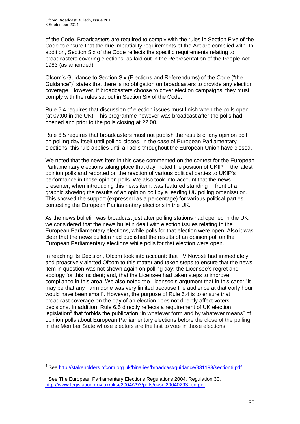of the Code. Broadcasters are required to comply with the rules in Section Five of the Code to ensure that the due impartiality requirements of the Act are complied with. In addition, Section Six of the Code reflects the specific requirements relating to broadcasters covering elections, as laid out in the Representation of the People Act 1983 (as amended).

Ofcom's Guidance to Section Six (Elections and Referendums) of the Code ("the Guidance") $4$  states that there is no obligation on broadcasters to provide any election coverage. However, if broadcasters choose to cover election campaigns, they must comply with the rules set out in Section Six of the Code.

Rule 6.4 requires that discussion of election issues must finish when the polls open (at 07:00 in the UK). This programme however was broadcast after the polls had opened and prior to the polls closing at 22:00.

Rule 6.5 requires that broadcasters must not publish the results of any opinion poll on polling day itself until polling closes. In the case of European Parliamentary elections, this rule applies until all polls throughout the European Union have closed.

We noted that the news item in this case commented on the contest for the European Parliamentary elections taking place that day, noted the position of UKIP in the latest opinion polls and reported on the reaction of various political parties to UKIP's performance in those opinion polls. We also took into account that the news presenter, when introducing this news item, was featured standing in front of a graphic showing the results of an opinion poll by a leading UK polling organisation. This showed the support (expressed as a percentage) for various political parties contesting the European Parliamentary elections in the UK.

As the news bulletin was broadcast just after polling stations had opened in the UK, we considered that the news bulletin dealt with election issues relating to the European Parliamentary elections, while polls for that election were open. Also it was clear that the news bulletin had published the results of an opinion poll on the European Parliamentary elections while polls for that election were open.

In reaching its Decision, Ofcom took into account: that TV Novosti had immediately and proactively alerted Ofcom to this matter and taken steps to ensure that the news item in question was not shown again on polling day; the Licensee's regret and apology for this incident; and, that the Licensee had taken steps to improve compliance in this area. We also noted the Licensee's argument that in this case: "It may be that any harm done was very limited because the audience at that early hour would have been small". However, the purpose of Rule 6.4 is to ensure that broadcast coverage on the day of an election does not directly affect voters' decisions. In addition, Rule 6.5 directly reflects a requirement of UK election legislation<sup>5</sup> that forbids the publication "in whatever form and by whatever means" of opinion polls about European Parliamentary elections before the close of the polling in the Member State whose electors are the last to vote in those elections.

<sup>1</sup> <sup>4</sup> See<http://stakeholders.ofcom.org.uk/binaries/broadcast/guidance/831193/section6.pdf>

<sup>&</sup>lt;sup>5</sup> See The European Parliamentary Elections Regulations 2004, Regulation 30, [http://www.legislation.gov.uk/uksi/2004/293/pdfs/uksi\\_20040293\\_en.pdf](http://www.legislation.gov.uk/uksi/2004/293/pdfs/uksi_20040293_en.pdf)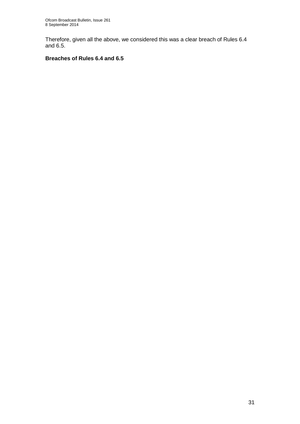Therefore, given all the above, we considered this was a clear breach of Rules 6.4 and 6.5.

## **Breaches of Rules 6.4 and 6.5**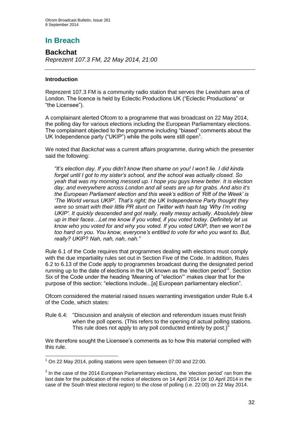## **Backchat** *Reprezent 107.3 FM, 22 May 2014, 21:00*

## **Introduction**

1

Reprezent 107.3 FM is a community radio station that serves the Lewisham area of London. The licence is held by Eclectic Productions UK ("Eclectic Productions" or "the Licensee").

A complainant alerted Ofcom to a programme that was broadcast on 22 May 2014, the polling day for various elections including the European Parliamentary elections. The complainant objected to the programme including "biased" comments about the UK Independence party ("UKIP") while the polls were still open<sup>1</sup>.

We noted that *Backchat* was a current affairs programme, during which the presenter said the following:

*"It's election day. If you didn't know then shame on you! I won't lie. I did kinda forget until I got to my sister's school, and the school was actually closed. So yeah that was my morning messed up. I hope you guys knew better. It is election day, and everywhere across London and all seats are up for grabs. And also it's the European Parliament election and this week's edition of 'Rift of the Week' is 'The World versus UKIP'. That's right; the UK Independence Party thought they were so smart with their little PR stunt on Twitter with hash tag 'Why I'm voting UKIP'. It quickly descended and got really, really messy actually. Absolutely blew up in their faces…Let me know if you voted, if you voted today. Definitely let us know who you voted for and why you voted. If you voted UKIP, then we won't be too hard on you. You know, everyone's entitled to vote for who you want to. But, really? UKIP? Nah, nah, nah, nah."*

Rule 6.1 of the Code requires that programmes dealing with elections must comply with the due impartiality rules set out in Section Five of the Code. In addition, Rules 6.2 to 6.13 of the Code apply to programmes broadcast during the designated period running up to the date of elections in the UK known as the 'election period'<sup>2</sup>. Section Six of the Code under the heading 'Meaning of "election"' makes clear that for the purpose of this section: "elections include...[a] European parliamentary election".

Ofcom considered the material raised issues warranting investigation under Rule 6.4 of the Code, which states:

Rule 6.4: "Discussion and analysis of election and referendum issues must finish when the poll opens. (This refers to the opening of actual polling stations. This rule does not apply to any poll conducted entirely by post.)"

We therefore sought the Licensee's comments as to how this material complied with this rule.

 $1$  On 22 May 2014, polling stations were open between 07:00 and 22:00.

 $2$  In the case of the 2014 European Parliamentary elections, the 'election period' ran from the last date for the publication of the notice of elections on 14 April 2014 (or 10 April 2014 in the case of the South West electoral region) to the close of polling (i.e. 22:00) on 22 May 2014.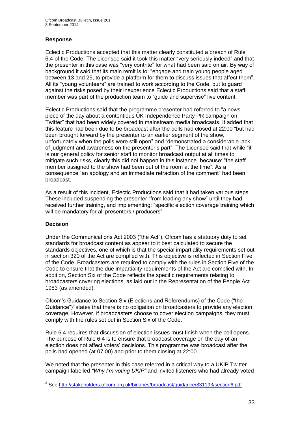## **Response**

Eclectic Productions accepted that this matter clearly constituted a breach of Rule 6.4 of the Code. The Licensee said it took this matter "very seriously indeed" and that the presenter in this case was "very contrite" for what had been said on air. By way of background it said that its main remit is to: "engage and train young people aged between 13 and 25, to provide a platform for them to discuss issues that affect them". All its "young volunteers" are trained to work according to the Code, but to guard against the risks posed by their inexperience Eclectic Productions said that a staff member was part of the production team to "guide and supervise" live content.

Eclectic Productions said that the programme presenter had referred to "a news piece of the day about a contentious UK Independence Party PR campaign on Twitter" that had been widely covered in mainstream media broadcasts. It added that this feature had been due to be broadcast after the polls had closed at 22:00 "but had been brought forward by the presenter to an earlier segment of the show, unfortunately when the polls were still open" and "demonstrated a considerable lack of judgment and awareness on the presenter's part". The Licensee said that while "it is our general policy for senior staff to monitor broadcast output at all times to mitigate such risks, clearly this did not happen in this instance" because: "the staff member assigned to the show had been out of the room at the time". As a consequence "an apology and an immediate retraction of the comment" had been broadcast.

As a result of this incident, Eclectic Productions said that it had taken various steps. These included suspending the presenter "from leading any show" until they had received further training, and implementing: "specific election coverage training which will be mandatory for all presenters / producers".

## **Decision**

Under the Communications Act 2003 ("the Act"), Ofcom has a statutory duty to set standards for broadcast content as appear to it best calculated to secure the standards objectives, one of which is that the special impartiality requirements set out in section 320 of the Act are complied with. This objective is reflected in Section Five of the Code. Broadcasters are required to comply with the rules in Section Five of the Code to ensure that the due impartiality requirements of the Act are complied with. In addition, Section Six of the Code reflects the specific requirements relating to broadcasters covering elections, as laid out in the Representation of the People Act 1983 (as amended).

Ofcom's Guidance to Section Six (Elections and Referendums) of the Code ("the Guidance") $3$  states that there is no obligation on broadcasters to provide any election coverage. However, if broadcasters choose to cover election campaigns, they must comply with the rules set out in Section Six of the Code.

Rule 6.4 requires that discussion of election issues must finish when the poll opens. The purpose of Rule 6.4 is to ensure that broadcast coverage on the day of an election does not affect voters' decisions. This programme was broadcast after the polls had opened (at 07:00) and prior to them closing at 22:00.

We noted that the presenter in this case referred in a critical way to a UKIP Twitter campaign labelled *"Why I'm voting UKIP"* and invited listeners who had already voted

 3 See<http://stakeholders.ofcom.org.uk/binaries/broadcast/guidance/831193/section6.pdf>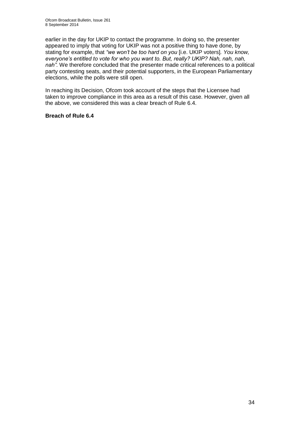earlier in the day for UKIP to contact the programme. In doing so, the presenter appeared to imply that voting for UKIP was not a positive thing to have done, by stating for example, that *"we won't be too hard on you* [i.e. UKIP voters]*. You know, everyone's entitled to vote for who you want to. But, really? UKIP? Nah, nah, nah, nah".* We therefore concluded that the presenter made critical references to a political party contesting seats, and their potential supporters, in the European Parliamentary elections, while the polls were still open.

In reaching its Decision, Ofcom took account of the steps that the Licensee had taken to improve compliance in this area as a result of this case. However, given all the above, we considered this was a clear breach of Rule 6.4.

## **Breach of Rule 6.4**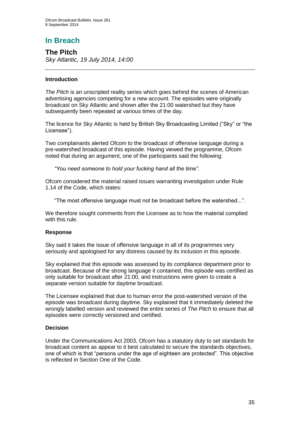**The Pitch** *Sky Atlantic, 19 July 2014, 14:00*

## **Introduction**

*The Pitch* is an unscripted reality series which goes behind the scenes of American advertising agencies competing for a new account. The episodes were originally broadcast on Sky Atlantic and shown after the 21:00 watershed but they have subsequently been repeated at various times of the day.

The licence for Sky Atlantic is held by British Sky Broadcasting Limited ("Sky" or "the Licensee").

Two complainants alerted Ofcom to the broadcast of offensive language during a pre-watershed broadcast of this episode. Having viewed the programme, Ofcom noted that during an argument, one of the participants said the following:

*"You need someone to hold your fucking hand all the time"*.

Ofcom considered the material raised issues warranting investigation under Rule 1.14 of the Code, which states:

"The most offensive language must not be broadcast before the watershed...".

We therefore sought comments from the Licensee as to how the material complied with this rule.

## **Response**

Sky said it takes the issue of offensive language in all of its programmes very seriously and apologised for any distress caused by its inclusion in this episode.

Sky explained that this episode was assessed by its compliance department prior to broadcast. Because of the strong language it contained, this episode was certified as only suitable for broadcast after 21:00, and instructions were given to create a separate version suitable for daytime broadcast.

The Licensee explained that due to human error the post-watershed version of the episode was broadcast during daytime. Sky explained that it immediately deleted the wrongly labelled version and reviewed the entire series of *The Pitch* to ensure that all episodes were correctly versioned and certified.

## **Decision**

Under the Communications Act 2003, Ofcom has a statutory duty to set standards for broadcast content as appear to it best calculated to secure the standards objectives, one of which is that "persons under the age of eighteen are protected". This objective is reflected in Section One of the Code.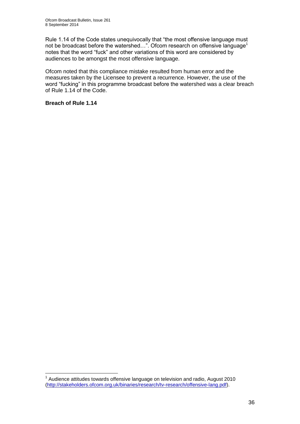Rule 1.14 of the Code states unequivocally that "the most offensive language must not be broadcast before the watershed...". Ofcom research on offensive language<sup>1</sup> notes that the word "fuck" and other variations of this word are considered by audiences to be amongst the most offensive language.

Ofcom noted that this compliance mistake resulted from human error and the measures taken by the Licensee to prevent a recurrence. However, the use of the word "fucking" in this programme broadcast before the watershed was a clear breach of Rule 1.14 of the Code.

### **Breach of Rule 1.14**

1

 $1$  Audience attitudes towards offensive language on television and radio, August 2010 [\(http://stakeholders.ofcom.org.uk/binaries/research/tv-research/offensive-lang.pdf\)](http://stakeholders.ofcom.org.uk/binaries/research/tv-research/offensive-lang.pdf).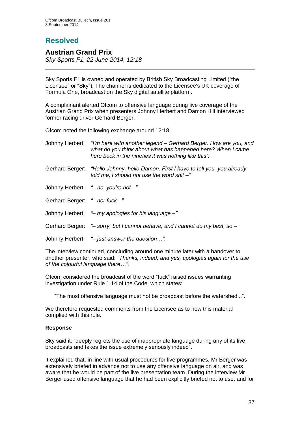## **Resolved**

### **Austrian Grand Prix**

*Sky Sports F1, 22 June 2014, 12:18*

Sky Sports F1 is owned and operated by British Sky Broadcasting Limited ("the Licensee" or "Sky"). The channel is dedicated to the Licensee's UK coverage of Formula One, broadcast on the Sky digital satellite platform.

A complainant alerted Ofcom to offensive language during live coverage of the Austrian Grand Prix when presenters Johnny Herbert and Damon Hill interviewed former racing driver Gerhard Berger.

Ofcom noted the following exchange around 12:18:

|                               | Johnny Herbert: "I'm here with another legend – Gerhard Berger. How are you, and<br>what do you think about what has happened here? When I came<br>here back in the nineties it was nothing like this". |
|-------------------------------|---------------------------------------------------------------------------------------------------------------------------------------------------------------------------------------------------------|
| Gerhard Berger:               | "Hello Johnny, hello Damon. First I have to tell you, you already<br>told me, I should not use the word shit -"                                                                                         |
|                               | Johnny Herbert: "- no, you're not -"                                                                                                                                                                    |
| Gerhard Berger: "- nor fuck-" |                                                                                                                                                                                                         |
|                               | Johnny Herbert: "- my apologies for his language -"                                                                                                                                                     |
|                               | Gerhard Berger: "- sorry, but I cannot behave, and I cannot do my best, so -"                                                                                                                           |
|                               | Johnny Herbert: "- just answer the question".                                                                                                                                                           |

The interview continued, concluding around one minute later with a handover to another presenter, who said: *"Thanks, indeed, and yes, apologies again for the use of the colourful language there…".*

Ofcom considered the broadcast of the word "fuck" raised issues warranting investigation under Rule 1.14 of the Code, which states:

"The most offensive language must not be broadcast before the watershed...".

We therefore requested comments from the Licensee as to how this material complied with this rule.

### **Response**

Sky said it: "deeply regrets the use of inappropriate language during any of its live broadcasts and takes the issue extremely seriously indeed".

It explained that, in line with usual procedures for live programmes, Mr Berger was extensively briefed in advance not to use any offensive language on air, and was aware that he would be part of the live presentation team. During the interview Mr Berger used offensive language that he had been explicitly briefed not to use, and for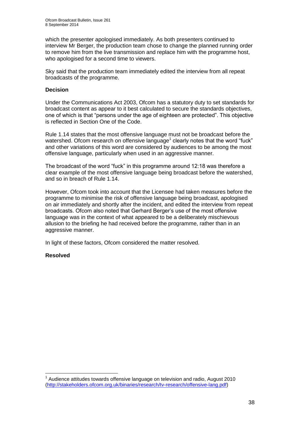which the presenter apologised immediately. As both presenters continued to interview Mr Berger, the production team chose to change the planned running order to remove him from the live transmission and replace him with the programme host, who apologised for a second time to viewers.

Sky said that the production team immediately edited the interview from all repeat broadcasts of the programme.

### **Decision**

Under the Communications Act 2003, Ofcom has a statutory duty to set standards for broadcast content as appear to it best calculated to secure the standards objectives, one of which is that "persons under the age of eighteen are protected". This objective is reflected in Section One of the Code.

Rule 1.14 states that the most offensive language must not be broadcast before the watershed. Ofcom research on offensive language<sup>1</sup> clearly notes that the word "fuck" and other variations of this word are considered by audiences to be among the most offensive language, particularly when used in an aggressive manner.

The broadcast of the word "fuck" in this programme around 12:18 was therefore a clear example of the most offensive language being broadcast before the watershed, and so in breach of Rule 1.14.

However, Ofcom took into account that the Licensee had taken measures before the programme to minimise the risk of offensive language being broadcast, apologised on air immediately and shortly after the incident, and edited the interview from repeat broadcasts. Ofcom also noted that Gerhard Berger's use of the most offensive language was in the context of what appeared to be a deliberately mischievous allusion to the briefing he had received before the programme, rather than in an aggressive manner.

In light of these factors, Ofcom considered the matter resolved.

### **Resolved**

1

 $1$  Audience attitudes towards offensive language on television and radio, August 2010 [\(http://stakeholders.ofcom.org.uk/binaries/research/tv-research/offensive-lang.pdf\)](http://stakeholders.ofcom.org.uk/binaries/research/tv-research/offensive-lang.pdf)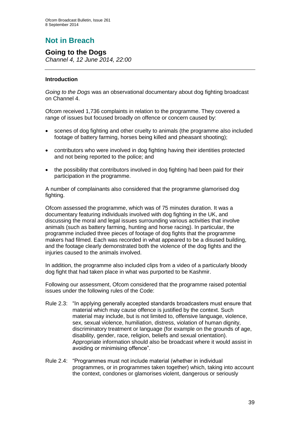# **Not in Breach**

### **Going to the Dogs**

*Channel 4, 12 June 2014, 22:00*

### **Introduction**

*Going to the Dogs* was an observational documentary about dog fighting broadcast on Channel 4.

Ofcom received 1,736 complaints in relation to the programme. They covered a range of issues but focused broadly on offence or concern caused by:

- scenes of dog fighting and other cruelty to animals (the programme also included footage of battery farming, horses being killed and pheasant shooting);
- contributors who were involved in dog fighting having their identities protected and not being reported to the police; and
- the possibility that contributors involved in dog fighting had been paid for their participation in the programme.

A number of complainants also considered that the programme glamorised dog fighting.

Ofcom assessed the programme, which was of 75 minutes duration. It was a documentary featuring individuals involved with dog fighting in the UK, and discussing the moral and legal issues surrounding various activities that involve animals (such as battery farming, hunting and horse racing). In particular, the programme included three pieces of footage of dog fights that the programme makers had filmed. Each was recorded in what appeared to be a disused building, and the footage clearly demonstrated both the violence of the dog fights and the injuries caused to the animals involved.

In addition, the programme also included clips from a video of a particularly bloody dog fight that had taken place in what was purported to be Kashmir.

Following our assessment, Ofcom considered that the programme raised potential issues under the following rules of the Code:

- Rule 2.3: "In applying generally accepted standards broadcasters must ensure that material which may cause offence is justified by the context. Such material may include, but is not limited to, offensive language, violence, sex, sexual violence, humiliation, distress, violation of human dignity, discriminatory treatment or language (for example on the grounds of age, disability, gender, race, religion, beliefs and sexual orientation). Appropriate information should also be broadcast where it would assist in avoiding or minimising offence".
- Rule 2.4: "Programmes must not include material (whether in individual programmes, or in programmes taken together) which, taking into account the context, condones or glamorises violent, dangerous or seriously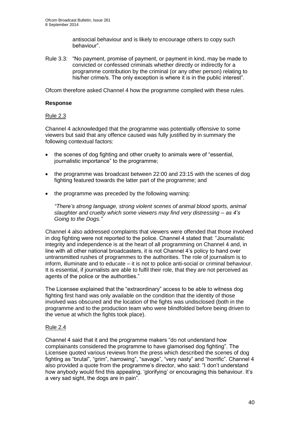antisocial behaviour and is likely to encourage others to copy such behaviour".

Rule 3.3: "No payment, promise of payment, or payment in kind, may be made to convicted or confessed criminals whether directly or indirectly for a programme contribution by the criminal (or any other person) relating to his/her crime/s. The only exception is where it is in the public interest".

Ofcom therefore asked Channel 4 how the programme complied with these rules.

### **Response**

### Rule 2.3

Channel 4 acknowledged that the programme was potentially offensive to some viewers but said that any offence caused was fully justified by in summary the following contextual factors:

- the scenes of dog fighting and other cruelty to animals were of "essential, journalistic importance" to the programme;
- the programme was broadcast between 22:00 and 23:15 with the scenes of dog fighting featured towards the latter part of the programme; and
- the programme was preceded by the following warning:

*"There's strong language, strong violent scenes of animal blood sports, animal slaughter and cruelty which some viewers may find very distressing – as 4's Going to the Dogs."*

Channel 4 also addressed complaints that viewers were offended that those involved in dog fighting were not reported to the police. Channel 4 stated that: "Journalistic integrity and independence is at the heart of all programming on Channel 4 and, in line with all other national broadcasters, it is not Channel 4's policy to hand over untransmitted rushes of programmes to the authorities. The role of journalism is to inform, illuminate and to educate – it is not to police anti-social or criminal behaviour. It is essential, if journalists are able to fulfil their role, that they are not perceived as agents of the police or the authorities."

The Licensee explained that the "extraordinary" access to be able to witness dog fighting first hand was only available on the condition that the identity of those involved was obscured and the location of the fights was undisclosed (both in the programme and to the production team who were blindfolded before being driven to the venue at which the fights took place).

### Rule 2.4

Channel 4 said that it and the programme makers "do not understand how complainants considered the programme to have glamorised dog fighting". The Licensee quoted various reviews from the press which described the scenes of dog fighting as "brutal", "grim", harrowing", "savage", "very nasty" and "horrific". Channel 4 also provided a quote from the programme's director, who said: "I don't understand how anybody would find this appealing, 'glorifying' or encouraging this behaviour. It's a very sad sight, the dogs are in pain".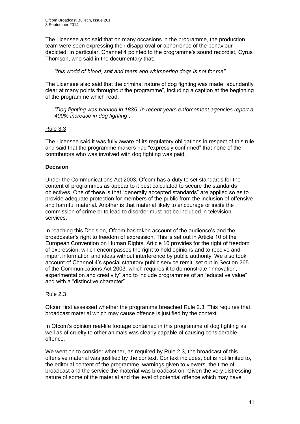The Licensee also said that on many occasions in the programme, the production team were seen expressing their disapproval or abhorrence of the behaviour depicted. In particular, Channel 4 pointed to the programme's sound recordist, Cyrus Thomson, who said in the documentary that:

*"this world of blood, shit and tears and whimpering dogs is not for me".* 

The Licensee also said that the criminal nature of dog fighting was made "abundantly clear at many points throughout the programme", including a caption at the beginning of the programme which read:

*"Dog fighting was banned in 1835. In recent years enforcement agencies report a 400% increase in dog fighting".* 

### Rule 3.3

The Licensee said it was fully aware of its regulatory obligations in respect of this rule and said that the programme makers had "expressly confirmed" that none of the contributors who was involved with dog fighting was paid.

### **Decision**

Under the Communications Act 2003, Ofcom has a duty to set standards for the content of programmes as appear to it best calculated to secure the standards objectives. One of these is that "generally accepted standards" are applied so as to provide adequate protection for members of the public from the inclusion of offensive and harmful material. Another is that material likely to encourage or incite the commission of crime or to lead to disorder must not be included in television services.

In reaching this Decision, Ofcom has taken account of the audience's and the broadcaster's right to freedom of expression. This is set out in Article 10 of the European Convention on Human Rights. Article 10 provides for the right of freedom of expression, which encompasses the right to hold opinions and to receive and impart information and ideas without interference by public authority. We also took account of Channel 4's special statutory public service remit, set out in Section 265 of the Communications Act 2003, which requires it to demonstrate "innovation, experimentation and creativity" and to include programmes of an "educative value" and with a "distinctive character".

### Rule 2.3

Ofcom first assessed whether the programme breached Rule 2.3. This requires that broadcast material which may cause offence is justified by the context.

In Ofcom's opinion real-life footage contained in this programme of dog fighting as well as of cruelty to other animals was clearly capable of causing considerable offence.

We went on to consider whether, as required by Rule 2.3, the broadcast of this offensive material was justified by the context. Context includes, but is not limited to, the editorial content of the programme, warnings given to viewers, the time of broadcast and the service the material was broadcast on. Given the very distressing nature of some of the material and the level of potential offence which may have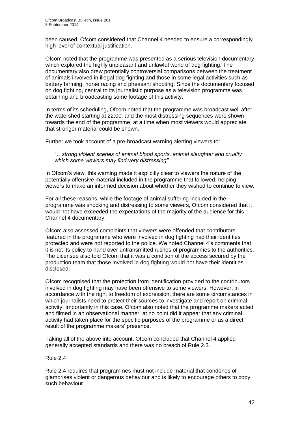been caused, Ofcom considered that Channel 4 needed to ensure a correspondingly high level of contextual justification.

Ofcom noted that the programme was presented as a serious television documentary which explored the highly unpleasant and unlawful world of dog fighting. The documentary also drew potentially controversial comparisons between the treatment of animals involved in illegal dog fighting and those in some legal activities such as battery farming, horse racing and pheasant shooting. Since the documentary focused on dog fighting, central to its journalistic purpose as a television programme was obtaining and broadcasting some footage of this activity.

In terms of its scheduling, Ofcom noted that the programme was broadcast well after the watershed starting at 22:00, and the most distressing sequences were shown towards the end of the programme, at a time when most viewers would appreciate that stronger material could be shown.

Further we took account of a pre-broadcast warning alerting viewers to:

*"…strong violent scenes of animal blood sports, animal slaughter and cruelty which some viewers may find very distressing".*

In Ofcom's view, this warning made it explicitly clear to viewers the nature of the potentially offensive material included in the programme that followed, helping viewers to make an informed decision about whether they wished to continue to view.

For all these reasons, while the footage of animal suffering included in the programme was shocking and distressing to some viewers, Ofcom considered that it would not have exceeded the expectations of the majority of the audience for this Channel 4 documentary.

Ofcom also assessed complaints that viewers were offended that contributors featured in the programme who were involved in dog fighting had their identities protected and were not reported to the police. We noted Channel 4's comments that it is not its policy to hand over untransmitted rushes of programmes to the authorities. The Licensee also told Ofcom that it was a condition of the access secured by the production team that those involved in dog fighting would not have their identities disclosed.

Ofcom recognised that the protection from identification provided to the contributors involved in dog fighting may have been offensive to some viewers. However, in accordance with the right to freedom of expression, there are some circumstances in which journalists need to protect their sources to investigate and report on criminal activity. Importantly in this case, Ofcom also noted that the programme makers acted and filmed in an observational manner: at no point did it appear that any criminal activity had taken place for the specific purposes of the programme or as a direct result of the programme makers' presence.

Taking all of the above into account, Ofcom concluded that Channel 4 applied generally accepted standards and there was no breach of Rule 2.3.

### Rule 2.4

Rule 2.4 requires that programmes must not include material that condones of glamorises violent or dangerous behaviour and is likely to encourage others to copy such behaviour.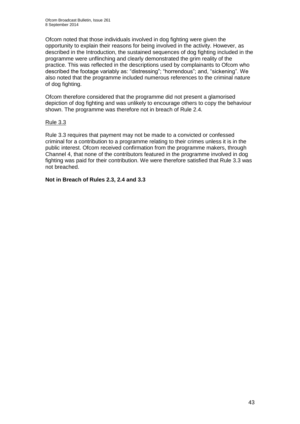Ofcom noted that those individuals involved in dog fighting were given the opportunity to explain their reasons for being involved in the activity. However, as described in the Introduction, the sustained sequences of dog fighting included in the programme were unflinching and clearly demonstrated the grim reality of the practice. This was reflected in the descriptions used by complainants to Ofcom who described the footage variably as: "distressing"; "horrendous"; and, "sickening". We also noted that the programme included numerous references to the criminal nature of dog fighting.

Ofcom therefore considered that the programme did not present a glamorised depiction of dog fighting and was unlikely to encourage others to copy the behaviour shown. The programme was therefore not in breach of Rule 2.4.

### Rule 3.3

Rule 3.3 requires that payment may not be made to a convicted or confessed criminal for a contribution to a programme relating to their crimes unless it is in the public interest. Ofcom received confirmation from the programme makers, through Channel 4, that none of the contributors featured in the programme involved in dog fighting was paid for their contribution. We were therefore satisfied that Rule 3.3 was not breached.

**Not in Breach of Rules 2.3, 2.4 and 3.3**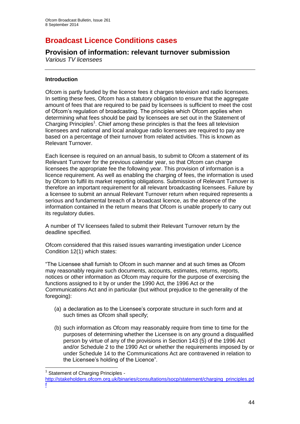# **Broadcast Licence Conditions cases**

## **Provision of information: relevant turnover submission**

*Various TV licensees*

### **Introduction**

Ofcom is partly funded by the licence fees it charges television and radio licensees. In setting these fees, Ofcom has a statutory obligation to ensure that the aggregate amount of fees that are required to be paid by licensees is sufficient to meet the cost of Ofcom's regulation of broadcasting. The principles which Ofcom applies when determining what fees should be paid by licensees are set out in the Statement of Charging Principles<sup>1</sup>. Chief among these principles is that the fees all television licensees and national and local analogue radio licensees are required to pay are based on a percentage of their turnover from related activities. This is known as Relevant Turnover.

Each licensee is required on an annual basis, to submit to Ofcom a statement of its Relevant Turnover for the previous calendar year, so that Ofcom can charge licensees the appropriate fee the following year. This provision of information is a licence requirement. As well as enabling the charging of fees, the information is used by Ofcom to fulfil its market reporting obligations. Submission of Relevant Turnover is therefore an important requirement for all relevant broadcasting licensees. Failure by a licensee to submit an annual Relevant Turnover return when required represents a serious and fundamental breach of a broadcast licence, as the absence of the information contained in the return means that Ofcom is unable properly to carry out its regulatory duties.

A number of TV licensees failed to submit their Relevant Turnover return by the deadline specified.

Ofcom considered that this raised issues warranting investigation under Licence Condition 12(1) which states:

"The Licensee shall furnish to Ofcom in such manner and at such times as Ofcom may reasonably require such documents, accounts, estimates, returns, reports, notices or other information as Ofcom may require for the purpose of exercising the functions assigned to it by or under the 1990 Act, the 1996 Act or the Communications Act and in particular (but without prejudice to the generality of the foregoing):

- (a) a declaration as to the Licensee's corporate structure in such form and at such times as Ofcom shall specify;
- (b) such information as Ofcom may reasonably require from time to time for the purposes of determining whether the Licensee is on any ground a disqualified person by virtue of any of the provisions in Section 143 (5) of the 1996 Act and/or Schedule 2 to the 1990 Act or whether the requirements imposed by or under Schedule 14 to the Communications Act are contravened in relation to the Licensee's holding of the Licence".

1

[f](http://stakeholders.ofcom.org.uk/binaries/consultations/socp/statement/charging_principles.pdf)

<sup>&</sup>lt;sup>1</sup> Statement of Charging Principles -

[http://stakeholders.ofcom.org.uk/binaries/consultations/socp/statement/charging\\_principles.pd](http://stakeholders.ofcom.org.uk/binaries/consultations/socp/statement/charging_principles.pdf)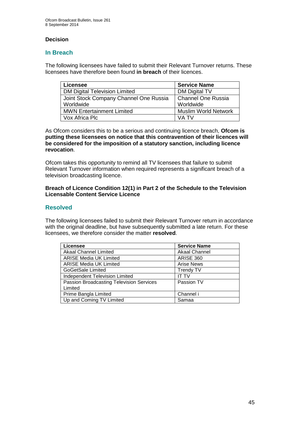### **Decision**

### **In Breach**

The following licensees have failed to submit their Relevant Turnover returns. These licensees have therefore been found **in breach** of their licences.

| <b>Licensee</b>                        | <b>Service Name</b>         |
|----------------------------------------|-----------------------------|
| <b>DM Digital Television Limited</b>   | DM Digital TV               |
| Joint Stock Company Channel One Russia | <b>Channel One Russia</b>   |
| Worldwide                              | Worldwide                   |
| <b>MWN Entertainment Limited</b>       | <b>Muslim World Network</b> |
| Vox Africa Plc                         | VA TV                       |

As Ofcom considers this to be a serious and continuing licence breach, **Ofcom is putting these licensees on notice that this contravention of their licences will be considered for the imposition of a statutory sanction, including licence revocation**.

Ofcom takes this opportunity to remind all TV licensees that failure to submit Relevant Turnover information when required represents a significant breach of a television broadcasting licence.

#### **Breach of Licence Condition 12(1) in Part 2 of the Schedule to the Television Licensable Content Service Licence**

### **Resolved**

The following licensees failed to submit their Relevant Turnover return in accordance with the original deadline, but have subsequently submitted a late return. For these licensees, we therefore consider the matter **resolved**.

| Licensee                                        | <b>Service Name</b>  |
|-------------------------------------------------|----------------------|
| <b>Akaal Channel Limited</b>                    | <b>Akaal Channel</b> |
| <b>ARISE Media UK Limited</b>                   | <b>ARISE 360</b>     |
| <b>ARISE Media UK Limited</b>                   | <b>Arise News</b>    |
| GoGetSale Limited                               | <b>Trendy TV</b>     |
| <b>Independent Television Limited</b>           | IT TV                |
| <b>Passion Broadcasting Television Services</b> | Passion TV           |
| Limited                                         |                      |
| Prime Bangla Limited                            | Channel i            |
| Up and Coming TV Limited                        | Samaa                |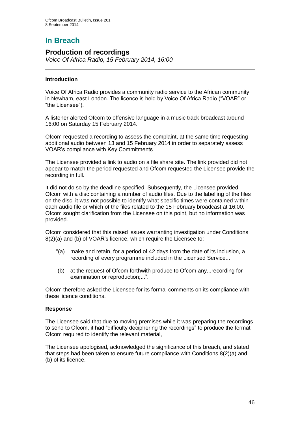# **In Breach**

### **Production of recordings**

*Voice Of Africa Radio, 15 February 2014, 16:00*

### **Introduction**

Voice Of Africa Radio provides a community radio service to the African community in Newham, east London. The licence is held by Voice Of Africa Radio ("VOAR" or "the Licensee").

A listener alerted Ofcom to offensive language in a music track broadcast around 16:00 on Saturday 15 February 2014.

Ofcom requested a recording to assess the complaint, at the same time requesting additional audio between 13 and 15 February 2014 in order to separately assess VOAR's compliance with Key Commitments.

The Licensee provided a link to audio on a file share site. The link provided did not appear to match the period requested and Ofcom requested the Licensee provide the recording in full.

It did not do so by the deadline specified. Subsequently, the Licensee provided Ofcom with a disc containing a number of audio files. Due to the labelling of the files on the disc, it was not possible to identify what specific times were contained within each audio file or which of the files related to the 15 February broadcast at 16:00. Ofcom sought clarification from the Licensee on this point, but no information was provided.

Ofcom considered that this raised issues warranting investigation under Conditions 8(2)(a) and (b) of VOAR's licence, which require the Licensee to:

- "(a) make and retain, for a period of 42 days from the date of its inclusion, a recording of every programme included in the Licensed Service...
- (b) at the request of Ofcom forthwith produce to Ofcom any...recording for examination or reproduction;...".

Ofcom therefore asked the Licensee for its formal comments on its compliance with these licence conditions.

### **Response**

The Licensee said that due to moving premises while it was preparing the recordings to send to Ofcom, it had "difficulty deciphering the recordings" to produce the format Ofcom required to identify the relevant material,

The Licensee apologised, acknowledged the significance of this breach, and stated that steps had been taken to ensure future compliance with Conditions 8(2)(a) and (b) of its licence.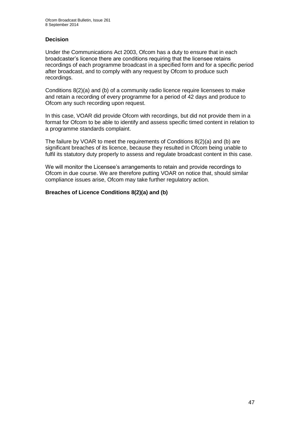### **Decision**

Under the Communications Act 2003, Ofcom has a duty to ensure that in each broadcaster's licence there are conditions requiring that the licensee retains recordings of each programme broadcast in a specified form and for a specific period after broadcast, and to comply with any request by Ofcom to produce such recordings.

Conditions 8(2)(a) and (b) of a community radio licence require licensees to make and retain a recording of every programme for a period of 42 days and produce to Ofcom any such recording upon request.

In this case, VOAR did provide Ofcom with recordings, but did not provide them in a format for Ofcom to be able to identify and assess specific timed content in relation to a programme standards complaint.

The failure by VOAR to meet the requirements of Conditions  $8(2)(a)$  and (b) are significant breaches of its licence, because they resulted in Ofcom being unable to fulfil its statutory duty properly to assess and regulate broadcast content in this case.

We will monitor the Licensee's arrangements to retain and provide recordings to Ofcom in due course. We are therefore putting VOAR on notice that, should similar compliance issues arise, Ofcom may take further regulatory action.

### **Breaches of Licence Conditions 8(2)(a) and (b)**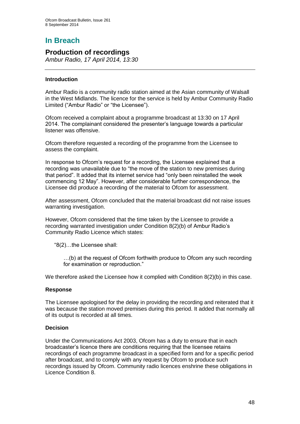# **In Breach**

### **Production of recordings**

*Ambur Radio, 17 April 2014, 13:30*

### **Introduction**

Ambur Radio is a community radio station aimed at the Asian community of Walsall in the West Midlands. The licence for the service is held by Ambur Community Radio Limited ("Ambur Radio" or "the Licensee").

Ofcom received a complaint about a programme broadcast at 13:30 on 17 April 2014. The complainant considered the presenter's language towards a particular listener was offensive.

Ofcom therefore requested a recording of the programme from the Licensee to assess the complaint.

In response to Ofcom's request for a recording, the Licensee explained that a recording was unavailable due to "the move of the station to new premises during that period". It added that its internet service had "only been reinstalled the week commencing 12 May". However, after considerable further correspondence, the Licensee did produce a recording of the material to Ofcom for assessment.

After assessment, Ofcom concluded that the material broadcast did not raise issues warranting investigation.

However, Ofcom considered that the time taken by the Licensee to provide a recording warranted investigation under Condition 8(2)(b) of Ambur Radio's Community Radio Licence which states:

"8(2)…the Licensee shall:

…(b) at the request of Ofcom forthwith produce to Ofcom any such recording for examination or reproduction."

We therefore asked the Licensee how it complied with Condition  $8(2)(b)$  in this case.

### **Response**

The Licensee apologised for the delay in providing the recording and reiterated that it was because the station moved premises during this period. It added that normally all of its output is recorded at all times.

### **Decision**

Under the Communications Act 2003, Ofcom has a duty to ensure that in each broadcaster's licence there are conditions requiring that the licensee retains recordings of each programme broadcast in a specified form and for a specific period after broadcast, and to comply with any request by Ofcom to produce such recordings issued by Ofcom. Community radio licences enshrine these obligations in Licence Condition 8.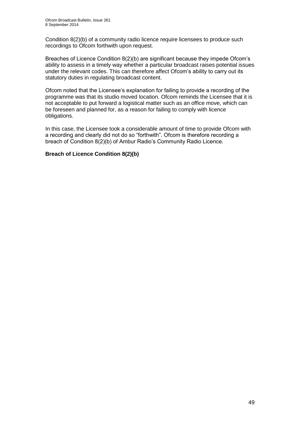Condition 8(2)(b) of a community radio licence require licensees to produce such recordings to Ofcom forthwith upon request.

Breaches of Licence Condition 8(2)(b) are significant because they impede Ofcom's ability to assess in a timely way whether a particular broadcast raises potential issues under the relevant codes. This can therefore affect Ofcom's ability to carry out its statutory duties in regulating broadcast content.

Ofcom noted that the Licensee's explanation for failing to provide a recording of the programme was that its studio moved location. Ofcom reminds the Licensee that it is not acceptable to put forward a logistical matter such as an office move, which can be foreseen and planned for, as a reason for failing to comply with licence obligations.

In this case, the Licensee took a considerable amount of time to provide Ofcom with a recording and clearly did not do so "forthwith". Ofcom is therefore recording a breach of Condition 8(2)(b) of Ambur Radio's Community Radio Licence.

### **Breach of Licence Condition 8(2)(b)**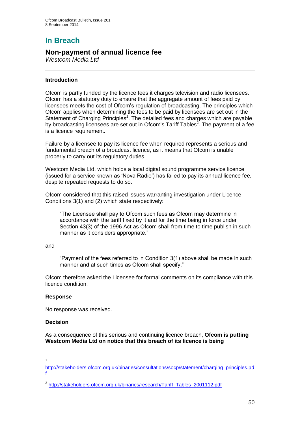## **In Breach**

### **Non-payment of annual licence fee**

*Westcom Media Ltd* 

### **Introduction**

Ofcom is partly funded by the licence fees it charges television and radio licensees. Ofcom has a statutory duty to ensure that the aggregate amount of fees paid by licensees meets the cost of Ofcom's regulation of broadcasting. The principles which Ofcom applies when determining the fees to be paid by licensees are set out in the Statement of Charging Principles<sup>1</sup>. The detailed fees and charges which are payable by broadcasting licensees are set out in Ofcom's Tariff Tables<sup>2</sup>. The payment of a fee is a licence requirement.

Failure by a licensee to pay its licence fee when required represents a serious and fundamental breach of a broadcast licence, as it means that Ofcom is unable properly to carry out its regulatory duties.

Westcom Media Ltd, which holds a local digital sound programme service licence (issued for a service known as 'Nova Radio') has failed to pay its annual licence fee, despite repeated requests to do so.

Ofcom considered that this raised issues warranting investigation under Licence Conditions 3(1) and (2) which state respectively:

"The Licensee shall pay to Ofcom such fees as Ofcom may determine in accordance with the tariff fixed by it and for the time being in force under Section 43(3) of the 1996 Act as Ofcom shall from time to time publish in such manner as it considers appropriate."

#### and

"Payment of the fees referred to in Condition 3(1) above shall be made in such manner and at such times as Ofcom shall specify."

Ofcom therefore asked the Licensee for formal comments on its compliance with this licence condition.

### **Response**

No response was received.

### **Decision**

 $\frac{1}{1}$ 

As a consequence of this serious and continuing licence breach, **Ofcom is putting Westcom Media Ltd on notice that this breach of its licence is being** 

[http://stakeholders.ofcom.org.uk/binaries/consultations/socp/statement/charging\\_principles.pd](http://stakeholders.ofcom.org.uk/binaries/consultations/socp/statement/charging_principles.pdf) [f](http://stakeholders.ofcom.org.uk/binaries/consultations/socp/statement/charging_principles.pdf)

<sup>&</sup>lt;sup>2</sup> [http://stakeholders.ofcom.org.uk/binaries/research/Tariff\\_Tables\\_2001112.pdf](http://stakeholders.ofcom.org.uk/binaries/research/Tariff_Tables_2001112.pdf)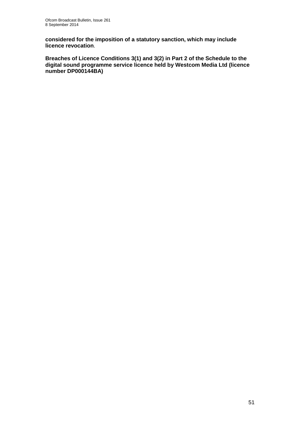**considered for the imposition of a statutory sanction, which may include licence revocation**.

**Breaches of Licence Conditions 3(1) and 3(2) in Part 2 of the Schedule to the digital sound programme service licence held by Westcom Media Ltd (licence number DP000144BA)**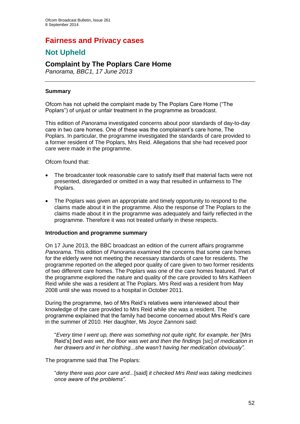## **Fairness and Privacy cases**

## **Not Upheld**

## **Complaint by The Poplars Care Home**

*Panorama, BBC1, 17 June 2013*

### **Summary**

Ofcom has not upheld the complaint made by The Poplars Care Home ("The Poplars") of unjust or unfair treatment in the programme as broadcast.

This edition of *Panorama* investigated concerns about poor standards of day-to-day care in two care homes. One of these was the complainant's care home, The Poplars. In particular, the programme investigated the standards of care provided to a former resident of The Poplars, Mrs Reid. Allegations that she had received poor care were made in the programme.

Ofcom found that:

- The broadcaster took reasonable care to satisfy itself that material facts were not presented, disregarded or omitted in a way that resulted in unfairness to The Poplars.
- The Poplars was given an appropriate and timely opportunity to respond to the claims made about it in the programme. Also the response of The Poplars to the claims made about it in the programme was adequately and fairly reflected in the programme. Therefore it was not treated unfairly in these respects.

### **Introduction and programme summary**

On 17 June 2013, the BBC broadcast an edition of the current affairs programme *Panorama*. This edition of *Panorama* examined the concerns that some care homes for the elderly were not meeting the necessary standards of care for residents. The programme reported on the alleged poor quality of care given to two former residents of two different care homes. The Poplars was one of the care homes featured. Part of the programme explored the nature and quality of the care provided to Mrs Kathleen Reid while she was a resident at The Poplars. Mrs Reid was a resident from May 2008 until she was moved to a hospital in October 2011.

During the programme, two of Mrs Reid's relatives were interviewed about their knowledge of the care provided to Mrs Reid while she was a resident. The programme explained that the family had become concerned about Mrs Reid's care in the summer of 2010. Her daughter, Ms Joyce Zannoni said:

"*Every time I went up, there was something not quite right, for example, her* [Mrs Reid's] *bed was wet, the floor was wet and then the findings* [sic] *of medication in her drawers and in her clothing...she wasn't having her medication obviously".*

The programme said that The Poplars:

"*deny there was poor care and...*[said] *it checked Mrs Reid was taking medicines once aware of the problems".*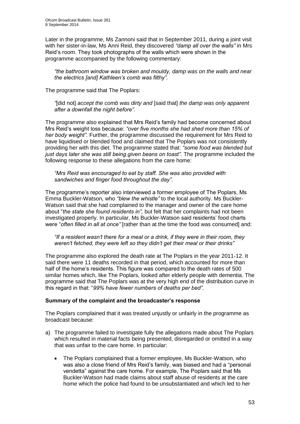Later in the programme, Ms Zannoni said that in September 2011, during a joint visit with her sister-in-law, Ms Anni Reid, they discovered *"damp all over the walls"* in Mrs Reid's room. They took photographs of the walls which were shown in the programme accompanied by the following commentary:

*"the bathroom window was broken and mouldy, damp was on the walls and near the electrics [and] Kathleen's comb was filthy".*

The programme said that The Poplars:

*"*[did not] *accept the comb was dirty and* [said that] *the damp was only apparent after a downfall the night before".*

The programme also explained that Mrs Reid's family had become concerned about Mrs Reid's weight loss because: *"over five months she had shed more than 15% of her body weight".* Further, the programme discussed the requirement for Mrs Reid to have liquidised or blended food and claimed that The Poplars was not consistently providing her with this diet. The programme stated that: *"some food was blended but*  just days later she was still being given beans on toast". The programme included the following response to these allegations from the care home:

*"Mrs Reid was encouraged to eat by staff. She was also provided with sandwiches and finger food throughout the day".*

The programme's reporter also interviewed a former employee of The Poplars, Ms Emma Buckler-Watson, who *"blew the whistle"* to the local authority. Ms Buckler-Watson said that she had complained to the manager and owner of the care home about "*the state she found residents in",* but felt that her complaints had not been investigated properly. In particular, Ms Buckler-Watson said residents' food charts were "*often filled in all at once*" [rather than at the time the food was consumed] and:

*"If a resident wasn't there for a meal or a drink, if they were in their room, they weren't fetched, they were left so they didn't get their meal or their drinks"*

The programme also explored the death rate at The Poplars in the year 2011-12. It said there were 11 deaths recorded in that period, which accounted for more than half of the home's residents. This figure was compared to the death rates of 500 similar homes which, like The Poplars, looked after elderly people with dementia. The programme said that The Poplars was at the very high end of the distribution curve in this regard in that: "*99% have fewer numbers of deaths per bed".*

### **Summary of the complaint and the broadcaster's response**

The Poplars complained that it was treated unjustly or unfairly in the programme as broadcast because:

- a) The programme failed to investigate fully the allegations made about The Poplars which resulted in material facts being presented, disregarded or omitted in a way that was unfair to the care home. In particular:
	- The Poplars complained that a former employee, Ms Buckler-Watson, who was also a close friend of Mrs Reid's family, was biased and had a "personal vendetta" against the care home. For example, The Poplars said that Ms Buckler-Watson had made claims about staff abuse of residents at the care home which the police had found to be unsubstantiated and which led to her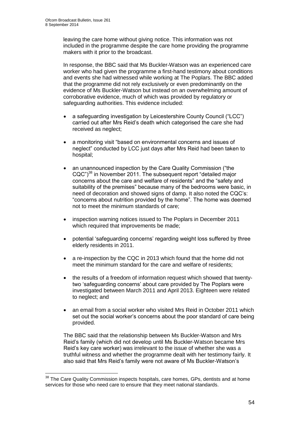1

leaving the care home without giving notice. This information was not included in the programme despite the care home providing the programme makers with it prior to the broadcast.

In response, the BBC said that Ms Buckler-Watson was an experienced care worker who had given the programme a first-hand testimony about conditions and events she had witnessed while working at The Poplars. The BBC added that the programme did not rely exclusively or even predominantly on the evidence of Ms Buckler-Watson but instead on an overwhelming amount of corroborative evidence, much of which was provided by regulatory or safeguarding authorities. This evidence included:

- a safeguarding investigation by Leicestershire County Council ("LCC") carried out after Mrs Reid's death which categorised the care she had received as neglect;
- a monitoring visit "based on environmental concerns and issues of neglect" conducted by LCC just days after Mrs Reid had been taken to hospital;
- an unannounced inspection by the Care Quality Commission ("the CQC")<sup>38</sup> in November 2011. The subsequent report "detailed major concerns about the care and welfare of residents" and the "safety and suitability of the premises" because many of the bedrooms were basic, in need of decoration and showed signs of damp. It also noted the CQC's: "concerns about nutrition provided by the home". The home was deemed not to meet the minimum standards of care;
- inspection warning notices issued to The Poplars in December 2011 which required that improvements be made;
- potential 'safeguarding concerns' regarding weight loss suffered by three elderly residents in 2011.
- a re-inspection by the CQC in 2013 which found that the home did not meet the minimum standard for the care and welfare of residents;
- the results of a freedom of information request which showed that twentytwo 'safeguarding concerns' about care provided by The Poplars were investigated between March 2011 and April 2013. Eighteen were related to neglect; and
- an email from a social worker who visited Mrs Reid in October 2011 which set out the social worker's concerns about the poor standard of care being provided.

The BBC said that the relationship between Ms Buckler-Watson and Mrs Reid's family (which did not develop until Ms Buckler-Watson became Mrs Reid's key care worker) was irrelevant to the issue of whether she was a truthful witness and whether the programme dealt with her testimony fairly. It also said that Mrs Reid's family were not aware of Ms Buckler-Watson's

 $38$  The Care Quality Commission inspects hospitals, care homes, GPs, dentists and at home services for those who need care to ensure that they meet national standards.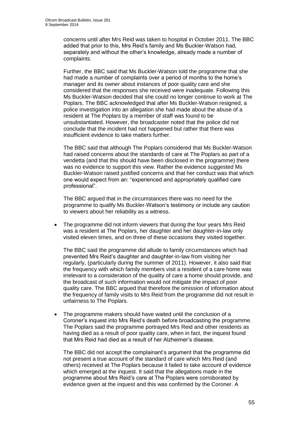concerns until after Mrs Reid was taken to hospital in October 2011. The BBC added that prior to this, Mrs Reid's family and Ms Buckler-Watson had, separately and without the other's knowledge, already made a number of complaints.

Further, the BBC said that Ms Buckler-Watson told the programme that she had made a number of complaints over a period of months to the home's manager and its owner about instances of poor quality care and she considered that the responses she received were inadequate. Following this Ms Buckler-Watson decided that she could no longer continue to work at The Poplars. The BBC acknowledged that after Ms Buckler-Watson resigned, a police investigation into an allegation she had made about the abuse of a resident at The Poplars by a member of staff was found to be unsubstantiated. However, the broadcaster noted that the police did not conclude that the incident had not happened but rather that there was insufficient evidence to take matters further.

The BBC said that although The Poplars considered that Ms Buckler-Watson had raised concerns about the standards of care at The Poplars as part of a vendetta (and that this should have been disclosed in the programme) there was no evidence to support this view. Rather the evidence suggested Ms Buckler-Watson raised justified concerns and that her conduct was that which one would expect from an: "experienced and appropriately qualified care professional".

The BBC argued that in the circumstances there was no need for the programme to qualify Ms Buckler-Watson's testimony or include any caution to viewers about her reliability as a witness.

 The programme did not inform viewers that during the four years Mrs Reid was a resident at The Poplars, her daughter and her daughter-in-law only visited eleven times, and on three of these occasions they visited together.

The BBC said the programme did allude to family circumstances which had prevented Mrs Reid's daughter and daughter-in-law from visiting her regularly, (particularly during the summer of 2011). However, it also said that the frequency with which family members visit a resident of a care home was irrelevant to a consideration of the quality of care a home should provide, and the broadcast of such information would not mitigate the impact of poor quality care. The BBC argued that therefore the omission of information about the frequency of family visits to Mrs Reid from the programme did not result in unfairness to The Poplars.

• The programme makers should have waited until the conclusion of a Coroner's inquest into Mrs Reid's death before broadcasting the programme. The Poplars said the programme portrayed Mrs Reid and other residents as having died as a result of poor quality care, when in fact, the inquest found that Mrs Reid had died as a result of her Alzheimer's disease.

The BBC did not accept the complainant's argument that the programme did not present a true account of the standard of care which Mrs Reid (and others) received at The Poplars because it failed to take account of evidence which emerged at the inquest. It said that the allegations made in the programme about Mrs Reid's care at The Poplars were corroborated by evidence given at the inquest and this was confirmed by the Coroner. A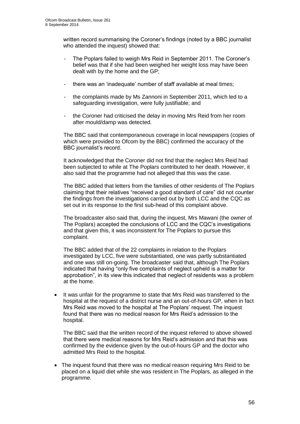written record summarising the Coroner's findings (noted by a BBC journalist who attended the inquest) showed that:

- The Poplars failed to weigh Mrs Reid in September 2011. The Coroner's belief was that if she had been weighed her weight loss may have been dealt with by the home and the GP;
- there was an 'inadequate' number of staff available at meal times;
- the complaints made by Ms Zannoni in September 2011, which led to a safeguarding investigation, were fully justifiable; and
- the Coroner had criticised the delay in moving Mrs Reid from her room after mould/damp was detected.

The BBC said that contemporaneous coverage in local newspapers (copies of which were provided to Ofcom by the BBC) confirmed the accuracy of the BBC journalist's record.

It acknowledged that the Coroner did not find that the neglect Mrs Reid had been subjected to while at The Poplars contributed to her death. However, it also said that the programme had not alleged that this was the case.

The BBC added that letters from the families of other residents of The Poplars claiming that their relatives "received a good standard of care" did not counter the findings from the investigations carried out by both LCC and the CQC as set out in its response to the first sub-head of this complaint above.

The broadcaster also said that, during the inquest, Mrs Mawani (the owner of The Poplars) accepted the conclusions of LCC and the CQC's investigations and that given this, it was inconsistent for The Poplars to pursue this complaint.

The BBC added that of the 22 complaints in relation to the Poplars investigated by LCC, five were substantiated, one was partly substantiated and one was still on-going. The broadcaster said that, although The Poplars indicated that having "only five complaints of neglect upheld is a matter for approbation", in its view this indicated that neglect of residents was a problem at the home.

 It was unfair for the programme to state that Mrs Reid was transferred to the hospital at the request of a district nurse and an out-of-hours GP, when in fact Mrs Reid was moved to the hospital at The Poplars' request. The inquest found that there was no medical reason for Mrs Reid's admission to the hospital.

The BBC said that the written record of the inquest referred to above showed that there were medical reasons for Mrs Reid's admission and that this was confirmed by the evidence given by the out-of-hours GP and the doctor who admitted Mrs Reid to the hospital.

• The inquest found that there was no medical reason requiring Mrs Reid to be placed on a liquid diet while she was resident in The Poplars, as alleged in the programme.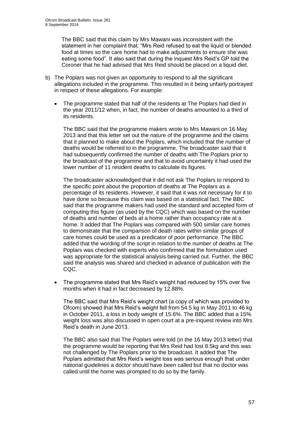The BBC said that this claim by Mrs Mawani was inconsistent with the statement in her complaint that: "Mrs Reid refused to eat the liquid or blended food at times so the care home had to make adjustments to ensure she was eating some food". It also said that during the inquest Mrs Reid's GP told the Coroner that he had advised that Mrs Reid should be placed on a liquid diet.

- b) The Poplars was not given an opportunity to respond to all the significant allegations included in the programme. This resulted in it being unfairly portrayed in respect of these allegations. For example:
	- The programme stated that half of the residents at The Poplars had died in the year 2011/12 when, in fact, the number of deaths amounted to a third of its residents.

The BBC said that the programme makers wrote to Mrs Mawani on 16 May 2013 and that this letter set out the nature of the programme and the claims that it planned to make about the Poplars, which included that the number of deaths would be referred to in the programme. The broadcaster said that it had subsequently confirmed the number of deaths with The Poplars prior to the broadcast of the programme and that to avoid uncertainty it had used the lower number of 11 resident deaths to calculate its figures.

The broadcaster acknowledged that it did not ask The Poplars to respond to the specific point about the proportion of deaths at The Poplars as a percentage of its residents. However, it said that it was not necessary for it to have done so because this claim was based on a statistical fact. The BBC said that the programme makers had used the standard and accepted form of computing this figure (as used by the CQC) which was based on the number of deaths and number of beds at a home rather than occupancy rate at a home. It added that The Poplars was compared with 500 similar care homes to demonstrate that the comparison of death rates within similar groups of care homes could be used as a predicator of poor performance. The BBC added that the wording of the script in relation to the number of deaths at The Poplars was checked with experts who confirmed that the formulation used was appropriate for the statistical analysis being carried out. Further, the BBC said the analysis was shared and checked in advance of publication with the CQC.

 The programme stated that Mrs Reid's weight had reduced by 15% over five months when it had in fact decreased by 12.88%.

The BBC said that Mrs Reid's weight chart (a copy of which was provided to Ofcom) showed that Mrs Reid's weight fell from 54.5 kg in May 2011 to 46 kg in October 2011, a loss in body weight of 15.6%. The BBC added that a 15% weight loss was also discussed in open court at a pre-inquest review into Mrs Reid's death in June 2013.

The BBC also said that The Poplars were told (in the 16 May 2013 letter) that the programme would be reporting that Mrs Reid had lost 8.5kg and this was not challenged by The Poplars prior to the broadcast. It added that The Poplars admitted that Mrs Reid's weight loss was serious enough that under national guidelines a doctor should have been called but that no doctor was called until the home was prompted to do so by the family.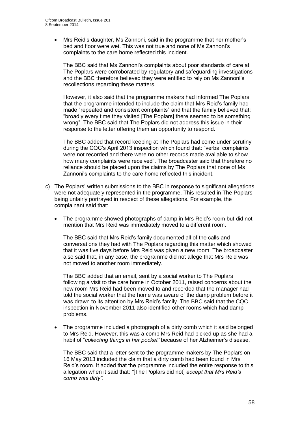Mrs Reid's daughter, Ms Zannoni, said in the programme that her mother's bed and floor were wet. This was not true and none of Ms Zannoni's complaints to the care home reflected this incident.

The BBC said that Ms Zannoni's complaints about poor standards of care at The Poplars were corroborated by regulatory and safeguarding investigations and the BBC therefore believed they were entitled to rely on Ms Zannoni's recollections regarding these matters.

However, it also said that the programme makers had informed The Poplars that the programme intended to include the claim that Mrs Reid's family had made "repeated and consistent complaints" and that the family believed that: "broadly every time they visited [The Poplars] there seemed to be something wrong". The BBC said that The Poplars did not address this issue in their response to the letter offering them an opportunity to respond.

The BBC added that record keeping at The Poplars had come under scrutiny during the CQC's April 2013 inspection which found that: "verbal complaints were not recorded and there were no other records made available to show how many complaints were received". The broadcaster said that therefore no reliance should be placed upon the claims by The Poplars that none of Ms Zannoni's complaints to the care home reflected this incident.

- c) The Poplars' written submissions to the BBC in response to significant allegations were not adequately represented in the programme. This resulted in The Poplars being unfairly portrayed in respect of these allegations. For example, the complainant said that:
	- The programme showed photographs of damp in Mrs Reid's room but did not mention that Mrs Reid was immediately moved to a different room.

The BBC said that Mrs Reid's family documented all of the calls and conversations they had with The Poplars regarding this matter which showed that it was five days before Mrs Reid was given a new room. The broadcaster also said that, in any case, the programme did not allege that Mrs Reid was not moved to another room immediately.

The BBC added that an email, sent by a social worker to The Poplars following a visit to the care home in October 2011, raised concerns about the new room Mrs Reid had been moved to and recorded that the manager had told the social worker that the home was aware of the damp problem before it was drawn to its attention by Mrs Reid's family. The BBC said that the CQC inspection in November 2011 also identified other rooms which had damp problems.

• The programme included a photograph of a dirty comb which it said belonged to Mrs Reid. However, this was a comb Mrs Reid had picked up as she had a habit of "*collecting things in her pocket"* because of her Alzheimer's disease.

The BBC said that a letter sent to the programme makers by The Poplars on 16 May 2013 included the claim that a dirty comb had been found in Mrs Reid's room. It added that the programme included the entire response to this allegation when it said that: *"*[The Poplars did not] *accept that Mrs Reid's comb was dirty"*.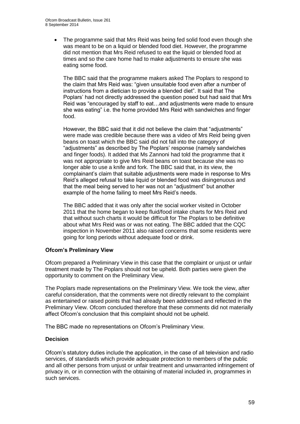The programme said that Mrs Reid was being fed solid food even though she was meant to be on a liquid or blended food diet. However, the programme did not mention that Mrs Reid refused to eat the liquid or blended food at times and so the care home had to make adjustments to ensure she was eating some food.

The BBC said that the programme makers asked The Poplars to respond to the claim that Mrs Reid was: "given unsuitable food even after a number of instructions from a dietician to provide a blended diet". It said that The Poplars' had not directly addressed the question posed but had said that Mrs Reid was "encouraged by staff to eat…and adjustments were made to ensure she was eating" i.e. the home provided Mrs Reid with sandwiches and finger food.

However, the BBC said that it did not believe the claim that "adjustments" were made was credible because there was a video of Mrs Reid being given beans on toast which the BBC said did not fall into the category of "adjustments" as described by The Poplars' response (namely sandwiches and finger foods). It added that Ms Zannoni had told the programme that it was not appropriate to give Mrs Reid beans on toast because she was no longer able to use a knife and fork. The BBC said that, in its view, the complainant's claim that suitable adjustments were made in response to Mrs Reid's alleged refusal to take liquid or blended food was disingenuous and that the meal being served to her was not an "adjustment" but another example of the home failing to meet Mrs Reid's needs.

The BBC added that it was only after the social worker visited in October 2011 that the home began to keep fluid/food intake charts for Mrs Reid and that without such charts it would be difficult for The Poplars to be definitive about what Mrs Reid was or was not eating. The BBC added that the CQC inspection in November 2011 also raised concerns that some residents were going for long periods without adequate food or drink.

### **Ofcom's Preliminary View**

Ofcom prepared a Preliminary View in this case that the complaint or unjust or unfair treatment made by The Poplars should not be upheld. Both parties were given the opportunity to comment on the Preliminary View.

The Poplars made representations on the Preliminary View. We took the view, after careful consideration, that the comments were not directly relevant to the complaint as entertained or raised points that had already been addressed and reflected in the Preliminary View. Ofcom concluded therefore that these comments did not materially affect Ofcom's conclusion that this complaint should not be upheld.

The BBC made no representations on Ofcom's Preliminary View.

#### **Decision**

Ofcom's statutory duties include the application, in the case of all television and radio services, of standards which provide adequate protection to members of the public and all other persons from unjust or unfair treatment and unwarranted infringement of privacy in, or in connection with the obtaining of material included in, programmes in such services.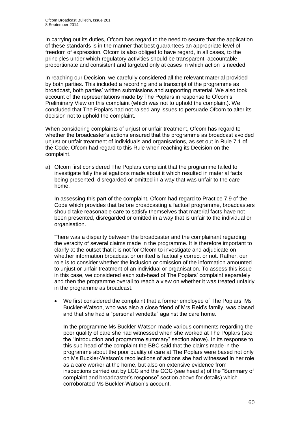In carrying out its duties, Ofcom has regard to the need to secure that the application of these standards is in the manner that best guarantees an appropriate level of freedom of expression. Ofcom is also obliged to have regard, in all cases, to the principles under which regulatory activities should be transparent, accountable, proportionate and consistent and targeted only at cases in which action is needed.

In reaching our Decision, we carefully considered all the relevant material provided by both parties. This included a recording and a transcript of the programme as broadcast, both parties' written submissions and supporting material. We also took account of the representations made by The Poplars in response to Ofcom's Preliminary View on this complaint (which was not to uphold the complaint). We concluded that The Poplars had not raised any issues to persuade Ofcom to alter its decision not to uphold the complaint.

When considering complaints of unjust or unfair treatment, Ofcom has regard to whether the broadcaster's actions ensured that the programme as broadcast avoided unjust or unfair treatment of individuals and organisations, as set out in Rule 7.1 of the Code. Ofcom had regard to this Rule when reaching its Decision on the complaint.

a) Ofcom first considered The Poplars complaint that the programme failed to investigate fully the allegations made about it which resulted in material facts being presented, disregarded or omitted in a way that was unfair to the care home.

In assessing this part of the complaint, Ofcom had regard to Practice 7.9 of the Code which provides that before broadcasting a factual programme, broadcasters should take reasonable care to satisfy themselves that material facts have not been presented, disregarded or omitted in a way that is unfair to the individual or organisation.

There was a disparity between the broadcaster and the complainant regarding the veracity of several claims made in the programme. It is therefore important to clarify at the outset that it is not for Ofcom to investigate and adjudicate on whether information broadcast or omitted is factually correct or not. Rather, our role is to consider whether the inclusion or omission of the information amounted to unjust or unfair treatment of an individual or organisation. To assess this issue in this case, we considered each sub-head of The Poplars' complaint separately and then the programme overall to reach a view on whether it was treated unfairly in the programme as broadcast.

 We first considered the complaint that a former employee of The Poplars, Ms Buckler-Watson, who was also a close friend of Mrs Reid's family, was biased and that she had a "personal vendetta" against the care home.

In the programme Ms Buckler-Watson made various comments regarding the poor quality of care she had witnessed when she worked at The Poplars (see the "Introduction and programme summary" section above). In its response to this sub-head of the complaint the BBC said that the claims made in the programme about the poor quality of care at The Poplars were based not only on Ms Buckler-Watson's recollections of actions she had witnessed in her role as a care worker at the home, but also on extensive evidence from inspections carried out by LCC and the CQC (see head a) of the "Summary of complaint and broadcaster's response" section above for details) which corroborated Ms Buckler-Watson's account.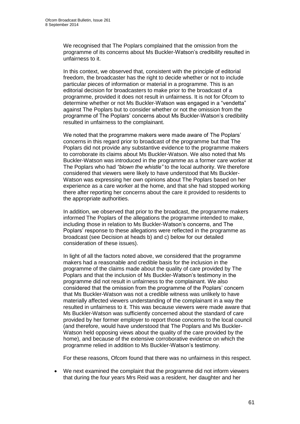We recognised that The Poplars complained that the omission from the programme of its concerns about Ms Buckler-Watson's credibility resulted in unfairness to it.

In this context, we observed that, consistent with the principle of editorial freedom, the broadcaster has the right to decide whether or not to include particular pieces of information or material in a programme. This is an editorial decision for broadcasters to make prior to the broadcast of a programme, provided it does not result in unfairness. It is not for Ofcom to determine whether or not Ms Buckler-Watson was engaged in a "vendetta" against The Poplars but to consider whether or not the omission from the programme of The Poplars' concerns about Ms Buckler-Watson's credibility resulted in unfairness to the complainant.

We noted that the programme makers were made aware of The Poplars' concerns in this regard prior to broadcast of the programme but that The Poplars did not provide any substantive evidence to the programme makers to corroborate its claims about Ms Buckler-Watson. We also noted that Ms Buckler-Watson was introduced in the programme as a former care worker at The Poplars who had *"blown the whistle"* to the local authority. We therefore considered that viewers were likely to have understood that Ms Buckler-Watson was expressing her own opinions about The Poplars based on her experience as a care worker at the home, and that she had stopped working there after reporting her concerns about the care it provided to residents to the appropriate authorities.

In addition, we observed that prior to the broadcast, the programme makers informed The Poplars of the allegations the programme intended to make, including those in relation to Ms Buckler-Watson's concerns, and The Poplars' response to these allegations were reflected in the programme as broadcast (see Decision at heads b) and c) below for our detailed consideration of these issues).

In light of all the factors noted above, we considered that the programme makers had a reasonable and credible basis for the inclusion in the programme of the claims made about the quality of care provided by The Poplars and that the inclusion of Ms Buckler-Watson's testimony in the programme did not result in unfairness to the complainant. We also considered that the omission from the programme of the Poplars' concern that Ms Buckler-Watson was not a credible witness was unlikely to have materially affected viewers understanding of the complainant in a way the resulted in unfairness to it. This was because viewers were made aware that Ms Buckler-Watson was sufficiently concerned about the standard of care provided by her former employer to report those concerns to the local council (and therefore, would have understood that The Poplars and Ms Buckler-Watson held opposing views about the quality of the care provided by the home), and because of the extensive corroborative evidence on which the programme relied in addition to Ms Buckler-Watson's testimony.

For these reasons, Ofcom found that there was no unfairness in this respect.

 We next examined the complaint that the programme did not inform viewers that during the four years Mrs Reid was a resident, her daughter and her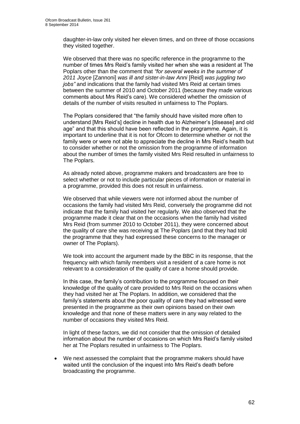daughter-in-law only visited her eleven times, and on three of those occasions they visited together.

We observed that there was no specific reference in the programme to the number of times Mrs Reid's family visited her when she was a resident at The Poplars other than the comment that *"for several weeks in the summer of 2011 Joyce* [Zannoni] *was ill and sister-in-law Anni* [Reid] *was juggling two jobs"* and indications that the family had visited Mrs Reid at certain times between the summer of 2010 and October 2011 (because they made various comments about Mrs Reid's care). We considered whether the omission of details of the number of visits resulted in unfairness to The Poplars.

The Poplars considered that "the family should have visited more often to understand [Mrs Reid's] decline in health due to Alzheimer's [disease] and old age" and that this should have been reflected in the programme. Again, it is important to underline that it is not for Ofcom to determine whether or not the family were or were not able to appreciate the decline in Mrs Reid's health but to consider whether or not the omission from the programme of information about the number of times the family visited Mrs Reid resulted in unfairness to The Poplars.

As already noted above, programme makers and broadcasters are free to select whether or not to include particular pieces of information or material in a programme, provided this does not result in unfairness.

We observed that while viewers were not informed about the number of occasions the family had visited Mrs Reid, conversely the programme did not indicate that the family had visited her regularly. We also observed that the programme made it clear that on the occasions when the family had visited Mrs Reid (from summer 2010 to October 2011), they were concerned about the quality of care she was receiving at The Poplars (and that they had told the programme that they had expressed these concerns to the manager or owner of The Poplars).

We took into account the argument made by the BBC in its response, that the frequency with which family members visit a resident of a care home is not relevant to a consideration of the quality of care a home should provide.

In this case, the family's contribution to the programme focused on their knowledge of the quality of care provided to Mrs Reid on the occasions when they had visited her at The Poplars. In addition, we considered that the family's statements about the poor quality of care they had witnessed were presented in the programme as their own opinions based on their own knowledge and that none of these matters were in any way related to the number of occasions they visited Mrs Reid.

In light of these factors, we did not consider that the omission of detailed information about the number of occasions on which Mrs Reid's family visited her at The Poplars resulted in unfairness to The Poplars.

 We next assessed the complaint that the programme makers should have waited until the conclusion of the inquest into Mrs Reid's death before broadcasting the programme.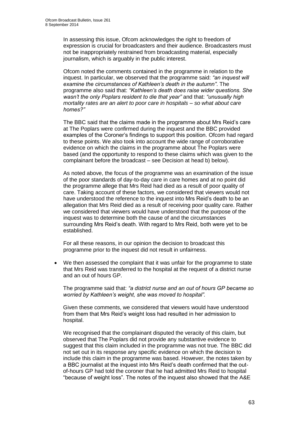In assessing this issue, Ofcom acknowledges the right to freedom of expression is crucial for broadcasters and their audience. Broadcasters must not be inappropriately restrained from broadcasting material, especially journalism, which is arguably in the public interest.

Ofcom noted the comments contained in the programme in relation to the inquest. In particular, we observed that the programme said: *"an inquest will examine the circumstances of Kathleen's death in the autumn"*. The programme also said that: *"Kathleen's death does raise wider questions. She wasn't the only Poplars resident to die that year"* and that: *"unusually high mortality rates are an alert to poor care in hospitals – so what about care homes?"* 

The BBC said that the claims made in the programme about Mrs Reid's care at The Poplars were confirmed during the inquest and the BBC provided examples of the Coroner's findings to support this position. Ofcom had regard to these points. We also took into account the wide range of corroborative evidence on which the claims in the programme about The Poplars were based (and the opportunity to respond to these claims which was given to the complainant before the broadcast – see Decision at head b) below).

As noted above, the focus of the programme was an examination of the issue of the poor standards of day-to-day care in care homes and at no point did the programme allege that Mrs Reid had died as a result of poor quality of care. Taking account of these factors, we considered that viewers would not have understood the reference to the inquest into Mrs Reid's death to be an allegation that Mrs Reid died as a result of receiving poor quality care. Rather we considered that viewers would have understood that the purpose of the inquest was to determine both the cause of and the circumstances surrounding Mrs Reid's death. With regard to Mrs Reid, both were yet to be established.

For all these reasons, in our opinion the decision to broadcast this programme prior to the inquest did not result in unfairness.

 We then assessed the complaint that it was unfair for the programme to state that Mrs Reid was transferred to the hospital at the request of a district nurse and an out of hours GP.

The programme said that: *"a district nurse and an out of hours GP became so worried by Kathleen's weight, she was moved to hospital".* 

Given these comments, we considered that viewers would have understood from them that Mrs Reid's weight loss had resulted in her admission to hospital.

We recognised that the complainant disputed the veracity of this claim, but observed that The Poplars did not provide any substantive evidence to suggest that this claim included in the programme was not true. The BBC did not set out in its response any specific evidence on which the decision to include this claim in the programme was based. However, the notes taken by a BBC journalist at the inquest into Mrs Reid's death confirmed that the outof-hours GP had told the coroner that he had admitted Mrs Reid to hospital "because of weight loss". The notes of the inquest also showed that the A&E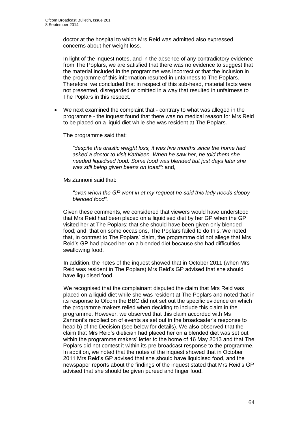doctor at the hospital to which Mrs Reid was admitted also expressed concerns about her weight loss.

In light of the inquest notes, and in the absence of any contradictory evidence from The Poplars, we are satisfied that there was no evidence to suggest that the material included in the programme was incorrect or that the inclusion in the programme of this information resulted in unfairness to The Poplars. Therefore, we concluded that in respect of this sub-head, material facts were not presented, disregarded or omitted in a way that resulted in unfairness to The Poplars in this respect.

 We next examined the complaint that - contrary to what was alleged in the programme - the inquest found that there was no medical reason for Mrs Reid to be placed on a liquid diet while she was resident at The Poplars.

The programme said that:

*"despite the drastic weight loss, it was five months since the home had asked a doctor to visit Kathleen. When he saw her, he told them she needed liquidised food. Some food was blended but just days later she was still being given beans on toast";* and,

Ms Zannoni said that:

*"even when the GP went in at my request he said this lady needs sloppy blended food".* 

Given these comments, we considered that viewers would have understood that Mrs Reid had been placed on a liquidised diet by her GP when the GP visited her at The Poplars; that she should have been given only blended food; and, that on some occasions, The Poplars failed to do this. We noted that, in contrast to The Poplars' claim, the programme did not allege that Mrs Reid's GP had placed her on a blended diet because she had difficulties swallowing food.

In addition, the notes of the inquest showed that in October 2011 (when Mrs Reid was resident in The Poplars) Mrs Reid's GP advised that she should have liquidised food.

We recognised that the complainant disputed the claim that Mrs Reid was placed on a liquid diet while she was resident at The Poplars and noted that in its response to Ofcom the BBC did not set out the specific evidence on which the programme makers relied when deciding to include this claim in the programme. However, we observed that this claim accorded with Ms Zannoni's recollection of events as set out in the broadcaster's response to head b) of the Decision (see below for details). We also observed that the claim that Mrs Reid's dietician had placed her on a blended diet was set out within the programme makers' letter to the home of 16 May 2013 and that The Poplars did not contest it within its pre-broadcast response to the programme. In addition, we noted that the notes of the inquest showed that in October 2011 Mrs Reid's GP advised that she should have liquidised food, and the newspaper reports about the findings of the inquest stated that Mrs Reid's GP advised that she should be given pureed and finger food.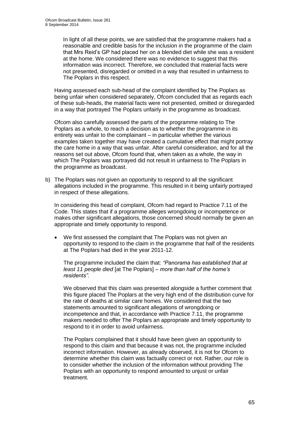In light of all these points, we are satisfied that the programme makers had a reasonable and credible basis for the inclusion in the programme of the claim that Mrs Reid's GP had placed her on a blended diet while she was a resident at the home. We considered there was no evidence to suggest that this information was incorrect. Therefore, we concluded that material facts were not presented, disregarded or omitted in a way that resulted in unfairness to The Poplars in this respect.

Having assessed each sub-head of the complaint identified by The Poplars as being unfair when considered separately, Ofcom concluded that as regards each of these sub-heads, the material facts were not presented, omitted or disregarded in a way that portrayed The Poplars unfairly in the programme as broadcast.

Ofcom also carefully assessed the parts of the programme relating to The Poplars as a whole, to reach a decision as to whether the programme in its entirety was unfair to the complainant – in particular whether the various examples taken together may have created a cumulative effect that might portray the care home in a way that was unfair. After careful consideration, and for all the reasons set out above, Ofcom found that, when taken as a whole, the way in which The Poplars was portrayed did not result in unfairness to The Poplars in the programme as broadcast.

b) The Poplars was not given an opportunity to respond to all the significant allegations included in the programme. This resulted in it being unfairly portrayed in respect of these allegations.

In considering this head of complaint, Ofcom had regard to Practice 7.11 of the Code. This states that if a programme alleges wrongdoing or incompetence or makes other significant allegations, those concerned should normally be given an appropriate and timely opportunity to respond.

 We first assessed the complaint that The Poplars was not given an opportunity to respond to the claim in the programme that half of the residents at The Poplars had died in the year 2011-12.

The programme included the claim that: *"Panorama has established that at least 11 people died* [at The Poplars] *– more than half of the home's residents".* 

We observed that this claim was presented alongside a further comment that this figure placed The Poplars at the very high end of the distribution curve for the rate of deaths at similar care homes. We considered that the two statements amounted to significant allegations of wrongdoing or incompetence and that, in accordance with Practice 7.11, the programme makers needed to offer The Poplars an appropriate and timely opportunity to respond to it in order to avoid unfairness.

The Poplars complained that it should have been given an opportunity to respond to this claim and that because it was not, the programme included incorrect information. However, as already observed, it is not for Ofcom to determine whether this claim was factually correct or not. Rather, our role is to consider whether the inclusion of the information without providing The Poplars with an opportunity to respond amounted to unjust or unfair treatment.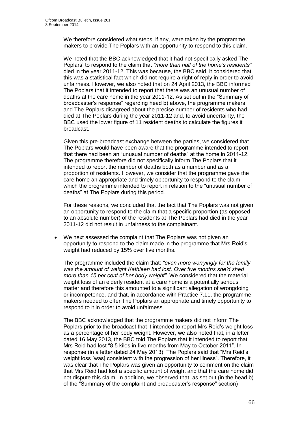We therefore considered what steps, if any, were taken by the programme makers to provide The Poplars with an opportunity to respond to this claim.

We noted that the BBC acknowledged that it had not specifically asked The Poplars' to respond to the claim that *"more than half of the home's residents"*  died in the year 2011-12. This was because, the BBC said, it considered that this was a statistical fact which did not require a right of reply in order to avoid unfairness. However, we also noted that on 24 April 2013, the BBC informed The Poplars that it intended to report that there was an unusual number of deaths at the care home in the year 2011-12. As set out in the "Summary of broadcaster's response" regarding head b) above, the programme makers and The Poplars disagreed about the precise number of residents who had died at The Poplars during the year 2011-12 and, to avoid uncertainty, the BBC used the lower figure of 11 resident deaths to calculate the figures it broadcast.

Given this pre-broadcast exchange between the parties, we considered that The Poplars would have been aware that the programme intended to report that there had been an "unusual number of deaths" at the home in 2011-12. The programme therefore did not specifically inform The Poplars that it intended to report the number of deaths both as a number and as a proportion of residents. However, we consider that the programme gave the care home an appropriate and timely opportunity to respond to the claim which the programme intended to report in relation to the "unusual number of deaths" at The Poplars during this period.

For these reasons, we concluded that the fact that The Poplars was not given an opportunity to respond to the claim that a specific proportion (as opposed to an absolute number) of the residents at The Poplars had died in the year 2011-12 did not result in unfairness to the complainant.

 We next assessed the complaint that The Poplars was not given an opportunity to respond to the claim made in the programme that Mrs Reid's weight had reduced by 15% over five months.

The programme included the claim that: *"even more worryingly for the family was the amount of weight Kathleen had lost. Over five months she'd shed more than 15 per cent of her body weight".* We considered that the material weight loss of an elderly resident at a care home is a potentially serious matter and therefore this amounted to a significant allegation of wrongdoing or incompetence, and that, in accordance with Practice 7.11, the programme makers needed to offer The Poplars an appropriate and timely opportunity to respond to it in order to avoid unfairness.

The BBC acknowledged that the programme makers did not inform The Poplars prior to the broadcast that it intended to report Mrs Reid's weight loss as a percentage of her body weight. However, we also noted that, in a letter dated 16 May 2013, the BBC told The Poplars that it intended to report that Mrs Reid had lost "8.5 kilos in five months from May to October 2011". In response (in a letter dated 24 May 2013), The Poplars said that "Mrs Reid's weight loss [was] consistent with the progression of her illness". Therefore, it was clear that The Poplars was given an opportunity to comment on the claim that Mrs Reid had lost a specific amount of weight and that the care home did not dispute this claim. In addition, we observed that, as set out (in the head b) of the "Summary of the complaint and broadcaster's response" section)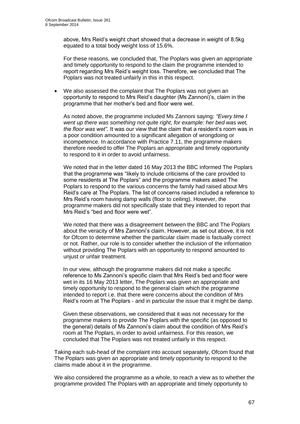above, Mrs Reid's weight chart showed that a decrease in weight of 8.5kg equated to a total body weight loss of 15.6%.

For these reasons, we concluded that, The Poplars was given an appropriate and timely opportunity to respond to the claim the programme intended to report regarding Mrs Reid's weight loss. Therefore, we concluded that The Poplars was not treated unfairly in this in this respect.

 We also assessed the complaint that The Poplars was not given an opportunity to respond to Mrs Reid's daughter (Ms Zannoni)'s, claim in the programme that her mother's bed and floor were wet.

As noted above, the programme included Ms Zannoni saying: *"Every time I went up there was something not quite right, for example: her bed was wet, the floor was wet".* It was our view that the claim that a resident's room was in a poor condition amounted to a significant allegation of wrongdoing or incompetence. In accordance with Practice 7.11, the programme makers therefore needed to offer The Poplars an appropriate and timely opportunity to respond to it in order to avoid unfairness.

We noted that in the letter dated 16 May 2013 the BBC informed The Poplars that the programme was "likely to include criticisms of the care provided to some residents at The Poplars" and the programme makers asked The Poplars to respond to the various concerns the family had raised about Mrs Reid's care at The Poplars. The list of concerns raised included a reference to Mrs Reid's room having damp walls (floor to ceiling). However, the programme makers did not specifically state that they intended to report that Mrs Reid's "bed and floor were wet".

We noted that there was a disagreement between the BBC and The Poplars about the veracity of Mrs Zannoni's claim. However, as set out above, it is not for Ofcom to determine whether the particular claim made is factually correct or not. Rather, our role is to consider whether the inclusion of the information without providing The Poplars with an opportunity to respond amounted to unjust or unfair treatment.

In our view, although the programme makers did not make a specific reference to Ms Zannoni's specific claim that Mrs Reid's bed and floor were wet in its 16 May 2013 letter, The Poplars was given an appropriate and timely opportunity to respond to the general claim which the programme intended to report i.e. that there were concerns about the condition of Mrs Reid's room at The Poplars - and in particular the issue that it might be damp.

Given these observations, we considered that it was not necessary for the programme makers to provide The Poplars with the specific (as opposed to the general) details of Ms Zannoni's claim about the condition of Mrs Reid's room at The Poplars, in order to avoid unfairness. For this reason, we concluded that The Poplars was not treated unfairly in this respect.

Taking each sub-head of the complaint into account separately, Ofcom found that The Poplars was given an appropriate and timely opportunity to respond to the claims made about it in the programme.

We also considered the programme as a whole, to reach a view as to whether the programme provided The Poplars with an appropriate and timely opportunity to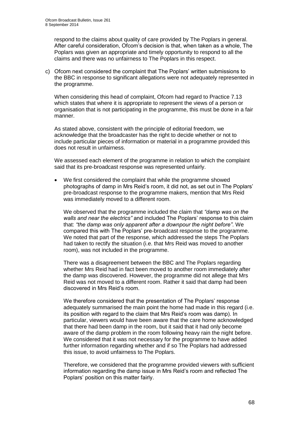respond to the claims about quality of care provided by The Poplars in general. After careful consideration, Ofcom's decision is that, when taken as a whole, The Poplars was given an appropriate and timely opportunity to respond to all the claims and there was no unfairness to The Poplars in this respect.

c) Ofcom next considered the complaint that The Poplars' written submissions to the BBC in response to significant allegations were not adequately represented in the programme.

When considering this head of complaint, Ofcom had regard to Practice 7.13 which states that where it is appropriate to represent the views of a person or organisation that is not participating in the programme, this must be done in a fair manner.

As stated above, consistent with the principle of editorial freedom, we acknowledge that the broadcaster has the right to decide whether or not to include particular pieces of information or material in a programme provided this does not result in unfairness.

We assessed each element of the programme in relation to which the complaint said that its pre-broadcast response was represented unfairly.

 We first considered the complaint that while the programme showed photographs of damp in Mrs Reid's room, it did not, as set out in The Poplars' pre-broadcast response to the programme makers, mention that Mrs Reid was immediately moved to a different room.

We observed that the programme included the claim that *"damp was on the walls and near the electrics"* and included The Poplars' response to this claim that: *"the damp was only apparent after a downpour the night before"*. We compared this with The Poplars' pre-broadcast response to the programme. We noted that part of the response, which addressed the steps The Poplars had taken to rectify the situation (i.e. that Mrs Reid was moved to another room), was not included in the programme.

There was a disagreement between the BBC and The Poplars regarding whether Mrs Reid had in fact been moved to another room immediately after the damp was discovered. However, the programme did not allege that Mrs Reid was not moved to a different room. Rather it said that damp had been discovered in Mrs Reid's room.

We therefore considered that the presentation of The Poplars' response adequately summarised the main point the home had made in this regard (i.e. its position with regard to the claim that Mrs Reid's room was damp). In particular, viewers would have been aware that the care home acknowledged that there had been damp in the room, but it said that it had only become aware of the damp problem in the room following heavy rain the night before. We considered that it was not necessary for the programme to have added further information regarding whether and if so The Poplars had addressed this issue, to avoid unfairness to The Poplars.

Therefore, we considered that the programme provided viewers with sufficient information regarding the damp issue in Mrs Reid's room and reflected The Poplars' position on this matter fairly.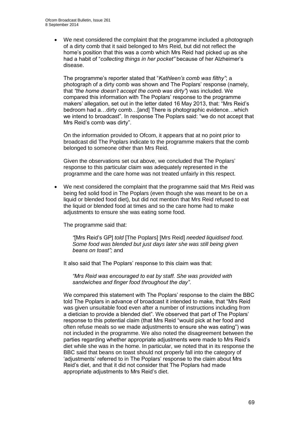We next considered the complaint that the programme included a photograph of a dirty comb that it said belonged to Mrs Reid, but did not reflect the home's position that this was a comb which Mrs Reid had picked up as she had a habit of "*collecting things in her pocket"* because of her Alzheimer's disease.

The programme's reporter stated that "*Kathleen's comb was filthy"*; a photograph of a dirty comb was shown and The Poplars' response (namely, that *"the home doesn't accept the comb was dirty"*) was included. We compared this information with The Poplars' response to the programme makers' allegation, set out in the letter dated 16 May 2013, that: "Mrs Reid's bedroom had a…dirty comb…[and] There is photographic evidence…which we intend to broadcast". In response The Poplars said: "we do not accept that Mrs Reid's comb was dirty".

On the information provided to Ofcom, it appears that at no point prior to broadcast did The Poplars indicate to the programme makers that the comb belonged to someone other than Mrs Reid.

Given the observations set out above, we concluded that The Poplars' response to this particular claim was adequately represented in the programme and the care home was not treated unfairly in this respect.

 We next considered the complaint that the programme said that Mrs Reid was being fed solid food in The Poplars (even though she was meant to be on a liquid or blended food diet), but did not mention that Mrs Reid refused to eat the liquid or blended food at times and so the care home had to make adjustments to ensure she was eating some food.

The programme said that:

*"*[Mrs Reid's GP] *told* [The Poplars] [Mrs Reid] *needed liquidised food. Some food was blended but just days later she was still being given beans on toast";* and

It also said that The Poplars' response to this claim was that:

*"Mrs Reid was encouraged to eat by staff. She was provided with sandwiches and finger food throughout the day"*.

We compared this statement with The Poplars' response to the claim the BBC told The Poplars in advance of broadcast it intended to make, that "Mrs Reid was given unsuitable food even after a number of instructions including from a dietician to provide a blended diet". We observed that part of The Poplars' response to this potential claim (that Mrs Reid "would pick at her food and often refuse meals so we made adjustments to ensure she was eating") was not included in the programme. We also noted the disagreement between the parties regarding whether appropriate adjustments were made to Mrs Reid's diet while she was in the home. In particular, we noted that in its response the BBC said that beans on toast should not properly fall into the category of 'adjustments' referred to in The Poplars' response to the claim about Mrs Reid's diet, and that it did not consider that The Poplars had made appropriate adjustments to Mrs Reid's diet.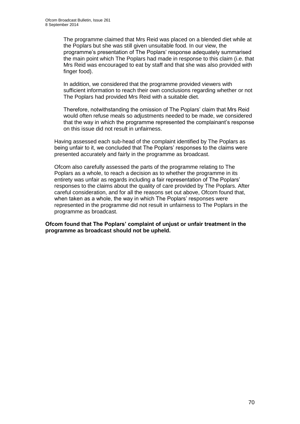The programme claimed that Mrs Reid was placed on a blended diet while at the Poplars but she was still given unsuitable food. In our view, the programme's presentation of The Poplars' response adequately summarised the main point which The Poplars had made in response to this claim (i.e. that Mrs Reid was encouraged to eat by staff and that she was also provided with finger food).

In addition, we considered that the programme provided viewers with sufficient information to reach their own conclusions regarding whether or not The Poplars had provided Mrs Reid with a suitable diet.

Therefore, notwithstanding the omission of The Poplars' claim that Mrs Reid would often refuse meals so adjustments needed to be made, we considered that the way in which the programme represented the complainant's response on this issue did not result in unfairness.

Having assessed each sub-head of the complaint identified by The Poplars as being unfair to it, we concluded that The Poplars' responses to the claims were presented accurately and fairly in the programme as broadcast.

Ofcom also carefully assessed the parts of the programme relating to The Poplars as a whole, to reach a decision as to whether the programme in its entirety was unfair as regards including a fair representation of The Poplars' responses to the claims about the quality of care provided by The Poplars. After careful consideration, and for all the reasons set out above, Ofcom found that, when taken as a whole, the way in which The Poplars' responses were represented in the programme did not result in unfairness to The Poplars in the programme as broadcast.

**Ofcom found that The Poplars' complaint of unjust or unfair treatment in the programme as broadcast should not be upheld.**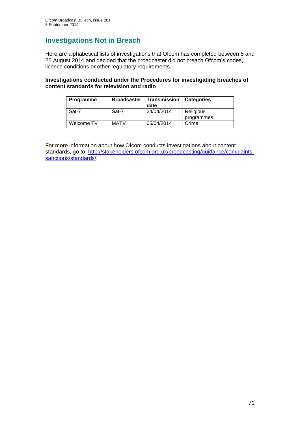## **Investigations Not in Breach**

Here are alphabetical lists of investigations that Ofcom has completed between 5 and 25 August 2014 and decided that the broadcaster did not breach Ofcom's codes, licence conditions or other regulatory requirements.

### **Investigations conducted under the Procedures for investigating breaches of content standards for television and radio**

| <b>Programme</b> | <b>Broadcaster</b> | Transmission<br>date | <b>Categories</b>       |
|------------------|--------------------|----------------------|-------------------------|
| Sat-7            | Sat-7              | 24/04/2014           | Religious<br>programmes |
| Welcome TV       | <b>MATV</b>        | 05/04/2014           | Crime                   |

For more information about how Ofcom conducts investigations about content standards, go to: [http://stakeholders.ofcom.org.uk/broadcasting/guidance/complaints](http://stakeholders.ofcom.org.uk/broadcasting/guidance/complaints-sanctions/standards/)[sanctions/standards/.](http://stakeholders.ofcom.org.uk/broadcasting/guidance/complaints-sanctions/standards/)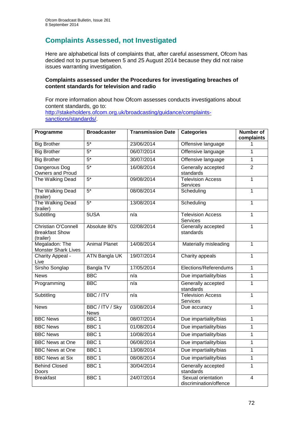## **Complaints Assessed, not Investigated**

Here are alphabetical lists of complaints that, after careful assessment, Ofcom has decided not to pursue between 5 and 25 August 2014 because they did not raise issues warranting investigation.

### **Complaints assessed under the Procedures for investigating breaches of content standards for television and radio**

For more information about how Ofcom assesses conducts investigations about content standards, go to: [http://stakeholders.ofcom.org.uk/broadcasting/guidance/complaints](http://stakeholders.ofcom.org.uk/broadcasting/guidance/complaints-sanctions/standards/)[sanctions/standards/.](http://stakeholders.ofcom.org.uk/broadcasting/guidance/complaints-sanctions/standards/)

| Programme                                                        | <b>Broadcaster</b>             | <b>Transmission Date</b> | <b>Categories</b>                            | <b>Number of</b><br>complaints |
|------------------------------------------------------------------|--------------------------------|--------------------------|----------------------------------------------|--------------------------------|
| <b>Big Brother</b>                                               | $\overline{5^*}$               | 23/06/2014               | Offensive language                           | 1                              |
| <b>Big Brother</b>                                               | $5*$                           | 06/07/2014               | Offensive language                           | $\mathbf{1}$                   |
| <b>Big Brother</b>                                               | $5*$                           | 30/07/2014               | Offensive language                           | $\overline{1}$                 |
| Dangerous Dog<br>Owners and Proud                                | $5*$                           | 16/08/2014               | Generally accepted<br>standards              | $\overline{2}$                 |
| The Walking Dead                                                 | $5*$                           | 09/08/2014               | <b>Television Access</b><br>Services         | $\mathbf{1}$                   |
| The Walking Dead<br>(trailer)                                    | $5*$                           | 08/08/2014               | Scheduling                                   | $\overline{1}$                 |
| The Walking Dead<br>(trailer)                                    | $5*$                           | 13/08/2014               | Scheduling                                   | $\overline{1}$                 |
| Subtitling                                                       | 5USA                           | n/a                      | <b>Television Access</b><br>Services         | $\mathbf{1}$                   |
| <b>Christian O'Connell</b><br><b>Breakfast Show</b><br>(trailer) | Absolute 80's                  | 02/08/2014               | Generally accepted<br>standards              | $\overline{1}$                 |
| Megaladon: The<br><b>Monster Shark Lives</b>                     | <b>Animal Planet</b>           | 14/08/2014               | Materially misleading                        | $\overline{1}$                 |
| Charity Appeal -<br>Live                                         | <b>ATN Bangla UK</b>           | 19/07/2014               | Charity appeals                              | 1                              |
| Sirsho Songlap                                                   | Bangla TV                      | 17/05/2014               | Elections/Referendums                        | $\overline{1}$                 |
| <b>News</b>                                                      | <b>BBC</b>                     | $\overline{n/a}$         | Due impartiality/bias                        | $\overline{1}$                 |
| Programming                                                      | <b>BBC</b>                     | n/a                      | Generally accepted<br>standards              | $\mathbf{1}$                   |
| Subtitling                                                       | <b>BBC/ITV</b>                 | n/a                      | <b>Television Access</b><br>Services         | $\overline{1}$                 |
| <b>News</b>                                                      | BBC / ITV / Sky<br><b>News</b> | 03/08/2014               | Due accuracy                                 | $\overline{1}$                 |
| <b>BBC News</b>                                                  | BBC <sub>1</sub>               | 08/07/2014               | Due impartiality/bias                        | $\mathbf{1}$                   |
| <b>BBC News</b>                                                  | BBC <sub>1</sub>               | 01/08/2014               | Due impartiality/bias                        | $\mathbf{1}$                   |
| <b>BBC News</b>                                                  | BBC <sub>1</sub>               | 10/08/2014               | Due impartiality/bias                        | $\mathbf{1}$                   |
| <b>BBC News at One</b>                                           | BBC <sub>1</sub>               | 06/08/2014               | Due impartiality/bias                        | $\mathbf 1$                    |
| <b>BBC News at One</b>                                           | BBC <sub>1</sub>               | 13/08/2014               | Due impartiality/bias                        | $\overline{1}$                 |
| <b>BBC News at Six</b>                                           | BBC <sub>1</sub>               | 08/08/2014               | Due impartiality/bias                        | $\mathbf{1}$                   |
| <b>Behind Closed</b><br>Doors                                    | BBC <sub>1</sub>               | 30/04/2014               | Generally accepted<br>standards              | 1                              |
| <b>Breakfast</b>                                                 | BBC <sub>1</sub>               | 24/07/2014               | Sexual orientation<br>discrimination/offence | $\overline{4}$                 |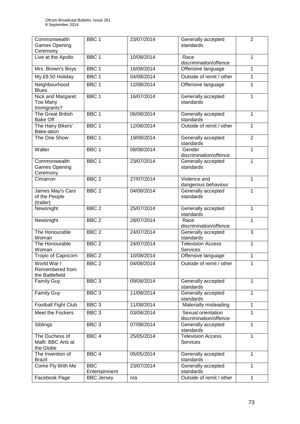| Commonwealth<br><b>Games Opening</b><br>Ceremony  | BBC <sub>1</sub>            | 23/07/2014 | Generally accepted<br>standards              | $\overline{2}$ |
|---------------------------------------------------|-----------------------------|------------|----------------------------------------------|----------------|
| Live at the Apollo                                | BBC <sub>1</sub>            | 10/08/2014 | Race<br>discrimination/offence               | 1              |
| Mrs. Brown's Boys                                 | BBC <sub>1</sub>            | 16/08/2014 | Offensive language                           | 1              |
| My £9.50 Holiday                                  | BBC <sub>1</sub>            | 04/08/2014 | Outside of remit / other                     | $\mathbf{1}$   |
| Neighbourhood<br><b>Blues</b>                     | BBC <sub>1</sub>            | 12/08/2014 | Offensive language                           | 1              |
| Nick and Margaret:<br>Too Many<br>Immigrants?     | BBC <sub>1</sub>            | 16/07/2014 | Generally accepted<br>standards              | $\mathbf{1}$   |
| <b>The Great British</b><br><b>Bake Off</b>       | BBC <sub>1</sub>            | 06/08/2014 | Generally accepted<br>standards              | $\mathbf{1}$   |
| The Hairy Bikers'<br>Bake-ation                   | BBC <sub>1</sub>            | 12/08/2014 | Outside of remit / other                     | $\mathbf{1}$   |
| The One Show                                      | BBC <sub>1</sub>            | 19/08/2014 | Generally accepted<br>standards              | $\overline{2}$ |
| Walter                                            | BBC <sub>1</sub>            | 08/08/2014 | Gender<br>discrimination/offence             | 1              |
| Commonwealth<br><b>Games Opening</b><br>Ceremony  | BBC <sub>1</sub>            | 23/07/2014 | Generally accepted<br>standards              | $\mathbf{1}$   |
| Cimarron                                          | BBC <sub>2</sub>            | 27/07/2014 | Violence and<br>dangerous behaviour          | $\mathbf{1}$   |
| James May's Cars<br>of the People<br>(trailer)    | BBC <sub>2</sub>            | 04/08/2014 | Generally accepted<br>standards              | $\mathbf{1}$   |
| Newsnight                                         | BBC <sub>2</sub>            | 25/07/2014 | Generally accepted<br>standards              | 1              |
| Newsnight                                         | BBC <sub>2</sub>            | 28/07/2014 | Race<br>discrimination/offence               | $\mathbf{1}$   |
| The Honourable<br>Woman                           | BBC <sub>2</sub>            | 24/07/2014 | Generally accepted<br>standards              | $\overline{3}$ |
| The Honourable<br>Woman                           | BBC <sub>2</sub>            | 24/07/2014 | <b>Television Access</b><br>Services         | 1              |
| <b>Tropic of Capricorn</b>                        | BBC <sub>2</sub>            | 10/08/2014 | Offensive language                           | 1              |
| World War I<br>Remembered from<br>the Battlefield | BBC <sub>2</sub>            | 04/08/2014 | Outside of remit / other                     | 1              |
| <b>Family Guy</b>                                 | BBC <sub>3</sub>            | 09/08/2014 | Generally accepted<br>standards              | $\mathbf{1}$   |
| <b>Family Guy</b>                                 | BBC <sub>3</sub>            | 11/08/2014 | Generally accepted<br>standards              | $\mathbf{1}$   |
| Football Fight Club                               | BBC <sub>3</sub>            | 11/08/2014 | Materially misleading                        | $\mathbf{1}$   |
| Meet the Fockers                                  | BBC <sub>3</sub>            | 03/08/2014 | Sexual orientation<br>discrimination/offence | 1              |
| Siblings                                          | BBC <sub>3</sub>            | 07/08/2014 | Generally accepted<br>standards              | $\mathbf{1}$   |
| The Duchess of<br>Malfi: BBC Arts at<br>the Globe | BBC <sub>4</sub>            | 25/05/2014 | <b>Television Access</b><br>Services         | $\mathbf{1}$   |
| The Invention of<br><b>Brazil</b>                 | BBC <sub>4</sub>            | 05/05/2014 | Generally accepted<br>standards              | $\overline{1}$ |
| Come Fly With Me                                  | <b>BBC</b><br>Entertainment | 23/07/2014 | Generally accepted<br>standards              | $\mathbf{1}$   |
| Facebook Page                                     | <b>BBC Jersey</b>           | n/a        | Outside of remit / other                     | $\mathbf{1}$   |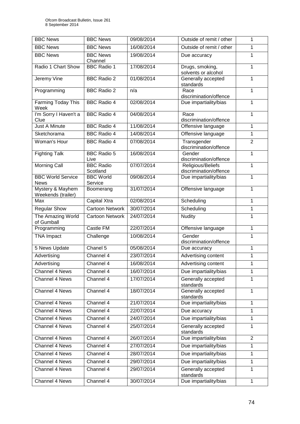| <b>BBC</b> News                         | <b>BBC News</b>              | 09/08/2014 | Outside of remit / other                    | 1              |
|-----------------------------------------|------------------------------|------------|---------------------------------------------|----------------|
| <b>BBC News</b>                         | <b>BBC News</b>              | 16/08/2014 | Outside of remit / other                    | $\mathbf{1}$   |
| <b>BBC News</b>                         | <b>BBC News</b><br>Channel   | 19/08/2014 | Due accuracy                                | $\mathbf{1}$   |
| Radio 1 Chart Show                      | <b>BBC Radio 1</b>           | 17/08/2014 | Drugs, smoking,<br>solvents or alcohol      | $\mathbf{1}$   |
| Jeremy Vine                             | <b>BBC Radio 2</b>           | 01/08/2014 | Generally accepted<br>standards             | $\mathbf{1}$   |
| Programming                             | <b>BBC Radio 2</b>           | n/a        | Race<br>discrimination/offence              | $\mathbf{1}$   |
| Farming Today This<br>Week              | <b>BBC Radio 4</b>           | 02/08/2014 | Due impartiality/bias                       | $\mathbf{1}$   |
| I'm Sorry I Haven't a<br>Clue           | <b>BBC Radio 4</b>           | 04/08/2014 | Race<br>discrimination/offence              | $\mathbf{1}$   |
| <b>Just A Minute</b>                    | <b>BBC Radio 4</b>           | 11/08/2014 | Offensive language                          | $\mathbf{1}$   |
| Sketchorama                             | <b>BBC Radio 4</b>           | 14/08/2014 | Offensive language                          | $\mathbf{1}$   |
| Woman's Hour                            | <b>BBC Radio 4</b>           | 07/08/2014 | Transgender<br>discrimination/offence       | $\overline{2}$ |
| <b>Fighting Talk</b>                    | <b>BBC Radio 5</b><br>Live   | 16/08/2014 | Gender<br>discrimination/offence            | 1              |
| <b>Morning Call</b>                     | <b>BBC Radio</b><br>Scotland | 07/07/2014 | Religious/Beliefs<br>discrimination/offence | 1              |
| <b>BBC World Service</b><br><b>News</b> | <b>BBC World</b><br>Service  | 09/08/2014 | Due impartiality/bias                       | $\mathbf{1}$   |
| Mystery & Mayhem<br>Weekends (trailer)  | Boomerang                    | 31/07/2014 | Offensive language                          | 1              |
| Max                                     | <b>Capital Xtra</b>          | 02/08/2014 | Scheduling                                  | $\mathbf{1}$   |
| <b>Regular Show</b>                     | <b>Cartoon Network</b>       | 30/07/2014 | Scheduling                                  | $\mathbf{1}$   |
| The Amazing World<br>of Gumball         | <b>Cartoon Network</b>       | 24/07/2014 | <b>Nudity</b>                               | 1              |
| Programming                             | Castle FM                    | 22/07/2014 | Offensive language                          | $\mathbf{1}$   |
| <b>TNA Impact</b>                       | Challenge                    | 10/08/2014 | Gender<br>discrimination/offence            | $\mathbf{1}$   |
| 5 News Update                           | Chanel 5                     | 05/08/2014 | Due accuracy                                | $\mathbf{1}$   |
| Advertising                             | Channel 4                    | 23/07/2014 | Advertising content                         | $\mathbf{1}$   |
| Advertising                             | Channel 4                    | 16/08/2014 | Advertising content                         | 1              |
| <b>Channel 4 News</b>                   | Channel 4                    | 16/07/2014 | Due impartiality/bias                       | 1              |
| Channel 4 News                          | Channel 4                    | 17/07/2014 | Generally accepted<br>standards             | 1              |
| Channel 4 News                          | Channel 4                    | 18/07/2014 | Generally accepted<br>standards             | 1              |
| Channel 4 News                          | Channel 4                    | 21/07/2014 | Due impartiality/bias                       | $\mathbf{1}$   |
| Channel 4 News                          | Channel 4                    | 22/07/2014 | Due accuracy                                | 1              |
| Channel 4 News                          | Channel 4                    | 24/07/2014 | Due impartiality/bias                       | 1              |
| Channel 4 News                          | Channel 4                    | 25/07/2014 | Generally accepted<br>standards             | 1              |
| Channel 4 News                          | Channel 4                    | 26/07/2014 | Due impartiality/bias                       | 2              |
| Channel 4 News                          | Channel 4                    | 27/07/2014 | Due impartiality/bias                       | $\mathbf{1}$   |
| Channel 4 News                          | Channel 4                    | 28/07/2014 | Due impartiality/bias                       | $\mathbf{1}$   |
| Channel 4 News                          | Channel 4                    | 29/07/2014 | Due impartiality/bias                       | 1              |
| Channel 4 News                          | Channel 4                    | 29/07/2014 | Generally accepted<br>standards             | $\mathbf{1}$   |
| Channel 4 News                          | Channel 4                    | 30/07/2014 | Due impartiality/bias                       | $\mathbf{1}$   |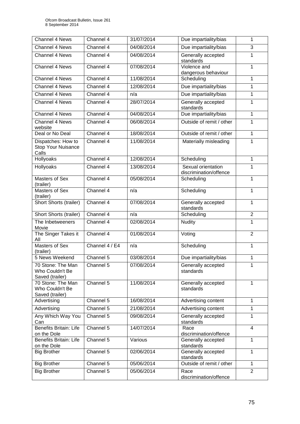| Channel 4 News                                           | Channel 4      | 31/07/2014 | Due impartiality/bias                        | 1              |
|----------------------------------------------------------|----------------|------------|----------------------------------------------|----------------|
| Channel 4 News                                           | Channel 4      | 04/08/2014 | Due impartiality/bias                        | 3              |
| Channel 4 News                                           | Channel 4      | 04/08/2014 | Generally accepted<br>standards              | $\mathbf{1}$   |
| <b>Channel 4 News</b>                                    | Channel 4      | 07/08/2014 | Violence and<br>dangerous behaviour          | $\mathbf{1}$   |
| Channel 4 News                                           | Channel 4      | 11/08/2014 | Scheduling                                   | $\mathbf{1}$   |
| Channel 4 News                                           | Channel 4      | 12/08/2014 | Due impartiality/bias                        | 1              |
| Channel 4 News                                           | Channel 4      | n/a        | Due impartiality/bias                        | $\mathbf{1}$   |
| Channel 4 News                                           | Channel 4      | 28/07/2014 | Generally accepted<br>standards              | 1              |
| Channel 4 News                                           | Channel 4      | 04/08/2014 | Due impartiality/bias                        | $\mathbf{1}$   |
| Channel 4 News<br>website                                | Channel 4      | 06/08/2014 | Outside of remit / other                     | 1              |
| Deal or No Deal                                          | Channel 4      | 18/08/2014 | Outside of remit / other                     | $\mathbf{1}$   |
| Dispatches: How to<br><b>Stop Your Nuisance</b><br>Calls | Channel 4      | 11/08/2014 | Materially misleading                        | $\mathbf{1}$   |
| Hollyoaks                                                | Channel 4      | 12/08/2014 | Scheduling                                   | $\mathbf{1}$   |
| Hollyoaks                                                | Channel 4      | 13/08/2014 | Sexual orientation<br>discrimination/offence | 1              |
| Masters of Sex<br>(trailer)                              | Channel 4      | 05/08/2014 | Scheduling                                   | $\mathbf{1}$   |
| Masters of Sex<br>(trailer)                              | Channel 4      | n/a        | Scheduling                                   | $\mathbf{1}$   |
| Short Shorts (trailer)                                   | Channel 4      | 07/08/2014 | Generally accepted<br>standards              | $\mathbf{1}$   |
| Short Shorts (trailer)                                   | Channel 4      | n/a        | Scheduling                                   | $\overline{2}$ |
| The Inbetweeners<br>Movie                                | Channel 4      | 02/08/2014 | <b>Nudity</b>                                | 1              |
| The Singer Takes it<br>All                               | Channel 4      | 01/08/2014 | Voting                                       | $\overline{2}$ |
| Masters of Sex<br>(trailer)                              | Channel 4 / E4 | n/a        | Scheduling                                   | $\mathbf{1}$   |
| 5 News Weekend                                           | Channel 5      | 03/08/2014 | Due impartiality/bias                        | $\mathbf{1}$   |
| 70 Stone: The Man<br>Who Couldn't Be<br>Saved (trailer)  | Channel 5      | 07/08/2014 | Generally accepted<br>standards              | 1              |
| 70 Stone: The Man<br>Who Couldn't Be<br>Saved (trailer)  | Channel 5      | 11/08/2014 | Generally accepted<br>standards              | $\mathbf{1}$   |
| Advertising                                              | Channel 5      | 16/08/2014 | Advertising content                          | 1              |
| Advertising                                              | Channel 5      | 21/08/2014 | Advertising content                          | 1              |
| Any Which Way You<br>Can                                 | Channel 5      | 09/08/2014 | Generally accepted<br>standards              | $\mathbf{1}$   |
| <b>Benefits Britain: Life</b><br>on the Dole             | Channel 5      | 14/07/2014 | Race<br>discrimination/offence               | $\overline{4}$ |
| <b>Benefits Britain: Life</b><br>on the Dole             | Channel 5      | Various    | Generally accepted<br>standards              | 1              |
| <b>Big Brother</b>                                       | Channel 5      | 02/06/2014 | Generally accepted<br>standards              | $\mathbf{1}$   |
| <b>Big Brother</b>                                       | Channel 5      | 05/06/2014 | Outside of remit / other                     | $\mathbf{1}$   |
| <b>Big Brother</b>                                       | Channel 5      | 05/06/2014 | Race<br>discrimination/offence               | $\overline{2}$ |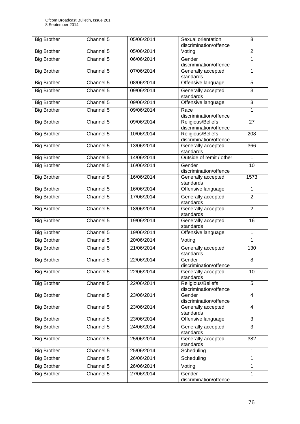| <b>Big Brother</b> | Channel 5 | 05/06/2014 | Sexual orientation<br>discrimination/offence | 8                       |
|--------------------|-----------|------------|----------------------------------------------|-------------------------|
| <b>Big Brother</b> | Channel 5 | 05/06/2014 | Voting                                       | $\overline{2}$          |
| <b>Big Brother</b> | Channel 5 | 06/06/2014 | Gender                                       | 1                       |
|                    |           |            | discrimination/offence                       |                         |
| <b>Big Brother</b> | Channel 5 | 07/06/2014 | Generally accepted<br>standards              | $\overline{1}$          |
| <b>Big Brother</b> | Channel 5 | 08/06/2014 | Offensive language                           | 5                       |
| <b>Big Brother</b> | Channel 5 | 09/06/2014 | Generally accepted<br>standards              | $\overline{3}$          |
| <b>Big Brother</b> | Channel 5 | 09/06/2014 | Offensive language                           | 3                       |
| <b>Big Brother</b> | Channel 5 | 09/06/2014 | Race<br>discrimination/offence               | $\mathbf{1}$            |
| <b>Big Brother</b> | Channel 5 | 09/06/2014 | Religious/Beliefs<br>discrimination/offence  | 27                      |
| <b>Big Brother</b> | Channel 5 | 10/06/2014 | Religious/Beliefs<br>discrimination/offence  | 208                     |
| <b>Big Brother</b> | Channel 5 | 13/06/2014 | Generally accepted<br>standards              | 366                     |
| <b>Big Brother</b> | Channel 5 | 14/06/2014 | Outside of remit / other                     | $\mathbf{1}$            |
| <b>Big Brother</b> | Channel 5 | 16/06/2014 | Gender                                       | 10                      |
|                    |           |            | discrimination/offence                       |                         |
| <b>Big Brother</b> | Channel 5 | 16/06/2014 | Generally accepted<br>standards              | 1573                    |
| <b>Big Brother</b> | Channel 5 | 16/06/2014 | Offensive language                           | $\mathbf{1}$            |
| <b>Big Brother</b> | Channel 5 | 17/06/2014 | Generally accepted<br>standards              | $\overline{2}$          |
| <b>Big Brother</b> | Channel 5 | 18/06/2014 | Generally accepted<br>standards              | $\overline{2}$          |
| <b>Big Brother</b> | Channel 5 | 19/06/2014 | Generally accepted<br>standards              | 16                      |
| <b>Big Brother</b> | Channel 5 | 19/06/2014 | Offensive language                           | $\mathbf{1}$            |
| <b>Big Brother</b> | Channel 5 | 20/06/2014 | Voting                                       | $\mathbf{1}$            |
| <b>Big Brother</b> | Channel 5 | 21/06/2014 | Generally accepted<br>standards              | 130                     |
| <b>Big Brother</b> | Channel 5 | 22/06/2014 | Gender<br>discrimination/offence             | 8                       |
| <b>Big Brother</b> | Channel 5 | 22/06/2014 | Generally accepted<br>standards              | 10                      |
| <b>Big Brother</b> | Channel 5 | 22/06/2014 | Religious/Beliefs<br>discrimination/offence  | 5                       |
| <b>Big Brother</b> | Channel 5 | 23/06/2014 | Gender<br>discrimination/offence             | $\overline{\mathbf{4}}$ |
| <b>Big Brother</b> | Channel 5 | 23/06/2014 | Generally accepted<br>standards              | $\overline{\mathbf{4}}$ |
| <b>Big Brother</b> | Channel 5 | 23/06/2014 | Offensive language                           | 3                       |
| <b>Big Brother</b> | Channel 5 | 24/06/2014 | Generally accepted<br>standards              | 3                       |
| <b>Big Brother</b> | Channel 5 | 25/06/2014 | Generally accepted<br>standards              | 382                     |
| <b>Big Brother</b> | Channel 5 | 25/06/2014 | Scheduling                                   | $\mathbf{1}$            |
| <b>Big Brother</b> | Channel 5 | 26/06/2014 | Scheduling                                   | $\mathbf{1}$            |
| <b>Big Brother</b> | Channel 5 | 26/06/2014 | Voting                                       | $\mathbf{1}$            |
| <b>Big Brother</b> | Channel 5 | 27/06/2014 | Gender                                       | $\mathbf 1$             |
|                    |           |            | discrimination/offence                       |                         |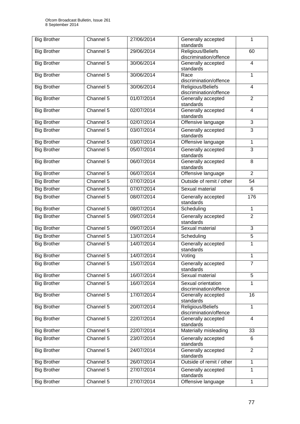| <b>Big Brother</b> | Channel 5 | 27/06/2014 | Generally accepted<br>standards              | $\mathbf{1}$            |
|--------------------|-----------|------------|----------------------------------------------|-------------------------|
| <b>Big Brother</b> | Channel 5 | 29/06/2014 | Religious/Beliefs<br>discrimination/offence  | 60                      |
| <b>Big Brother</b> | Channel 5 | 30/06/2014 | Generally accepted<br>standards              | $\overline{\mathbf{4}}$ |
| <b>Big Brother</b> | Channel 5 | 30/06/2014 | Race<br>discrimination/offence               | $\mathbf{1}$            |
| <b>Big Brother</b> | Channel 5 | 30/06/2014 | Religious/Beliefs<br>discrimination/offence  | $\overline{4}$          |
| <b>Big Brother</b> | Channel 5 | 01/07/2014 | Generally accepted<br>standards              | $\overline{2}$          |
| <b>Big Brother</b> | Channel 5 | 02/07/2014 | Generally accepted<br>standards              | 4                       |
| <b>Big Brother</b> | Channel 5 | 02/07/2014 | Offensive language                           | $\overline{3}$          |
| <b>Big Brother</b> | Channel 5 | 03/07/2014 | Generally accepted<br>standards              | $\overline{3}$          |
| <b>Big Brother</b> | Channel 5 | 03/07/2014 | Offensive language                           | $\mathbf{1}$            |
| <b>Big Brother</b> | Channel 5 | 05/07/2014 | Generally accepted<br>standards              | 3                       |
| <b>Big Brother</b> | Channel 5 | 06/07/2014 | Generally accepted<br>standards              | $\overline{8}$          |
| <b>Big Brother</b> | Channel 5 | 06/07/2014 | Offensive language                           | $\overline{2}$          |
| <b>Big Brother</b> | Channel 5 | 07/07/2014 | Outside of remit / other                     | 54                      |
| <b>Big Brother</b> | Channel 5 | 07/07/2014 | Sexual material                              | 6                       |
| <b>Big Brother</b> | Channel 5 | 08/07/2014 | Generally accepted<br>standards              | 176                     |
| <b>Big Brother</b> | Channel 5 | 08/07/2014 | Scheduling                                   | $\mathbf{1}$            |
| <b>Big Brother</b> | Channel 5 | 09/07/2014 | Generally accepted<br>standards              | $\overline{2}$          |
| <b>Big Brother</b> | Channel 5 | 09/07/2014 | Sexual material                              | 3                       |
| <b>Big Brother</b> | Channel 5 | 13/07/2014 | Scheduling                                   | 5                       |
| <b>Big Brother</b> | Channel 5 | 14/07/2014 | Generally accepted<br>standards              | $\mathbf{1}$            |
| <b>Big Brother</b> | Channel 5 | 14/07/2014 | Voting                                       | $\mathbf{1}$            |
| <b>Big Brother</b> | Channel 5 | 15/07/2014 | Generally accepted<br>standards              | $\overline{7}$          |
| <b>Big Brother</b> | Channel 5 | 16/07/2014 | Sexual material                              | 5                       |
| <b>Big Brother</b> | Channel 5 | 16/07/2014 | Sexual orientation<br>discrimination/offence | 1                       |
| <b>Big Brother</b> | Channel 5 | 17/07/2014 | Generally accepted<br>standards              | 16                      |
| <b>Big Brother</b> | Channel 5 | 20/07/2014 | Religious/Beliefs<br>discrimination/offence  | $\mathbf{1}$            |
| <b>Big Brother</b> | Channel 5 | 22/07/2014 | Generally accepted<br>standards              | $\overline{\mathbf{4}}$ |
| <b>Big Brother</b> | Channel 5 | 22/07/2014 | Materially misleading                        | 33                      |
| <b>Big Brother</b> | Channel 5 | 23/07/2014 | Generally accepted<br>standards              | 6                       |
| <b>Big Brother</b> | Channel 5 | 24/07/2014 | Generally accepted<br>standards              | $\overline{2}$          |
| <b>Big Brother</b> | Channel 5 | 26/07/2014 | Outside of remit / other                     | $\mathbf{1}$            |
| <b>Big Brother</b> | Channel 5 | 27/07/2014 | Generally accepted<br>standards              | 1                       |
| <b>Big Brother</b> | Channel 5 | 27/07/2014 | Offensive language                           | $\mathbf{1}$            |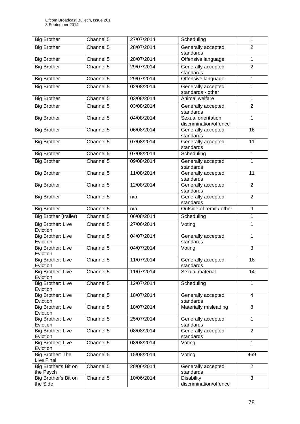| <b>Big Brother</b>                   | Channel 5              | 27/07/2014 | Scheduling                                   | 1                       |
|--------------------------------------|------------------------|------------|----------------------------------------------|-------------------------|
| <b>Big Brother</b>                   | Channel 5              | 28/07/2014 | Generally accepted<br>standards              | $\overline{2}$          |
| <b>Big Brother</b>                   | Channel 5              | 28/07/2014 | Offensive language                           | $\mathbf{1}$            |
| <b>Big Brother</b>                   | Channel 5              | 29/07/2014 | Generally accepted<br>standards              | $\overline{2}$          |
| <b>Big Brother</b>                   | Channel 5              | 29/07/2014 | Offensive language                           | $\mathbf{1}$            |
| <b>Big Brother</b>                   | Channel 5              | 02/08/2014 | Generally accepted<br>standards - other      | $\mathbf{1}$            |
| <b>Big Brother</b>                   | Channel 5              | 03/08/2014 | Animal welfare                               | $\overline{1}$          |
| <b>Big Brother</b>                   | Channel 5              | 03/08/2014 | Generally accepted<br>standards              | $\overline{2}$          |
| <b>Big Brother</b>                   | Channel 5              | 04/08/2014 | Sexual orientation<br>discrimination/offence | $\mathbf{1}$            |
| <b>Big Brother</b>                   | Channel 5              | 06/08/2014 | Generally accepted<br>standards              | 16                      |
| <b>Big Brother</b>                   | Channel 5              | 07/08/2014 | Generally accepted<br>standards              | 11                      |
| <b>Big Brother</b>                   | Channel 5              | 07/08/2014 | Scheduling                                   | $\mathbf{1}$            |
| <b>Big Brother</b>                   | Channel 5              | 09/08/2014 | Generally accepted<br>standards              | $\mathbf{1}$            |
| <b>Big Brother</b>                   | Channel 5              | 11/08/2014 | Generally accepted<br>standards              | 11                      |
| <b>Big Brother</b>                   | Channel 5              | 12/08/2014 | Generally accepted<br>standards              | $\overline{2}$          |
| <b>Big Brother</b>                   | Channel 5              | n/a        | Generally accepted<br>standards              | $\overline{2}$          |
| <b>Big Brother</b>                   | Channel 5              | n/a        | Outside of remit / other                     | 9                       |
| <b>Big Brother (trailer)</b>         | Channel 5              | 06/08/2014 | Scheduling                                   | $\mathbf{1}$            |
| <b>Big Brother: Live</b><br>Eviction | Channel 5              | 27/06/2014 | Voting                                       | $\overline{1}$          |
| <b>Big Brother: Live</b><br>Eviction | Channel 5              | 04/07/2014 | Generally accepted<br>standards              | $\mathbf{1}$            |
| <b>Big Brother: Live</b><br>Eviction | Channel 5              | 04/07/2014 | Voting                                       | 3                       |
| Big Brother: Live<br>Eviction        | Channel 5              | 11/07/2014 | Generally accepted<br>standards              | 16                      |
| <b>Big Brother: Live</b><br>Eviction | Channel 5              | 11/07/2014 | Sexual material                              | 14                      |
| <b>Big Brother: Live</b><br>Eviction | Channel 5              | 12/07/2014 | Scheduling                                   | $\mathbf{1}$            |
| <b>Big Brother: Live</b><br>Eviction | Channel 5              | 18/07/2014 | Generally accepted<br>standards              | $\overline{\mathbf{4}}$ |
| Big Brother: Live<br>Eviction        | Channel 5              | 18/07/2014 | Materially misleading                        | 8                       |
| Big Brother: Live<br>Eviction        | Channel 5              | 25/07/2014 | Generally accepted<br>standards              | $\mathbf{1}$            |
| <b>Big Brother: Live</b><br>Eviction | Channel 5              | 08/08/2014 | Generally accepted<br>standards              | $\overline{2}$          |
| <b>Big Brother: Live</b><br>Eviction | Channel 5              | 08/08/2014 | Voting                                       | $\mathbf{1}$            |
| Big Brother: The<br>Live Final       | Channel 5              | 15/08/2014 | Voting                                       | 469                     |
| Big Brother's Bit on<br>the Psych    | Channel $\overline{5}$ | 28/06/2014 | Generally accepted<br>standards              | $\overline{2}$          |
| Big Brother's Bit on<br>the Side     | Channel 5              | 10/06/2014 | <b>Disability</b><br>discrimination/offence  | 3                       |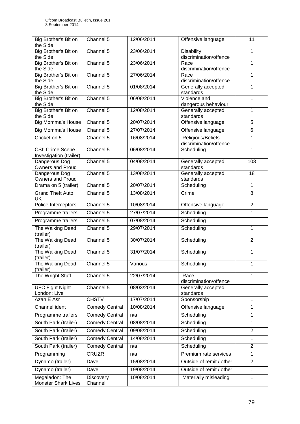| Big Brother's Bit on<br>the Side         | Channel 5             | 12/06/2014 | Offensive language                          | 11              |
|------------------------------------------|-----------------------|------------|---------------------------------------------|-----------------|
| Big Brother's Bit on                     | Channel 5             | 23/06/2014 | <b>Disability</b>                           | 1               |
| the Side                                 |                       |            | discrimination/offence                      |                 |
| Big Brother's Bit on                     | Channel 5             | 23/06/2014 | Race                                        | $\mathbf{1}$    |
| the Side                                 |                       |            | discrimination/offence                      |                 |
| Big Brother's Bit on<br>the Side         | Channel 5             | 27/06/2014 | Race<br>discrimination/offence              | $\mathbf{1}$    |
| Big Brother's Bit on                     | Channel 5             | 01/08/2014 | Generally accepted                          | $\mathbf 1$     |
| the Side                                 |                       |            | standards                                   |                 |
| Big Brother's Bit on                     | Channel 5             | 06/08/2014 | Violence and                                | $\mathbf{1}$    |
| the Side                                 |                       |            | dangerous behaviour                         |                 |
| Big Brother's Bit on                     | Channel 5             | 12/08/2014 | Generally accepted                          | $\mathbf{1}$    |
| the Side<br><b>Big Momma's House</b>     | Channel 5             | 20/07/2014 | standards<br>Offensive language             | 5               |
|                                          | Channel 5             |            |                                             |                 |
| <b>Big Momma's House</b>                 |                       | 27/07/2014 | Offensive language                          | 6               |
| Cricket on 5                             | Channel 5             | 16/08/2014 | Religious/Beliefs<br>discrimination/offence | 1               |
| <b>CSI: Crime Scene</b>                  | Channel 5             | 06/08/2014 | Scheduling                                  | $\mathbf{1}$    |
| Investigation (trailer)                  |                       |            |                                             |                 |
| Dangerous Dog                            | Channel 5             | 04/08/2014 | Generally accepted                          | 103             |
| <b>Owners and Proud</b>                  |                       |            | standards                                   |                 |
| Dangerous Dog<br><b>Owners and Proud</b> | Channel 5             | 13/08/2014 | Generally accepted<br>standards             | $\overline{18}$ |
| Drama on 5 (trailer)                     | Channel 5             | 20/07/2014 | Scheduling                                  | $\mathbf{1}$    |
| <b>Grand Theft Auto:</b>                 | Channel 5             | 13/08/2014 | Crime                                       | 8               |
| <b>UK</b>                                |                       |            |                                             |                 |
| Police Interceptors                      | Channel 5             | 10/08/2014 | Offensive language                          | $\overline{2}$  |
| Programme trailers                       | Channel 5             | 27/07/2014 | Scheduling                                  | $\mathbf{1}$    |
| Programme trailers                       | Channel 5             | 07/08/2014 | Scheduling                                  | 1               |
| The Walking Dead                         | Channel 5             | 29/07/2014 | Scheduling                                  | $\mathbf{1}$    |
| (trailer)                                |                       |            |                                             |                 |
| The Walking Dead                         | Channel 5             | 30/07/2014 | Scheduling                                  | $\overline{2}$  |
| (trailer)                                |                       |            |                                             |                 |
| The Walking Dead<br>(trailer)            | Channel 5             | 31/07/2014 | Scheduling                                  | $\mathbf{1}$    |
| The Walking Dead                         | Channel 5             | Various    | Scheduling                                  | 1               |
| (trailer)                                |                       |            |                                             |                 |
| The Wright Stuff                         | Channel 5             | 22/07/2014 | Race                                        | $\mathbf{1}$    |
|                                          |                       |            | discrimination/offence                      |                 |
| <b>UFC Fight Night</b><br>London: Live   | Channel 5             | 08/03/2014 | Generally accepted<br>standards             | $\mathbf{1}$    |
| Azan E Asr                               | <b>CHSTV</b>          | 17/07/2014 | Sponsorship                                 | $\mathbf{1}$    |
| Channel ident                            | <b>Comedy Central</b> | 10/08/2014 | Offensive language                          | 1               |
| Programme trailers                       | <b>Comedy Central</b> | n/a        | Scheduling                                  | 1               |
|                                          |                       |            |                                             |                 |
| South Park (trailer)                     | <b>Comedy Central</b> | 08/08/2014 | Scheduling                                  | $\mathbf{1}$    |
| South Park (trailer)                     | <b>Comedy Central</b> | 09/08/2014 | Scheduling                                  | $\overline{2}$  |
| South Park (trailer)                     | <b>Comedy Central</b> | 14/08/2014 | Scheduling                                  | 1               |
| South Park (trailer)                     | Comedy Central        | n/a        | Scheduling                                  | $\overline{2}$  |
| Programming                              | <b>CRUZR</b>          | n/a        | Premium rate services                       | $\mathbf{1}$    |
| Dynamo (trailer)                         | Dave                  | 15/08/2014 | Outside of remit / other                    | $\overline{2}$  |
| Dynamo (trailer)                         | Dave                  | 19/08/2014 | Outside of remit / other                    | 1               |
| Megaladon: The                           | <b>Discovery</b>      | 10/08/2014 | Materially misleading                       | $\mathbf{1}$    |
| <b>Monster Shark Lives</b>               | Channel               |            |                                             |                 |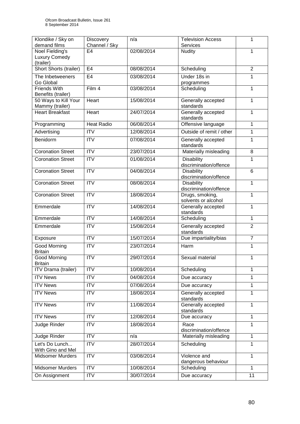| Klondike / Sky on<br>demand films       | <b>Discovery</b><br>Channel / Sky | n/a        | <b>Television Access</b><br>Services | 1              |
|-----------------------------------------|-----------------------------------|------------|--------------------------------------|----------------|
| Noel Fielding's                         | E4                                | 02/08/2014 | Nudity                               | 1              |
| Luxury Comedy                           |                                   |            |                                      |                |
| (trailer)                               |                                   |            |                                      |                |
| Short Shorts (trailer)                  | E <sub>4</sub>                    | 08/08/2014 | Scheduling                           | $\overline{2}$ |
| The Inbetweeners                        | E <sub>4</sub>                    | 03/08/2014 | Under 18s in                         | 1              |
| Go Global                               |                                   |            | programmes                           |                |
| <b>Friends With</b>                     | Film 4                            | 03/08/2014 | Scheduling                           | $\mathbf{1}$   |
| Benefits (trailer)                      |                                   |            |                                      |                |
| 50 Ways to Kill Your<br>Mammy (trailer) | Heart                             | 15/08/2014 | Generally accepted<br>standards      | $\mathbf{1}$   |
| <b>Heart Breakfast</b>                  | Heart                             | 24/07/2014 | Generally accepted<br>standards      | $\mathbf{1}$   |
| Programming                             | <b>Heat Radio</b>                 | 06/08/2014 | Offensive language                   | $\mathbf{1}$   |
| Advertising                             | <b>ITV</b>                        | 12/08/2014 | Outside of remit / other             | $\mathbf{1}$   |
|                                         |                                   |            |                                      |                |
| Benidorm                                | <b>ITV</b>                        | 07/08/2014 | Generally accepted<br>standards      | $\mathbf{1}$   |
| <b>Coronation Street</b>                | <b>ITV</b>                        | 23/07/2014 | Materially misleading                | 8              |
| <b>Coronation Street</b>                | $\overline{\text{ITV}}$           | 01/08/2014 | <b>Disability</b>                    | $\mathbf{1}$   |
|                                         |                                   |            | discrimination/offence               |                |
| <b>Coronation Street</b>                | <b>ITV</b>                        | 04/08/2014 | Disability                           | 6              |
|                                         |                                   |            | discrimination/offence               |                |
| <b>Coronation Street</b>                | $\overline{ITV}$                  | 08/08/2014 | <b>Disability</b>                    | $\mathbf{1}$   |
|                                         |                                   |            | discrimination/offence               |                |
| <b>Coronation Street</b>                | ITV                               | 18/08/2014 | Drugs, smoking,                      | $\overline{1}$ |
|                                         |                                   |            | solvents or alcohol                  |                |
| Emmerdale                               | <b>ITV</b>                        | 14/08/2014 | Generally accepted<br>standards      | $\mathbf{1}$   |
| Emmerdale                               | <b>ITV</b>                        | 14/08/2014 | Scheduling                           | $\mathbf{1}$   |
| Emmerdale                               | <b>ITV</b>                        | 15/08/2014 | Generally accepted                   | $\overline{2}$ |
|                                         |                                   |            | standards                            |                |
| Exposure                                | <b>ITV</b>                        | 15/07/2014 | Due impartiality/bias                | $\overline{7}$ |
| Good Morning                            | <b>ITV</b>                        | 23/07/2014 | Harm                                 | $\mathbf{1}$   |
| <b>Britain</b>                          |                                   |            |                                      |                |
| Good Morning                            | <b>ITV</b>                        | 29/07/2014 | Sexual material                      | 1              |
| <b>Britain</b><br>ITV Drama (trailer)   | <b>ITV</b>                        | 10/08/2014 | Scheduling                           | $\mathbf{1}$   |
| <b>ITV News</b>                         | <b>ITV</b>                        | 04/08/2014 | Due accuracy                         | 1              |
| <b>ITV News</b>                         | <b>ITV</b>                        | 07/08/2014 | Due accuracy                         | $\mathbf{1}$   |
|                                         |                                   |            |                                      |                |
| <b>ITV News</b>                         | <b>ITV</b>                        | 18/08/2014 | Generally accepted<br>standards      | $\mathbf{1}$   |
| <b>ITV News</b>                         | $\overline{\text{ITV}}$           | 11/08/2014 | Generally accepted                   | 1              |
|                                         |                                   |            | standards                            |                |
| <b>ITV News</b>                         | <b>ITV</b>                        | 12/08/2014 | Due accuracy                         | $\mathbf{1}$   |
| <b>Judge Rinder</b>                     | <b>ITV</b>                        | 18/08/2014 | Race<br>discrimination/offence       | 1              |
| Judge Rinder                            | <b>ITV</b>                        | n/a        | Materially misleading                | $\mathbf{1}$   |
| Let's Do Lunch                          | $\overline{\text{ITV}}$           | 28/07/2014 | Scheduling                           | 1              |
| With Gino and Mel                       |                                   |            |                                      |                |
| Midsomer Murders                        | $\overline{\text{ITV}}$           | 03/08/2014 | Violence and                         | $\mathbf{1}$   |
|                                         |                                   |            | dangerous behaviour                  |                |
| Midsomer Murders                        | $\overline{ITV}$                  | 10/08/2014 | Scheduling                           | $\mathbf{1}$   |
| On Assignment                           | $\overline{IV}$                   | 30/07/2014 | Due accuracy                         | 11             |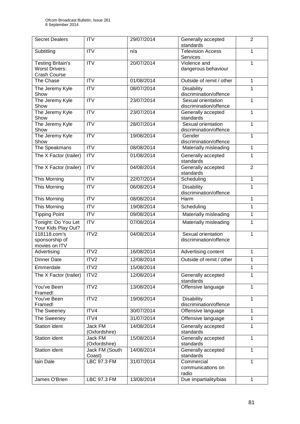| <b>Secret Dealers</b>                           | <b>ITV</b>               | 29/07/2014 | Generally accepted<br>standards              | $\overline{2}$ |
|-------------------------------------------------|--------------------------|------------|----------------------------------------------|----------------|
| Subtitling                                      | $\overline{\text{IV}}$   | n/a        | <b>Television Access</b><br>Services         | 1              |
| <b>Testing Britain's</b>                        | <b>ITV</b>               | 20/07/2014 | Violence and                                 | $\mathbf{1}$   |
| <b>Worst Drivers:</b><br><b>Crash Course</b>    |                          |            | dangerous behaviour                          |                |
| The Chase                                       | <b>ITV</b>               | 01/08/2014 | Outside of remit / other                     | $\mathbf{1}$   |
| The Jeremy Kyle<br>Show                         | <b>ITV</b>               | 08/07/2014 | Disability<br>discrimination/offence         | $\mathbf{1}$   |
| The Jeremy Kyle<br>Show                         | <b>ITV</b>               | 23/07/2014 | Sexual orientation<br>discrimination/offence | $\mathbf{1}$   |
| The Jeremy Kyle<br>Show                         | <b>ITV</b>               | 23/07/2014 | Generally accepted<br>standards              | $\mathbf{1}$   |
| The Jeremy Kyle<br>Show                         | $\overline{ITV}$         | 28/07/2014 | Sexual orientation<br>discrimination/offence | $\mathbf{1}$   |
| The Jeremy Kyle<br>Show                         | $\overline{ITV}$         | 19/08/2014 | Gender<br>discrimination/offence             | 1              |
| The Speakmans                                   | ITV                      | 08/08/2014 | Materially misleading                        | $\mathbf{1}$   |
| The X Factor (trailer)                          | ITV                      | 01/08/2014 | Generally accepted<br>standards              | $\mathbf{1}$   |
| The X Factor (trailer)                          | ITV                      | 04/08/2014 | Generally accepted<br>standards              | $\overline{2}$ |
| <b>This Morning</b>                             | $\overline{IV}$          | 22/07/2014 | Scheduling                                   | $\overline{1}$ |
| This Morning                                    | <b>ITV</b>               | 06/08/2014 | <b>Disability</b><br>discrimination/offence  | 1              |
| <b>This Morning</b>                             | $\overline{ITV}$         | 08/08/2014 | <b>Harm</b>                                  | $\mathbf{1}$   |
| <b>This Morning</b>                             | <b>ITV</b>               | 19/08/2014 | Scheduling                                   | $\mathbf{1}$   |
| <b>Tipping Point</b>                            | <b>ITV</b>               | 09/08/2014 | Materially misleading                        | 1              |
| Tonight: Do You Let<br>Your Kids Play Out?      | <b>ITV</b>               | 07/08/2014 | Materially misleading                        | $\mathbf{1}$   |
| 118118.com's<br>sponsorship of<br>movies on ITV | ITV2                     | 04/08/2014 | Sexual orientation<br>discrimination/offence | $\mathbf{1}$   |
| Advertising                                     | ITV2                     | 16/08/2014 | Advertising content                          | $\mathbf{1}$   |
| <b>Dinner Date</b>                              | ITV <sub>2</sub>         | 12/08/2014 | Outside of remit / other                     | $\mathbf{1}$   |
| Emmerdale                                       | ITV2                     | 15/08/2014 |                                              | 1              |
| The X Factor (trailer)                          | ITV2                     | 12/08/2014 | Generally accepted<br>standards              | 1              |
| You've Been<br>Framed!                          | ITV2                     | 13/08/2014 | Offensive language                           | $\mathbf{1}$   |
| You've Been<br>Framed!                          | ITV2                     | 19/08/2014 | <b>Disability</b><br>discrimination/offence  | $\mathbf{1}$   |
| The Sweeney                                     | ITV4                     | 30/07/2014 | Offensive language                           | $\mathbf{1}$   |
| The Sweeney                                     | ITV4                     | 31/07/2014 | Offensive language                           | $\overline{1}$ |
| <b>Station ident</b>                            | Jack FM<br>(Oxfordshire) | 14/08/2014 | Generally accepted<br>standards              | $\mathbf{1}$   |
| <b>Station ident</b>                            | Jack FM<br>(Oxfordshire) | 15/08/2014 | Generally accepted<br>standards              | $\mathbf{1}$   |
| <b>Station ident</b>                            | Jack FM (South<br>Coast) | 14/08/2014 | Generally accepted<br>standards              | 1              |
| lain Dale                                       | LBC 97.3 FM              | 31/07/2014 | Commercial<br>communications on<br>radio     | 1              |
| James O'Brien                                   | <b>LBC 97.3 FM</b>       | 13/08/2014 | Due impartiality/bias                        | $\mathbf{1}$   |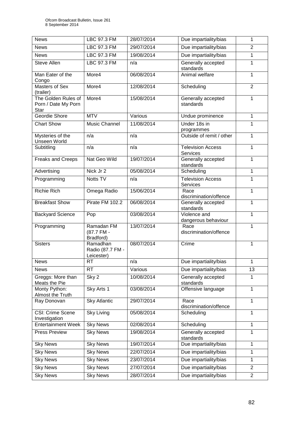| <b>News</b>                                        | LBC 97.3 FM                                | 28/07/2014 | Due impartiality/bias                | 1              |
|----------------------------------------------------|--------------------------------------------|------------|--------------------------------------|----------------|
| <b>News</b>                                        | <b>LBC 97.3 FM</b>                         | 29/07/2014 | Due impartiality/bias                | $\overline{2}$ |
| <b>News</b>                                        | LBC 97.3 FM                                | 19/08/2014 | Due impartiality/bias                | 1              |
| Steve Allen                                        | LBC 97.3 FM                                | n/a        | Generally accepted<br>standards      | 1              |
| Man Eater of the<br>Congo                          | More4                                      | 06/08/2014 | Animal welfare                       | 1              |
| <b>Masters of Sex</b><br>(trailer)                 | More4                                      | 12/08/2014 | Scheduling                           | $\overline{2}$ |
| The Golden Rules of<br>Porn / Date My Porn<br>Star | More4                                      | 15/08/2014 | Generally accepted<br>standards      | 1              |
| Geordie Shore                                      | <b>MTV</b>                                 | Various    | Undue prominence                     | $\mathbf{1}$   |
| <b>Chart Show</b>                                  | Music Channel                              | 11/08/2014 | Under 18s in<br>programmes           | 1              |
| Mysteries of the<br><b>Unseen World</b>            | n/a                                        | n/a        | Outside of remit / other             | 1              |
| Subtitling                                         | n/a                                        | n/a        | <b>Television Access</b><br>Services | 1              |
| <b>Freaks and Creeps</b>                           | Nat Geo Wild                               | 19/07/2014 | Generally accepted<br>standards      | 1              |
| Advertising                                        | Nick Jr 2                                  | 05/08/2014 | Scheduling                           | $\mathbf{1}$   |
| Programming                                        | Notts TV                                   | n/a        | <b>Television Access</b><br>Services | $\mathbf{1}$   |
| <b>Richie Rich</b>                                 | Omega Radio                                | 15/06/2014 | Race<br>discrimination/offence       | $\mathbf{1}$   |
| <b>Breakfast Show</b>                              | Pirate FM 102.2                            | 06/08/2014 | Generally accepted<br>standards      | 1              |
| <b>Backyard Science</b>                            | Pop                                        | 03/08/2014 | Violence and<br>dangerous behaviour  | $\mathbf{1}$   |
| Programming                                        | Ramadan FM<br>(87.7 FM -<br>Bradford)      | 13/07/2014 | Race<br>discrimination/offence       | 1              |
| <b>Sisters</b>                                     | Ramadhan<br>Radio (87.7 FM -<br>Leicester) | 08/07/2014 | Crime                                | 1              |
| <b>News</b>                                        | <b>RT</b>                                  | n/a        | Due impartiality/bias                | $\mathbf{1}$   |
| <b>News</b>                                        | <b>RT</b>                                  | Various    | Due impartiality/bias                | 13             |
| Greggs: More than<br>Meats the Pie                 | Sky 2                                      | 10/08/2014 | Generally accepted<br>standards      | 1              |
| Monty Python:<br>Almost the Truth                  | Sky Arts 1                                 | 03/08/2014 | Offensive language                   | 1              |
| Ray Donovan                                        | <b>Sky Atlantic</b>                        | 29/07/2014 | Race<br>discrimination/offence       | 1              |
| CSI: Crime Scene<br>Investigation                  | <b>Sky Living</b>                          | 05/08/2014 | Scheduling                           | $\mathbf{1}$   |
| <b>Entertainment Week</b>                          | <b>Sky News</b>                            | 02/08/2014 | Scheduling                           | 1              |
| <b>Press Preview</b>                               | <b>Sky News</b>                            | 19/08/2014 | Generally accepted<br>standards      | 1              |
| <b>Sky News</b>                                    | <b>Sky News</b>                            | 19/07/2014 | Due impartiality/bias                | 1              |
| <b>Sky News</b>                                    | <b>Sky News</b>                            | 22/07/2014 | Due impartiality/bias                | 1              |
| <b>Sky News</b>                                    | <b>Sky News</b>                            | 23/07/2014 | Due impartiality/bias                | 1              |
| <b>Sky News</b>                                    | <b>Sky News</b>                            | 27/07/2014 | Due impartiality/bias                | $\overline{2}$ |
| <b>Sky News</b>                                    | <b>Sky News</b>                            | 28/07/2014 | Due impartiality/bias                | $\overline{2}$ |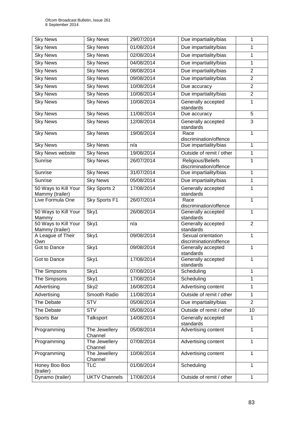| <b>Sky News</b>               | <b>Sky News</b>          | 29/07/2014 | Due impartiality/bias                           | 1              |
|-------------------------------|--------------------------|------------|-------------------------------------------------|----------------|
| <b>Sky News</b>               | <b>Sky News</b>          | 01/08/2014 | Due impartiality/bias                           | $\mathbf{1}$   |
| <b>Sky News</b>               | <b>Sky News</b>          | 02/08/2014 | Due impartiality/bias                           | 1              |
| <b>Sky News</b>               | <b>Sky News</b>          | 04/08/2014 | Due impartiality/bias                           | 1              |
| <b>Sky News</b>               | <b>Sky News</b>          | 08/08/2014 | Due impartiality/bias                           | $\overline{2}$ |
| <b>Sky News</b>               | <b>Sky News</b>          | 09/08/2014 | Due impartiality/bias                           | $\overline{2}$ |
| <b>Sky News</b>               | <b>Sky News</b>          | 10/08/2014 | Due accuracy                                    | $\overline{2}$ |
| <b>Sky News</b>               | <b>Sky News</b>          | 10/08/2014 | Due impartiality/bias                           | $\overline{2}$ |
| <b>Sky News</b>               |                          | 10/08/2014 |                                                 | 1              |
|                               | <b>Sky News</b>          |            | Generally accepted<br>standards                 |                |
| <b>Sky News</b>               | <b>Sky News</b>          | 11/08/2014 | Due accuracy                                    | 5              |
| <b>Sky News</b>               | <b>Sky News</b>          | 12/08/2014 | Generally accepted<br>standards                 | $\overline{3}$ |
| <b>Sky News</b>               | <b>Sky News</b>          | 19/08/2014 | Race                                            | $\mathbf{1}$   |
| <b>Sky News</b>               | <b>Sky News</b>          | n/a        | discrimination/offence<br>Due impartiality/bias | 1              |
| Sky News website              | <b>Sky News</b>          | 19/08/2014 | Outside of remit / other                        | $\mathbf{1}$   |
| Sunrise                       | <b>Sky News</b>          | 26/07/2014 | Religious/Beliefs                               | $\overline{1}$ |
|                               |                          |            | discrimination/offence                          |                |
| Sunrise                       | <b>Sky News</b>          | 31/07/2014 | Due impartiality/bias                           | $\mathbf{1}$   |
| Sunrise                       | <b>Sky News</b>          | 05/08/2014 | Due impartiality/bias                           | $\mathbf 1$    |
| 50 Ways to Kill Your          | Sky Sports 2             | 17/08/2014 | Generally accepted                              | $\mathbf{1}$   |
| Mammy (trailer)               |                          |            | standards                                       |                |
| Live Formula One              | Sky Sports F1            | 26/07/2014 | Race<br>discrimination/offence                  | $\overline{1}$ |
| 50 Ways to Kill Your<br>Mammy | Sky1                     | 26/08/2014 | Generally accepted<br>standards                 | $\mathbf{1}$   |
| 50 Ways to Kill Your          | Sky1                     | n/a        | Generally accepted                              | $\overline{2}$ |
| Mammy (trailer)               |                          |            | standards                                       |                |
| A League of Their             | Sky1                     | 09/08/2014 | Sexual orientation                              | $\mathbf{1}$   |
| Own<br>Got to Dance           | Sky1                     | 09/08/2014 | discrimination/offence<br>Generally accepted    | $\mathbf{1}$   |
|                               |                          |            | standards                                       |                |
| Got to Dance                  | Sky1                     | 17/08/2014 | Generally accepted                              | 1              |
| The Simpsons                  | Sky1                     | 07/08/2014 | standards<br>Scheduling                         | $\mathbf{1}$   |
|                               |                          |            |                                                 |                |
| The Simpsons                  | Sky1                     | 17/08/2014 | Scheduling                                      | 1              |
| Advertising                   | Sky2                     | 16/08/2014 | Advertising content                             | 1              |
| Advertising                   | Smooth Radio             | 11/08/2014 | Outside of remit / other                        | $\mathbf{1}$   |
| The Debate                    | <b>STV</b>               | 05/08/2014 | Due impartiality/bias                           | $\overline{2}$ |
| The Debate                    | <b>STV</b>               | 05/08/2014 | Outside of remit / other                        | 10             |
| Sports Bar                    | Talksport                | 14/08/2014 | Generally accepted<br>standards                 | $\mathbf{1}$   |
| Programming                   | The Jewellery<br>Channel | 05/08/2014 | Advertising content                             | $\mathbf{1}$   |
| Programming                   | The Jewellery<br>Channel | 07/08/2014 | Advertising content                             | $\mathbf{1}$   |
| Programming                   | The Jewellery<br>Channel | 10/08/2014 | Advertising content                             | $\mathbf{1}$   |
| Honey Boo Boo<br>(trailer)    | <b>TLC</b>               | 01/08/2014 | Scheduling                                      | $\mathbf{1}$   |
| Dynamo (trailer)              | <b>UKTV Channels</b>     | 17/08/2014 | Outside of remit / other                        | $\mathbf{1}$   |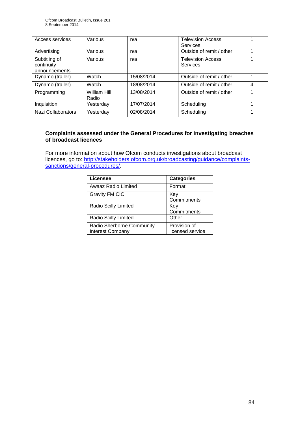| Access services                              | Various               | n/a        | <b>Television Access</b><br>Services |   |
|----------------------------------------------|-----------------------|------------|--------------------------------------|---|
| Advertising                                  | Various               | n/a        | Outside of remit / other             |   |
| Subtitling of<br>continuity<br>announcements | Various               | n/a        | <b>Television Access</b><br>Services | 1 |
| Dynamo (trailer)                             | Watch                 | 15/08/2014 | Outside of remit / other             |   |
| Dynamo (trailer)                             | Watch                 | 18/08/2014 | Outside of remit / other             | 4 |
| Programming                                  | William Hill<br>Radio | 13/08/2014 | Outside of remit / other             |   |
| Inquisition                                  | Yesterday             | 17/07/2014 | Scheduling                           |   |
| Nazi Collaborators                           | Yesterday             | 02/08/2014 | Scheduling                           | 1 |

## **Complaints assessed under the General Procedures for investigating breaches of broadcast licences**

For more information about how Ofcom conducts investigations about broadcast licences, go to: [http://stakeholders.ofcom.org.uk/broadcasting/guidance/complaints](http://stakeholders.ofcom.org.uk/broadcasting/guidance/complaints-sanctions/general-procedures/)[sanctions/general-procedures/.](http://stakeholders.ofcom.org.uk/broadcasting/guidance/complaints-sanctions/general-procedures/)

| Licensee                                      | <b>Categories</b>                |
|-----------------------------------------------|----------------------------------|
| Awaaz Radio Limited                           | Format                           |
| <b>Gravity FM CIC</b>                         | Key<br>Commitments               |
| Radio Scilly Limited                          | Key<br>Commitments               |
| Radio Scilly Limited                          | Other                            |
| Radio Sherborne Community<br>Interest Company | Provision of<br>licensed service |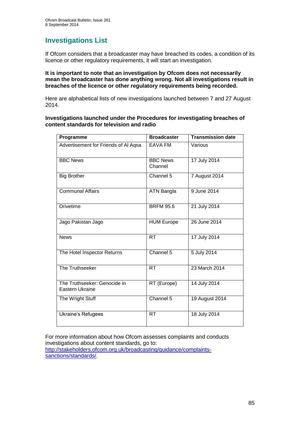# **Investigations List**

If Ofcom considers that a broadcaster may have breached its codes, a condition of its licence or other regulatory requirements, it will start an investigation.

#### **It is important to note that an investigation by Ofcom does not necessarily mean the broadcaster has done anything wrong. Not all investigations result in breaches of the licence or other regulatory requirements being recorded.**

Here are alphabetical lists of new investigations launched between 7 and 27 August 2014.

**Investigations launched under the Procedures for investigating breaches of content standards for television and radio**

| Programme                                       | <b>Broadcaster</b>         | <b>Transmission date</b> |
|-------------------------------------------------|----------------------------|--------------------------|
| Advertisement for Friends of Al Aqsa            | <b>EAVA FM</b>             | Various                  |
| <b>BBC News</b>                                 | <b>BBC News</b><br>Channel | 17 July 2014             |
| <b>Big Brother</b>                              | Channel 5                  | 7 August 2014            |
| <b>Communal Affairs</b>                         | ATN Bangla                 | 9 June 2014              |
| <b>Drivetime</b>                                | <b>BRFM 95.6</b>           | 21 July 2014             |
| Jago Pakistan Jago                              | <b>HUM Europe</b>          | 26 June 2014             |
| <b>News</b>                                     | <b>RT</b>                  | 17 July 2014             |
| The Hotel Inspector Returns                     | Channel 5                  | 5 July 2014              |
| The Truthseeker                                 | <b>RT</b>                  | 23 March 2014            |
| The Truthseeker: Genocide in<br>Eastern Ukraine | RT (Europe)                | 14 July 2014             |
| The Wright Stuff                                | Channel 5                  | 19 August 2014           |
| Ukraine's Refugees                              | <b>RT</b>                  | 18 July 2014             |

For more information about how Ofcom assesses complaints and conducts investigations about content standards, go to: [http://stakeholders.ofcom.org.uk/broadcasting/guidance/complaints](http://stakeholders.ofcom.org.uk/broadcasting/guidance/complaints-sanctions/standards/)[sanctions/standards/.](http://stakeholders.ofcom.org.uk/broadcasting/guidance/complaints-sanctions/standards/)